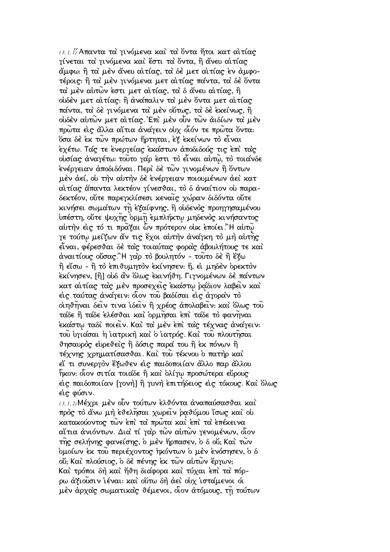(3, 1, 1) Απαντα τα γινόμενα και τα όντα ήτοι κατ αιτίας γίνεται τα γινόμενα και έστι τα όντα, ή άνευ αιτίας άμφω: ή τα μεν άνευ αιτίας, τα δε μετ αιτίας εν άμφοτέροις: ή τα μεν γινόμενα μετ αιτίας πάντα, τα δε όντα τα μέν αυτών έστι μετ αιτίας, τα δ άνευ αιτίας, ή ούδεν μετ αιτίας: ή αναπαλιν τα μεν όντα μετ αιτίας πάντα, τα δέ γινόμενα τα μέν ούτως, τα δέ εκείνως, ή ούδεν αυτών μετ αιτίας. Επι μεν ούν των αιδίων τα μεν πρώτα εις άλλα αίτια αναγειν ουχ οιόν τε πρώτα όντα: δσα δε εκ τῶν πρώτων ἤρτηται, εξ εκείνων τὸ εἶναι έχέτω. Τάς τε ενεργείας εκάστων άποδιδούς τις επι τας ούσίας άναγέτω: τούτο γάρ έστι το είναι αυτώ, το τοιάνδε ένέργειαν άποδιδόναι. Περί δε των γινομένων ή όντων μέν άεί, ου την αυτην δε ενέργειαν ποιουμένων άει κατ αιτίας άπαντα λεκτέον γίνεσθαι, το δ αναίτιον ου παραδεκτέον, ούτε παρεγκλίσεσι κεναίς χώραν διδόντα ούτε κινήσει σωμάτων τη εξαίφνης, η ούδενος προηγησαμένου υπέστη, ούτε ψυχης δρμη εμπλήκτω μηδενός κινήσαντος αύτην είς τό τι πραζαι ὧν πρότερον ουκ εποίει. Η αυτώ γε τούτω μείζων άν τις έχοι αύτην αναγκη το μη αύτης είναι, φέρεσθαι δε τας τοιαύτας φορας άβουλήτους τε και άναιτίους ούσας. Η γαρ το βουλητόν - τουτο δε ή έξω ή είσω - ή το επιθυμητον εκίνησεν: ή, ει μηδεν ορεκτον εκίνησεν, [ἢ] ουδ άν δλως εκινήθη. Γιγνομένων δε παντων κατ αιτίας τας μέν προσεχείς εκάστω ράδιον λαβείν και εις ταύτας άναγειν: δίον του βαδίσαι εις άγοραν το σι ηθήναι δείν τινα ιδείν ή χρέος απολαβείν: και δλως του τάδε ή τάδε ελέσθαι και δρμήσαι επι τάδε το φανήναι εκάστω ταδι ποιείν. Και τα μεν επι τας τέχνας ανάγειν: του υγιασαι η ιατρικη και ο ιατρός. Και του πλουτήσαι θησαυρός ευρεθείς ή δόσις παρά του ή έκ πόνων ή τέχνης χρηματίσασθαι. Και του τέκνου ο πατήρ και εί τι συνεργον έξωθεν εις παιδοποιίαν άλλο παρ άλλου ήκον: δίον σιτία τοιαδε ή και ολίγω προσώτερα εύρους εις παιδοποιίαν [γονη] ή γυνη επιτήδειος εις τόκους. Και δλως εις φύσιν.

(3, 1, 2) Μέχρι μεν ούν τούτων ελθόντα αναπαύσασθαι και πρός το άνω μή εθελήσαι χωρείν ραθύμου ίσως και ου κατακούοντος των επι τα πρώτα και επι τα επέκεινα αίτια άνιόντων. Δια τί γαρ των αύτων γενομένων, οίον της σελήνης φανείσης, ο μεν ήρπασεν, ο δ ού; Και των δμοίων έκ του περιέχοντος ηκόντων δ μεν ενόσησεν, δ δ ού; Και πλούσιος, ο δε πένης έκ των αυτων έργων; Καὶ τρόποι δὴ καὶ ἤθη διάφορα καὶ τύχαι ἐπὶ τα πόρρω άξιουσιν ιέναι: και ούτω δη άει ουχ ιστάμενοι οι μεν άρχας σωματικας θέμενοι, δίον άτόμους, τη τούτων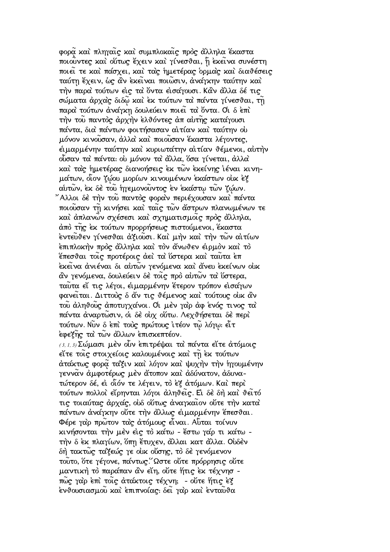φορα και πληγαίς και συμπλοκαίς προς άλληλα έκαστα ποιούντες και ούτως έχειν και γίνεσθαι, η εκείνα συνέστη ποιεί τε και πάσχει, και τας ημετέρας δρμας και διαθέσεις ταύτη έχειν, ως άν εκείναι ποιώσιν, ανάγκην ταύτην και την παρα τούτων είς τα όντα εισάγουσι. Κάν άλλα δέ τις σώματα άρχας διδώ και έκ τούτων τα πάντα γίνεσθαι, τη παρα τούτων αναγκη δουλεύειν ποιεί τα όντα. Οι δέπι την του παντός άρχην ελθόντες άπ αυτής κατάγουσι πάντα, δια πάντων φοιτήσασαν αιτίαν και ταύτην ου μόνον κινούσαν, άλλα και ποιούσαν έκαστα λέγοντες, ειμαρμένην ταύτην και κυριωτάτην αιτίαν θέμενοι, αυτήν ούσαν τα πάντα: ου μόνον τα άλλα, όσα γίνεται, άλλα και τας ημετέρας διανοήσεις έκ των εκείνης ιέναι κινημάτων, δίον ζώου μορίων κινουμένων εκάστων ούκ εξ αυτών, εκ δε του ηγεμονούντος εν εκαστω των ζώων. "Αλλοι δὲ τὴν τοῦ παντὸς φοραν περιέχουσαν καὶ πάντα ποιουσαν τη κινήσει και ταις των άστρων πλανωμένων τε και άπλανών σχέσεσι και σχηματισμοίς προς άλληλα, άπό της έκ τούτων προρρήσεως πιστούμενοι, έκαστα έντεὖθεν γίνεσθαι άξιοὖσι. Καὶ μὴν καὶ τὴν τὦν αιτίων έπιπλοκήν πρός άλληλα και τον άνωθεν είρμον και το έπεσθαι τοις προτέροις άει τα ύστερα και ταυτα επ εκείνα ανιέναι δι αύτων γενόμενα και άνευ εκείνων ουκ άν γενόμενα, δουλεύειν δε τοις προ αυτων τα ύστερα, ταυτα εί τις λέγοι, είμαρμένην έτερον τρόπον εισάγων φανείται. Διττούς δ άν τις θέμενος και τούτους ούκ άν του άληθους άποτυγχανοι. Οι μέν γαρ άφ ένός τινος τα πάντα άναρτώσιν, οι δε ουχ ούτω. Λεχθήσεται δε περι τούτων. Νὖν δ επι τους πρώτους ιτέον τῷ λόγῳ: εἶτ έφεζης τα των άλλων επισκεπτέον.

(3, 1, 3) Σώμασι μέν οὖν επιτρέψαι τα πάντα είτε ατόμοις είτε τοις στοιχείοις καλουμένοις και τη έκ τούτων άτάκτως φορά τάξιν και λόγον και ψυχήν την ηγουμένην γενναν άμφοτέρως μεν άτοπον και αδύνατον, άδυνατώτερον δέ, ει οἷόν τε λέγειν, τὸ ἐξ ἀτόμων. Καὶ περὶ τούτων πολλοί είρηνται λόγοι άληθείς. Ει δε δή και θειτό τις τοιαύτας άρχας, ουδ ούτως αναγκαιον ούτε την κατα πάντων ανάγκην ούτε την άλλως είμαρμένην έπεσθαι. Φέρε γαρ πρώτον τας ατόμους είναι. Αύται τοίνυν κινήσονται την μέν εις τὸ κατω - ἔστω γαρ τι κατω την δ εκ πλαγίων, όπη έτυχεν, άλλαι κατ άλλα. Ουδεν δη τακτώς ταξεώς γε ούκ ούσης, το δε γενόμενον τουτο, ότε γέγονε, πάντως. Ώστε ούτε πρόρρησις ούτε μαντική τὸ παράπαν ἀν ἐίη, ούτε ἥτις ἐκ τέχνησ πώς γαρ έπι τοις ατακτοις τέχνη; - ούτε ήτις έξ ένθουσιασμού και επιπνοίας: δει γαρ και ενταυθα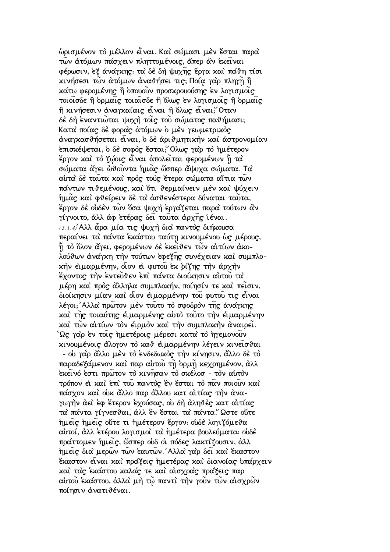ώρισμένον τὸ μέλλον ἐἶναι. Καὶ σώμασι μὲν ἔσται παρα των ατόμων πάσχειν πληττομένοις, άπερ αν εκείναι φέρωσιν, έξ άναγκης: τα δε δη ψυχης έργα και πάθη τίσι κινήσεσι των ατόμων αναθήσει τις; Ποία γαρ πληγή ή κάτω φερομένης ή οπουούν προσκρουούσης εν λογισμοίς τοιοισδε ή δρμαις τοιαισδε ή δλως εν λογισμοις ή δρμαις ή κινήσεσιν αναγκαίαις είναι ή όλως είναι; Όταν δε δη εναντιώται ψυχη τοις του σώματος παθήμασι; Κατα ποίας δέ φορας άτόμων ο μέν γεωμετρικός άναγκασθήσεται είναι, ο δε άριθμητικήν και άστρονομίαν έπισκέψεται, ο δε σοφος έσται; Ολως γαρ το ημέτερον έργον και το ζώοις είναι απολείται φερομένων ή τα σώματα άγει ώθουντα ημάς ώσπερ άψυχα σώματα. Τα αύτα δέ ταυτα και πρός τους έτερα σώματα αίτια των πάντων τιθεμένους, και ότι θερμαίνειν μεν και ψύχειν ημάς και φθείρειν δε τα άσθενέστερα δύναται ταυτα. έργον δε ουδεν των όσα ψυχη εργαζεται παρα τούτων αν γίγνοιτο, άλλ άφ ετέρας δει ταυτα άρχης ιέναι.  $(3, 1, 4)$  Αλλ ἆρα μία τις ψυχή δια παντός διήκουσα περαίνει τα πάντα εκαστου ταύτη κινουμένου ως μέρους, η το όλον άγει, φερομένων δε εκειθεν των αιτίων άκολούθων άναγκη την τούτων εφεξής συνέχειαν και συμπλοκην είμαρμένην, δίον εί φυτου εκ ρίζης την άρχην έχοντος την εντεύθεν επι παντα διοίκησιν αυτού τα μέρη και πρός άλληλα συμπλοκήν, ποίησίν τε και πείσιν, διοίκησιν μίαν και δίον ειμαρμένην του φυτου τις είναι λέγοι; Αλλα πρώτον μεν τούτο το σφοδρον της αναγκης και της τοιαύτης ειμαρμένης αυτό τουτο την ειμαρμένην και των αιτίων τον είρμον και την συμπλοκην αναιρεί. ΄Ως γαρ εν τοις ημετέροις μέρεσι κατα το ηγεμονουν κινουμένοις άλογον το καθ είμαρμένην λέγειν κινείσθαι - ου γαρ άλλο μέν το ενδεδωκός την κίνησιν, άλλο δέ το παραδεζαμενον και παρ αυτού τη δρμή κεχρημένον, άλλ εκεινό εστι πρώτον τὸ κινῆσαν τὸ σκέλοσ - τὸν αὐτὸν τρόπον ει και επι του παντος εν έσται το παν ποιούν και πάσχον και ούκ άλλο παρ άλλου κατ αιτίας την άναγωγήν άει έφ έτερον εχούσας, ου δη άληθες κατ αιτίας τα πάντα γίγνεσθαι, άλλ εν έσται τα πάντα. Ώστε ούτε ημείς ημείς ούτε τι ημέτερον έργον: ουδε λογιζόμεθα αύτοί, άλλ ετέρου λογισμοί τα ημέτερα βουλεύματα: ουδέ πράττομεν ημείς, ώσπερ ουδ οι πόδες λακτίζουσιν, άλλ ημείς δια μερών τών εαυτών. Αλλα γαρ δει και έκαστον έκαστον είναι και πράξεις ημετέρας και διανοίας υπάρχειν και τας εκάστου καλάς τε και αισχρας πράξεις παρ αύτου εκαστου, άλλα μή τω παντι την γουν των αισχρων ποίησιν άνατιθέναι.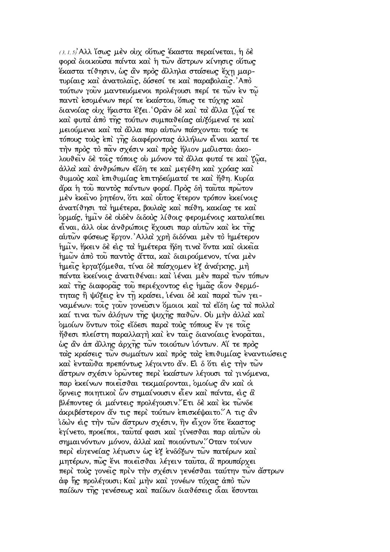(3, 1, 5) Αλλ Ίσως μέν ούχ ούτως έκαστα περαίνεται, η δέ φορα διοικούσα πάντα και η των άστρων κίνησις ούτως έκαστα τίθησιν, ως άν προς άλληλα στάσεως έχη μαρτυρίαις και άνατολαις, δύσεσί τε και παραβολαις. Από τούτων γούν μαντευόμενοι προλέγουσι περί τε των έν τω παντι εσομένων περί τε εκάστου, όπως τε τύχης και διανοίας ουχ ήκιστα έξει. Όραν δε και τα άλλα ζωά τε και φυτα άπό της τούτων συμπαθείας αυξόμενα τε και μειούμενα και τα άλλα παρ αυτών πασχοντα: τούς τε τόπους τους έπι γης διαφέροντας άλλήλων είναι κατά τε την προς το παν σχέσιν και προς ήλιον μαλιστα: άκολουθείν δε τοις τόποις ου μόνον τα άλλα φυτά τε και ζώα, άλλα και άνθρώπων είδη τε και μεγέθη και χρόας και θυμούς και επιθυμίας επιτηδεύματα τε και ήθη. Κυρία άρα η του παντός παντων φορα. Πρός δη ταυτα πρώτον μέν εκείνο ρητέον, ότι και ούτος έτερον τρόπον εκείνοις άνατίθησι τα ημέτερα, βουλας και πάθη, κακίας τε και δρμάς, ημίν δε ουδεν διδους λίθοις φερομένοις καταλείπει εἶναι, άλλ ουκ άνθρώποις ἔχουσι παρ αυτών και 'εκ της αυτών φύσεως έργον. Αλλα χρη διδόναι μεν το ημέτερον ημίν, ήκειν δέ είς τα ημέτερα ήδη τινα όντα και οικεία ημών άπό του παντός άττα, και διαιρούμενον, τίνα μέν ημείς εργαζόμεθα, τίνα δε πάσχομεν εξ ανάγκης, μη πάντα εκείνοις άνατιθέναι: και ιέναι μεν παρα των τόπων και της διαφοράς του περιέχοντος είς ημάς οίον θερμότητας ή ψύξεις έν τη κράσει, ιέναι δε και παρα των γειναμένων: τοις γούν γονεύσιν όμοιοι και τα είδη ως τα πολλα καί τινα των άλόγων της ψυχης παθών. Ου μην άλλα και δμοίων όντων τοις είδεσι παρα τους τόπους έν γε τοις ήθεσι πλείστη παραλλαγή και έν ταις διανοίαις ενοράται, ώς άν άπ άλλης άρχης των τοιούτων ιόντων. Αι τε πρός τας κράσεις των σωμάτων και προς τας επιθυμίας εναντιώσεις και ενταύθα πρεπόντως λέγοιντο άν. Ει δ ότι εις την των άστρων σχέσιν ορώντες περι εκάστων λέγουσι τα γινόμενα, παρ εκείνων ποιείσθαι τεκμαίρονται, δμοίως άν και δι όρνεις ποιητικοί ὧν σημαίνουσιν εἶεν και παντα, εἰς & βλέποντες οι μαντεις προλέγουσιν. Έτι δε και εκ τώνδε άκριβέστερον άν τις περί τούτων επισκέψαιτο. Α τις άν ιδων εις την τῶν ἄστρων σχέσιν, ὴν εἶχον ὅτε ἕκαστος έγίνετο, προείποι, ταυτά φασι και γίνεσθαι παρ αυτών ου σημαινόντων μόνον, άλλα και ποιούντων. Όταν τοίνυν περι ευγενείας λέγωσιν ως εξ ενδόξων των πατέρων και μητέρων, πως ένι ποιεισθαι λέγειν ταυτα, α προυπάρχει περί τούς γονείς πρίν την σχέσιν γενέσθαι ταύτην των άστρων άφ ής προλέγουσι; Και μην και γονέων τύχας άπο των παίδων της γενέσεως και παίδων διαθέσεις οιαι έσονται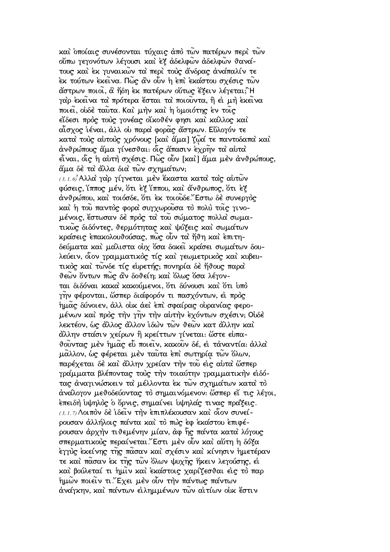και οποίαις συνέσονται τύχαις άπο των πατέρων περι των ούπω γεγονότων λέγουσι και εξ άδελφων άδελφων θανάτους και έκ γυναικών τα περι τους άνδρας ανάπαλίν τε έκ τούτων έκεινα. Πως άν οὖν ή επι εκαστου σχέσις των άστρων ποιοι, α ήδη εκ πατέρων ούτως έξειν λέγεται; Η γαρ εκείνα τα πρότερα έσται τα ποιούντα, ή εί μη εκείνα ποιεί, ούδε ταυτα. Και μην και η δμοιότης έν τοις είδεσι πρὸς τους γονέας οίκοθέν φησι και καλλος και αίσχος 'ιέναι, άλλ ου παρα' φορας άστρων. Εύλογόν τε κατα τους αυτους χρόνους [και άμα] ζωά τε παντοδαπα και άνθρώπους άμα γίνεσθαι: δίς άπασιν εχρην τα αυτα εἶναι, δίς ἡ αὐτὴ σχέσις. Πῶς οἶν [καὶ] ἄμα μὲν ἀνθρώπους, άμα δέ τα άλλα δια των σχημάτων;

 $(3, 1, 6)$  Αλλα' γαρ γίγνεται μέν έκαστα κατα' τας αύτων φύσεις, ίππος μέν, ότι εξ ίππου, και άνθρωπος, ότι εξ άνθρώπου, και τοιόσδε, ότι εκ τοιούδε. Έστω δε συνεργός και ή του παντός φορα συγχωρούσα το πολύ τοις γινομένοις, έστωσαν δε πρός τα του σώματος πολλα σωματικώς διδόντες, θερμότητας και ψύξεις και σωμάτων κράσεις επακολουθούσας, πώς ούν τα ήθη και επιτηδεύματα και μάλιστα ουχ όσα δοκει κράσει σωμάτων δουλεύειν, δίον γραμματικός τίς και γεωμετρικός και κυβευτικός και τώνδε τίς ευρετής; πονηρία δε ήθους παρα θεών όντων πώς άν δοθείη; και όλως όσα λέγονται διδόναι κακα κακούμενοι, ότι δύνουσι και ότι υπό γην φέρονται, ώσπερ διάφορόν τι πασχόντων, ει πρός ημάς δύνοιεν, άλλ ούκ άει επι σφαίρας ουρανίας φερομένων και πρός την γην την αυτην εχόντων σχέσιν; Ουδέ λεκτέον, ως άλλος άλλον ιδων των θεών κατ άλλην και άλλην στάσιν χείρων ή κρείττων γίνεται: ὥστε ευπαθούντας μέν ημάς εὖ ποιείν, κακούν δέ, ει τάναντία: άλλα μαλλον, ως φέρεται μεν ταυτα επι σωτηρία των δλων, παρέχεται δε και άλλην χρείαν την του εις αυτα ώσπερ γράμματα βλέποντας τούς την τοιαύτην γραμματικήν ειδότας άναγινώσκειν τα μέλλοντα έκ των σχημάτων κατα το άναλογον μεθοδεύοντας το σημαινόμενον: ώσπερ εί τις λέγοι, έπειδή υψηλός ο όρνις, σημαίνει υψηλάς τινας πράξεις.  $(3, 1, 7)$  Λοιπόν δε ιδείν την επιπλέκουσαν και οίον συνείρουσαν άλλήλοις πάντα και το πως έφ εκάστου επιφέρουσαν άρχην τιθεμένην μίαν, άφ ης πάντα κατα λόγους σπερματικούς περαίνεται. Έστι μέν ούν και αύτη η δόξα έγγύς έκείνης της πάσαν και σχέσιν και κίνησιν ημετέραν τε και πάσαν έκ της των όλων ψυχης ήκειν λεγούσης, ει και βούλεταί τι ημίν και εκάστοις χαρίζεσθαι είς το παρ ημών ποιείν τι. Έχει μέν ούν την παντως παντων άναγκην, και παντων ειλημμένων των αιτίων ουκ έστιν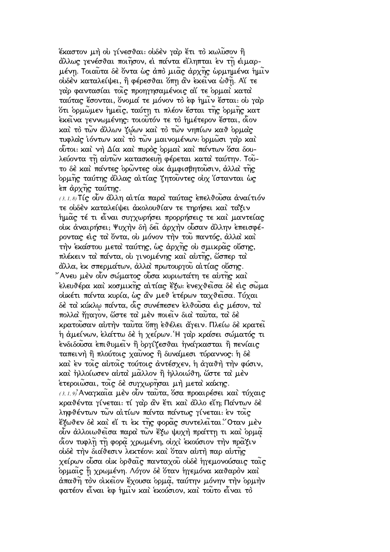έκαστον μή ου γίνεσθαι: ουδεν γαρ έτι το κωλυσον ή άλλως γενέσθαι ποιησον, ει παντα είληπται εν τη είμαρμένη. Τοιαύτα δε όντα ώς άπο μιας άρχης ωρμημένα ημίν ουδεν καταλείψει, ή φέρεσθαι όπη άν εκείνα ώθη. Αί τε γαρ φαντασίαι τοις προηγησαμένοις αι τε δρμαι κατα ταύτας έσονται, όνομα τε μόνον τὸ ἐφ ἡμιν έσται: ου γαρ δτι δρμώμεν ημείς, ταύτη τι πλέον έσται της δρμής κατ έκεινα γεννωμένης: τοιουτόν τε το ημέτερον έσται, οίον και το των άλλων ζώων και το των νηπίων καθ δρμας τυφλας ιόντων και το των μαινομένων: δρμώσι γαρ και ούτοι: και νη Δία και πυρός δρμαι και πάντων δσα δουλεύοντα τη αυτών κατασκευή φέρεται κατα ταύτην. Τουτο δέ και πάντες δρώντες ούκ άμφισβητούσιν, άλλα της δρμής ταύτης άλλας αιτίας ζητούντες ουχ ίστανται ώς επ άρχης ταύτης.

 $(3, 1, 8)$  Τίς ούν άλλη αιτία παρα ταύτας επελθούσα αναίτιόν τε ουδέν καταλείψει άκολουθίαν τε τηρήσει και ταξιν ημας τέ τι είναι συγχωρήσει προρρήσεις τε και μαντείας ούκ άναιρήσει; Ψυχην δη δεϊ άρχην οὖσαν άλλην επεισφέροντας είς τα όντα, ου μόνον την του παντός, άλλα και την εκαστου μετα ταύτης, ως άρχης ου σμικρας ούσης, πλέκειν τα πάντα, ου γινομένης και αυτής, ώσπερ τα άλλα, εκ σπερμάτων, άλλα πρωτουργού αιτίας ούσης. "Ανευ μεν οὖν σώματος οὖσα κυριωτάτη τε αὐτῆς καὶ ελευθέρα και κοσμικής αιτίας έξω: ενεχθείσα δε εις σώμα ουκέτι πάντα κυρία, ως άν μεθ ετέρων ταχθείσα. Τύχαι δέ τα κύκλω πάντα, δίς συνέπεσεν ελθούσα εις μέσον, τα πολλα ήγαγον, ώστε τα μέν ποιείν δια ταυτα, τα δέ κρατούσαν αύτην ταυτα όπη εθέλει άγειν. Πλείω δε κρατεί η αμείνων, ελαττω δε η χείρων. Η γαρ κρασει σώματός τι ένδιδούσα επιθυμείν ή οργίζεσθαι ηναγκασται ή πενίαις ταπεινή ή πλούτοις χαύνος ή δυναμεσι τύραννος: η δέ και έν τοις αυτοις τούτοις άντέσχεν, η άγαθη την φύσιν, και ηλλοίωσεν αυτα μάλλον ή ηλλοιώθη, ώστε τα μέν ετεροιώσαι, τοις δε συγχωρήσαι μή μετα κάκης. (3, 1, 9) Αναγκαία μέν ούν ταυτα, όσα προαιρέσει και τύχαις κραθέντα γίνεται: τί γαρ άν έτι και άλλο είη; Πάντων δε ληφθέντων των αιτίων παντα παντως γίνεται: εν τοις έξωθεν δε και εί τι εκ της φορας συντελειται. Όταν μεν οὖν άλλοιωθείσα παρα των έξω ψυχη πράττη τι και δρμα οίον τυφλη τη φορά χρωμένη, ουχι εκούσιον την πράξιν ούδε την διαθεσιν λεκτέον: και όταν αύτη παρ αυτής χείρων ούσα ούκ ορθαίς πανταχου ούδε ηγεμονούσαις ταις δρμαϊς ή χρωμένη. Λόγον δε όταν ηγεμόνα καθαρον και άπαθη τον οικείον έχουσα δρμα, ταύτην μόνην την δρμήν φατέον είναι εφ ημίν και εκούσιον, και τούτο είναι το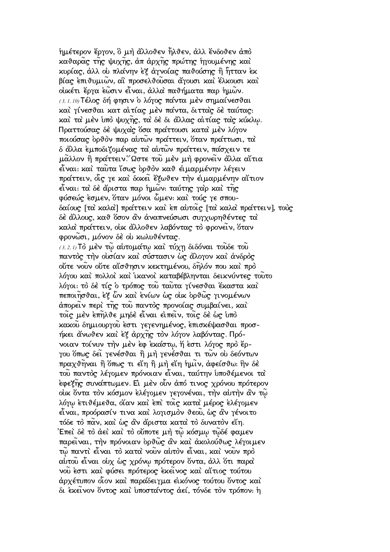ημέτερον έργον, δ μη άλλοθεν ήλθεν, άλλ ένδοθεν άπο καθαράς της ψυχής, άπ άρχης πρώτης ηγουμένης και κυρίας, άλλ ου πλανην έξ άγνοίας παθούσης ή ητταν έκ βίας επιθυμιών, αι προσελθούσαι άγουσι και έλκουσι και ουκέτι έργα εώσιν είναι, άλλα παθήματα παρ ημών. (3, 1, 10) Τέλος δή φησιν ο λόγος πάντα μέν σημαίνεσθαι και γίνεσθαι κατ αιτίας μέν πάντα, διττας δε ταύτας: και τα μέν υπό ψυχης, τα δέ δι άλλας αιτίας τας κύκλω. Πραττούσας δέ ψυχας όσα πράττουσι κατα μέν λόγον ποιούσας όρθον παρ αύτων πράττειν, όταν πράττωσι, τα δ άλλα εμποδιζομένας τα αυτών πράττειν, πάσχειν τε μαλλον ή πραττειν. Ώστε του μέν μή φρονεϊν άλλα αίτια είναι: και ταυτα ίσως ορθον καθ είμαρμένην λέγειν πράττειν, δίς γε και δοκει έξωθεν την ειμαρμένην αίτιον εἶναι: τα δε άριστα παρ ημών: ταύτης γαρ και της φύσεώς έσμεν, όταν μόνοι ὦμεν: και τούς γε σπουδαίους [τα καλα] πράττειν και επ αυτοίς [τα καλα πράττειν], τους δέ άλλους, καθ όσον άν αναπνεύσωσι συγχωρηθέντες τα καλα πράττειν, ούκ άλλοθεν λαβόντας το φρονείν, όταν φρονώσι, μόνον δε ου κωλυθέντας.

 $(3, 2, 1)$  Το μέν τώ αυτομάτω και τύχη διδόναι τουδε του παντός την ουσίαν και σύστασιν ώς άλογον και άνδρος ούτε νουν ούτε αίσθησιν κεκτημένου, δηλόν που και πρό λόγου και πολλοι και ικανοι καταβέβληνται δεικνύντες τουτο λόγοι: τὸ δὲ τίς ὁ τρόπος του ταυτα γίνεσθαι έκαστα και πεποιησθαι, εξ ὧν και ενίων ώς ουκ ορθώς γινομένων άπορείν περί της του παντός προνοίας συμβαίνει, και τοις μέν επηλύε μηδέ είναι ειπείν, τοις δε ως υπό κακού δημιουργού έστι γεγενημένος, επισκέψασθαι προσήκει άνωθεν και έξ άρχης τον λόγον λαβόντας. Πρόνοιαν τοίνυν την μεν έφ εκαστω, ή έστι λόγος προ έργου όπως δεί γενέσθαι ή μη γενέσθαι τι τών ου δεόντων πραχθηναι ή όπως τι είη ή μη είη ημίν, αφείσθω: ην δέ του παντός λέγομεν πρόνοιαν είναι, ταύτην υποθέμενοι τα έφεξης συνάπτωμεν. Ει μέν ούν άπό τινος χρόνου πρότερον ούκ όντα τον κόσμον ελέγομεν γεγονέναι, την αύτην άν τώ λόγω ετιθέμεθα, οίαν και επι τοις κατα μέρος ελέγομεν είναι, προόρασίν τινα και λογισμον θεου, ως άν γένοιτο τόδε τὸ παν, και ώς ἀν άριστα κατα τὸ δυνατον είη. Έπεὶ δὲ τὸ ἀεὶ καὶ τὸ οὔποτε μὴ τῷ κόσμῳ τῷδέ φαμεν παρείναι, την πρόνοιαν ορθώς άν και ακολούθως λέγοιμεν τώ παντι είναι το κατα νούν αύτον είναι, και νούν προ αύτου είναι ούχ ως χρόνω πρότερον όντα, άλλ ότι παρα νου έστι και φύσει πρότερος εκείνος και αίτιος τούτου άρχέτυπον δίον και παράδειγμα εικόνος τούτου όντος και δι εκείνον όντος και υποστάντος άεί, τόνδε τον τρόπον: η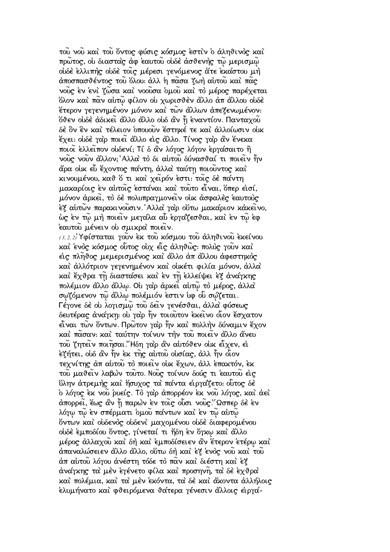του νου και του όντος φύσις κόσμος εστιν ο άληθινος και πρώτος, ου διαστας άφ εαυτου ουδε άσθενης τω μερισμώ ούδε ελλιπής ούδε τοις μέρεσι γενόμενος άτε εκαστου μή άποσπασθέντος του όλου: άλλ ή πασα ζωή αύτου και πας νους εν ενι ζωσα και νοουσα ομου και το μέρος παρέχεται δλον και παν αυτώ φίλον ου χωρισθεν άλλο άπ άλλου ουδε έτερον γεγενημένον μόνον και των άλλων απεξενωμένον: δθεν ουδέ άδικει άλλο άλλο ουδ άν ή εναντίον. Πανταχου δέ ὂν ἓν και τέλειον δπουοῦν ἕστηκέ τε και ἀλλοίωσιν οὐκ έχει: ούδε γαρ ποιει άλλο εις άλλο. Τίνος γαρ αν ένεκα ποιοι ελλείπον ουδενί; Τί δ άν λόγος λόγον εργασαιτο ή νους νουν άλλον; Αλλα το δι αυτου δύνασθαί τι ποιείν ήν άρα ουκ εύ έχοντος πάντη, άλλα ταύτη ποιούντος και κινουμένου, καθ ό τι και χειρόν έστι: τοις δε πάντη μακαρίοις εν αύτοις εστάναι και τουτο είναι, όπερ εισί, μόνον άρκει, το δέ πολυπραγμονείν ούκ άσφαλές εαυτούς εξ αυτών παρακινούσιν. Αλλα γαρ ούτω μακαριον κάκεινο, ώς εν τῷ μὴ ποιεῖν μεγάλα αὖ εργάζεσθαι, καὶ εν τῷ εφ εαυτού μένειν ου σμικρα ποιείν.

 $(3, 2, 2)$  Υφίσταται γουν εκ του κόσμου του άληθινου εκείνου και ενός κόσμος ούτος ούχ είς άληθώς: πολύς γουν και εις πληθος μεμερισμένος και άλλο απ άλλου άφεστηκός και άλλότριον γεγενημένον και ουκέτι φιλία μόνον, άλλα και έχθρα τη διαστάσει και εν τη ελλείψει εξ ανάγκης πολέμιον άλλο άλλω. Ου γαρ άρκει αυτώ το μέρος, άλλα σωζόμενον τῷ ἄλλω πολέμιόν 'εστιν ὑφ οῧ σώζεται. Γέγονε δε ου λογισμώ του δείν γενέσθαι, άλλα φύσεως δευτέρας αναγκη: ου γαρ ήν τοιούτον εκείνο οίον έσχατον είναι των όντων. Πρώτον γαρ ήν και πολλην δύναμιν έχον και πασαν: και ταύτην τοίνυν την του ποιείν άλλο άνευ του ζητείν ποιήσαι. Ήδη γαρ άν αυτόθεν ουκ είχεν, ει εζήτει, ουδ άν ήν εκ της αυτου ουσίας, άλλ ήν οίον τεχνίτης άπ αύτου το ποιείν ούκ έχων, άλλ επακτόν, εκ του μαθείν λαβών τουτο. Νους τοίνυν δούς τι εαυτού είς ύλην άτρεμής και ήσυχος τα πάντα ειργάζετο: ούτος δε δ λόγος εκ νου ρυείς. Το γαρ απορρέον εκ νου λόγος, και άει άπορρει, έως άν ή παρων εν τοις ούσι νους. Ωσπερ δε εν λόγω τώ έν σπέρματι δμού παντων και έν τώ αυτώ όντων και ουδενός ουδενι μαχομένου ουδε διαφερομένου ουδε εμποδίου όντος, γίνεταί τι ήδη εν όγκω και άλλο μέρος άλλαχού και δη και εμποδίσειεν άν έτερον ετέρω και άπαναλώσειεν άλλο άλλο, ούτω δη και έξ ενός νου και του άπ αυτου λόγου άνέστη τόδε τὸ παν καὶ διέστη καὶ ἐξ άναγκης τα μεν εγένετο φίλα και προσηνη, τα δε εχθρα και πολέμια, και τα μεν εκόντα, τα δε και άκοντα άλλήλοις ελυμήνατο και φθειρόμενα θάτερα γένεσιν άλλοις ειργά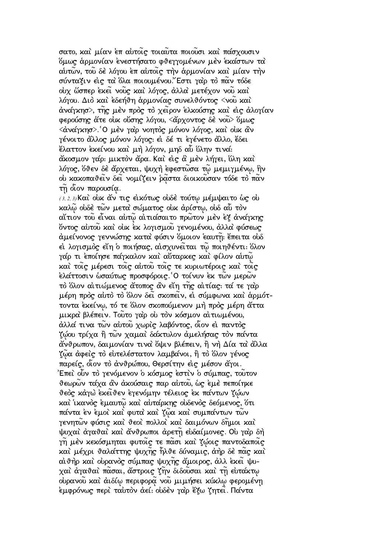σατο, και μίαν επ αυτοις τοιαυτα ποιουσι και πάσχουσιν δμως αρμονίαν ενεστήσατο φθεγγομένων μεν εκάστων τα αυτών, του δέ λόγου επ αυτοίς την άρμονίαν και μίαν την σύνταξιν εις τα δλα ποιουμένου. Έστι γαρ το παν τόδε ούχ ὥσπερ 'εκεί νους και λόγος, άλλα μετέχον νου και λόγου. Διὸ και 'εδεήθη άρμονίας συνελθόντος <νου και άναγκησ>, της μέν πρός το χείρον ελκούσης και είς άλογίαν φερούσης άτε ουκ ούσης λόγου, <άρχοντος δε νου> όμως <άναγκησ>. Ο μέν γαρ νοητός μόνον λόγος, και ούκ άν γένοιτο άλλος μόνον λόγος: ει δέ τι εγένετο άλλο, έδει έλαττον εκείνου και μη λόγον, μηδ αὖ ύλην τινά: άκοσμον γάρ: μικτον άρα. Και εις α μεν λήγει, ύλη και λόγος, όθεν δε άρχεται, ψυχή εφεστώσα τω μεμιγμένω, ην ου κακοπαθείν δεί νομίζειν ράστα διοικούσαν τόδε το πάν τη δίον παρουσία.

 $(3, 2, 3)$ Και σύκ άν τις εικότως σύδε τούτω μέμψαι το ώς σύ καλώ ουδέ των μετα σώματος ουκ αρίστω, ουδ αύ τον αίτιον του είναι αύτω αιτιάσαιτο πρώτον μεν εξ αναγκης όντος αυτού και ουκ εκ λογισμού γενομένου, άλλα φύσεως άμείνονος γεννώσης κατα φύσιν δμοιον εαυτη: έπειτα ουδ ει λογισμός είη ο ποιήσας, αισχυνειται τω ποιηθέντι: δλον γάρ τι εποίησε πάγκαλον και αύταρκες και φίλον αυτώ και τοις μέρεσι τοις αύτου τοις τε κυριωτέροις και τοις ελάττοσιν ώσαύτως προσφόροις. Ο τοίνυν εκ των μερών τὸ ὅλον αιτιώμενος άτοπος ἀν είη της αιτίας: τα τε γαρ μέρη πρὸς αὐτὸ τὸ ὅλον δει σκοπειν, ει σύμφωνα και άρμόττοντα έκείνω, τό τε όλον σκοπούμενον μή πρός μέρη άττα μικρα βλέπειν. Τούτο γαρ ου τον κόσμον αιτιωμένου, άλλα τινα των αύτου χωρις λαβόντος, οίον ει παντός ζώου τρίχα ή τῶν χαμαὶ δάκτυλον ἀμελήσας τὸν πάντα άνθρωπον, δαιμονίαν τινα όψιν βλέπειν, ή νη Δία τα άλλα ζώα άφεις το ευτελέστατον λαμβανοι, ή το όλον γένος παρείς, δίον τὸ ἀνθρώπου, Θερσίτην εις μέσον άγοι. Επεὶ οὖν τὸ γενόμενον ὁ κόσμος ἐστὶν ὁ σύμπας, τοῦτον θεωρών τάχα άν ακούσαις παρ αυτου, ως εμε πεποίηκε θεός κάγω εκείθεν εγενόμην τέλειος εκ πάντων ζώων και ικανός εμαυτώ και αυτάρκης ουδενός δεόμενος, ότι πάντα έν έμοι και φυτα και ζώα και συμπάντων των γενητών φύσις και θεοι πολλοι και δαιμόνων δημοι και ψυχαὶ ἀγαθαὶ καὶ ἄνθρωποι ἀρετῃ εὐδαίμονες. Ου γαρ δὴ γη μέν κεκόσμηται φυτοίς τε πάσι και ζώοις παντοδαποίς και μέχρι θαλάττης ψυχης ήλθε δύναμις, άηρ δε πας και αιθήρ και ουρανός σύμπας ψυχης άμοιρος, άλλ εκει ψυχαι άγαθαι πάσαι, άστροις ζην διδούσαι και τη ευτάκτω σύρανου και αιδίω περιφορα νου μιμήσει κύκλω φερομένη 'εμφρόνως περὶ ταὐτὸν ἀεί: οὐδὲν γαρ ἔξω ζητεἶ. Παντα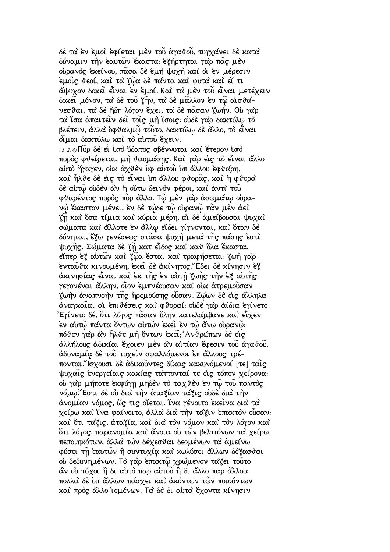δε τα εν εμοι εφίεται μεν του άγαθου, τυγχανει δε κατα δύναμιν την εαυτών έκαστα: εξήρτηται γαρ πας μεν ουρανός εκείνου, πασα δε εμή ψυχή και οι εν μέρεσιν 'εμοις θεοί, και τα ζώα δε πάντα και φυτα και εί τι άψυχον δοκει είναι εν εμοί. Και τα μεν του είναι μετέχειν δοκει μόνον, τα δε του ζην, τα δε μαλλον εν τω αισθανεσθαι, τα δε ήδη λόγον έχει, τα δε πασαν ζωήν. Ου γαρ τα ίσα απαιτείν δεί τοις μή ίσοις: ούδε γαρ δακτύλω το βλέπειν, άλλα όφθαλμώ τούτο, δακτύλω δε άλλο, το είναι διμαι δακτύλω και το αυτου έχειν.

(3, 2, 4) Πύρ δε εί υπό ύδατος σβέννυται και έτερον υπό πυρός φθείρεται, μή θαυμάσης. Και γαρ εις το είναι άλλο αύτο ήγαγεν, ούκ άχθεν υφ αυτου υπ άλλου εφθαρη, και ήλθε δέ είς το είναι υπ άλλου φθοράς, και η φθορα δε αυτώ ουδεν άν η ούτω δεινον φέροι, και άντι του φθαρέντος πυρός πυρ άλλο. Τω μέν γαρ άσωματω ούρανω έκαστον μένει, εν δε τωδε τω ουρανω παν μεν άει ζη και δσα τίμια και κύρια μέρη, αι δε άμείβουσαι ψυχαι σώματα και άλλοτε έν άλλω είδει γίγνονται, και όταν δε δύνηται, έξω γενέσεως στασα ψυχή μετα της πάσης εστι ψυχης. Σώματα δε ζη κατ είδος και καθ όλα έκαστα, είπερ εξ αυτών και ζώα έσται και τραφήσεται: ζωη γαρ ένταυθα κινουμένη, εκει δε άκίνητος. Έδει δε κίνησιν εξ άκινησίας είναι και εκ της εν αυτη ζωης την εξ αυτης γεγονέναι άλλην, οίον εμπνέουσαν και ούκ άτρεμούσαν ζωήν άναπνοήν της ηρεμούσης ούσαν. Ζώων δε είς άλληλα άναγκαιαι αι επιθέσεις και φθοραί: ουδε γαρ αίδια εγίνετο. 'Εγίνετο δέ, ότι λόγος πασαν ύλην κατελαμβανε καὶ εἶχεν εν αυτώ παντα όντων αυτών εκεί εν τω άνω ουρανώ: πόθεν γαρ άν ἦλθε μη ὄντων εκει; Ανθρώπων δε εις άλλήλους άδικίαι έχοιεν μεν άν αιτίαν έφεσιν του άγαθου, άδυναμία δε του τυχείν σφαλλόμενοι επ άλλους τρέπονται. Ίσχουσι δε άδικούντες δίκας κακυνόμενοί [τε] ταις ψυχαίς ενεργείαις κακίας τάττονταί τε είς τόπον χείρονα: ού γαρ μήποτε εκφύγη μηδέν το ταχθέν εν τω του παντός νόμω. Εστι δε ου δια την αταξίαν ταξις ουδε δια την άνομίαν νόμος, ὥς τις οἴεται, ἵνα γένοιτο ἐκείνα δια τα` χείρω και ίνα φαίνοιτο, άλλα δια την ταξιν επακτον ούσαν: και ότι τάξις, άταξία, και δια τον νόμον και τον λόγον και δτι λόγος, παρανομία καὶ ἄνοια οὐ των βελτιόνων τα χείρω πεποιηκότων, άλλα των δέχεσθαι δεομένων τα άμείνω φύσει τη εαυτών ή συντυχία και κωλύσει άλλων δέξασθαι ου δεδυνημένων. Το γαρ επακτώ χρώμενον ταξει τουτο άν ου τύχοι ή δι αυτό παρ αυτου ή δι άλλο παρ άλλου: πολλα δε υπ άλλων πασχει και ακόντων των ποιούντων και πρός άλλο ιεμένων. Τα δε δι αυτα έχοντα κίνησιν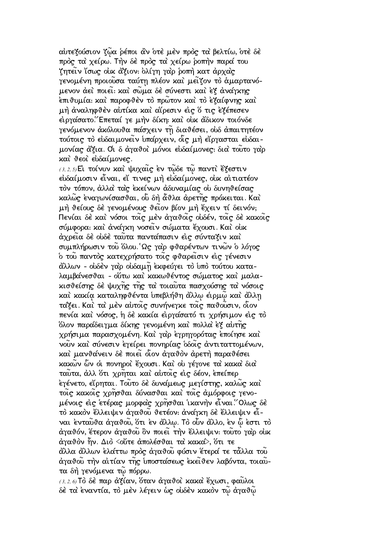αύτεξούσιον ζωα ρέποι άν οτè μèν προς τα βελτίω, οτè δè πρὸς τα χείρω. Την δε πρὸς τα χείρω ροπην παρα του ζητείν Ίσως ούκ άξιον: ολίγη γαρ ροπή κατ άρχας γενομένη προιούσα ταύτη πλέον και μείζον το άμαρτανόμενον άει ποιεί: και σώμα δε σύνεστι και εξ ανάγκης επιθυμία: και παροφθέν το πρώτον και το εξαίφνης και μή άναληφθέν αυτίκα και αίρεσιν εις δ τις εξέπεσεν ειργάσατο. Επεταί γε μην δίκη: και ούκ άδικον τοιόνδε γενόμενον άκόλουθα πάσχειν τη διαθέσει, ούδ άπαιτητέον τούτοις τὸ εὐδαιμονεῖν ὑπάρχειν, δίς μὴ εἴργασται εὐδαιμονίας άξια. Οι δ άγαθοι μόνοι ευδαίμονες: δια τουτο γαρ και θεοι ευδαίμονες.

 $(3, 2, 5)$ Ει τοίνυν και ψυχαίς έν τώδε τω παντι έξεστιν εύδαίμοσιν είναι, εί τινες μή εύδαίμονες, ούκ αιτιατέον τον τόπον, άλλα τας εκείνων άδυναμίας ου δυνηθείσας καλώς εναγωνίσασθαι, ού δη άθλα άρετης πρόκειται. Και μή θείους δε γενομένους θείον βίον μή έχειν τί δεινόν; Πενίαι δε και νόσοι τοις μεν άγαθοις ουδέν, τοις δε κακοις σύμφορα: και άνάγκη νοσείν σώματα έχουσι. Και ουκ άχρεια δε ούδε ταυτα παντάπασιν εις σύνταξιν και συμπλήρωσιν του δλου. Ώς γαρ φθαρέντων τινών ο λόγος δ του παντός κατεχρήσατο τοις φθαρεισιν εις γένεσιν άλλων - ουδέν γαρ ουδαμη εκφεύγει το υπο τούτου καταλαμβάνεσθαι - ούτω και κακωθέντος σώματος και μαλακισθείσης δε ψυχης της τα τοιαύτα πασχούσης τα νόσοις και κακία καταληφθέντα υπεβλήθη άλλω είρμω και άλλη ταξει. Και τα μεν αυτοις συνήνεγκε τοις παθουσιν, οιον πενία και νόσος, η δε κακία ειργάσατό τι χρήσιμον εις το δλον παραδειγμα δίκης γενομένη και πολλα έξ αυτής χρήσιμα παρασχομένη. Και γαρ εγρηγορότας εποίησε και νουν και σύνεσιν εγείρει πονηρίας δδοις άντιταττομένων, και μανθάνειν δε ποιεί δίον άγαθον άρετη παραθέσει κακών ὧν οι πονηροι έχουσι. Και ου γέγονε τα κακα δια ταύτα, άλλ ότι χρήται και αύτοις εις δέον, επείπερ έγένετο, είρηται. Τούτο δε δυνάμεως μεγίστης, καλώς και τοις κακοις χρησθαι δύνασθαι και τοις άμόρφοις γενομένοις εις ετέρας μορφας χρήσθαι ικανήν είναι. Όλως δε το κακον έλλειψιν αγαθού θετέον: αναγκη δε έλλειψιν είναι 'ενταῦθα ἀγαθοῦ, ὅτι 'εν ἄλλῳ. Τὸ οὖν ἄλλο, 'εν ὧ 'εστι τὸ άγαθόν, έτερον άγαθου όν ποιεί την έλλειψιν: τουτο γαρ ούκ άγαθον ήν. Διο <ούτε απολέσθαι τα κακά>, ότι τε άλλα άλλων ελαττω προς αγαθού φύσιν έτερα τε τάλλα του άγαθού την αιτίαν της υποστάσεως εκείθεν λαβόντα, τοιαύτα δή γενόμενα τω πόρρω.

 $(3, 2, 6)$  Το δέ παρ άζίαν, όταν άγαθοι κακα έχωσι, φαυλοι δὲ τα εναντία, τὸ μèν λέγειν ὡς οὐδὲν κακὸν τῷ ἀγαθῷ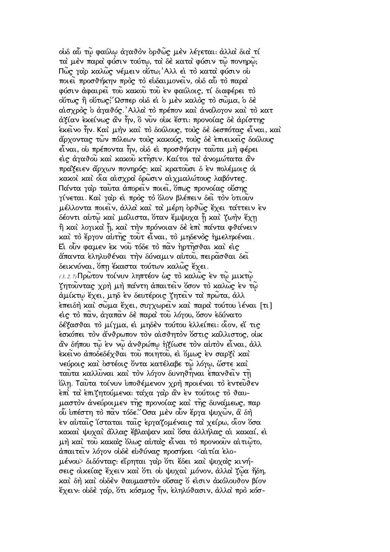ούδ αύ τω φαύλω άγαθον ορθώς μεν λέγεται: άλλα δια τί τα μέν παρα φύσιν τούτω, τα δέ κατα φύσιν τω πονηρώ; Πώς γαρ καλώς νέμειν ούτω; Αλλ ει το κατα φύσιν ου ποιεί προσθήκην πρός το ευδαιμονείν, ουδ αύ το παρα φύσιν άφαιρεί του κακού του εν φαύλοις, τί διαφέρει το ούτως ή ούτως; Ωσπερ ουδ εί ο μεν καλός το σώμα, ο δε αισχρός ο άγαθός. Αλλα το πρέπον και αναλογον και το κατ άξίαν εκείνως άν ἦν, δ νὖν οὐκ ἔστι: προνοίας δε άρίστης έκεινο ήν. Και μην και το δούλους, τους δε δεσπότας είναι, και άρχοντας των πόλεων τους κακούς, τους δε επιεικείς δούλους είναι, ου πρέποντα ήν, ουδ ει προσθήκην ταυτα μη φέρει εις άγαθου και κακού κτήσιν. Καίτοι τα άνομώτατα άν πραξειεν άρχων πονηρός: και κρατούσι δ΄ εν πολέμοις οι κακοί και δία αισχρα δρώσιν αιχμαλώτους λαβόντες. Πάντα γαρ ταυτα άπορείν ποιεί, όπως προνοίας ούσης γίνεται. Και γαρ ει πρός το όλον βλέπειν δει τον οτιούν μέλλοντα ποιείν, άλλα και τα μέρη ορθώς έχει τάττειν εν δέοντι αυτώ και μαλιστα, όταν έμψυχα ή και ζωην έχη ή και λογικα ή, και την πρόνοιαν δε επι πάντα φθάνειν και το έργον αυτής τουτ είναι, το μηδενος ημεληκέναι. Ει ούν φαμεν έκ νου τόδε το παν ηρτησθαι και είς άπαντα εληλυθέναι την δύναμιν αύτου, πειρασθαι δεί δεικνύναι, όπη έκαστα τούτων καλώς έχει. (3, 2, 7) Πρώτον τοίνυν ληπτέον ως το καλώς εν τω μικτώ ζητούντας χρή μή πάντη άπαιτείν δσον το καλώς εν τώ άμίκτω έχει, μηδ εν δευτέροις ζητείν τα πρώτα, άλλ έπειδή και σὧμα έχει, συγχωρείν και παρα τούτου ιέναι [τι] εις το πάν, άγαπαν δε παρα του λόγου, όσον εδύνατο δέξασθαι τὸ μίγμα, ει μηδεν τούτου ελλείπει: οἶον, εἴ τις έσκόπει τον άνθρωπον τον αισθητον όστις καλλιστος, ούκ άν δήπου τω έν νω άνθρώπω ήξίωσε τον αυτον είναι, άλλ εκείνο άποδεδέχθαι του ποιητου, ει όμως εν σαρξί και νεύροις και όστέοις όντα κατέλαβε τω λόγω, ώστε και ταυτα καλλύναι και τον λόγον δυνηθηναι επανθείν τη ύλη. Ταυτα τοίνυν υποθέμενον χρή προιέναι το εντευθεν έπι τα έπιζητούμενα: τάχα γαρ άν εν τούτοις το θαυμαστον ανεύροιμεν της προνοίας και της δυναμεως, παρ οὗ ὑπέστη τὸ πᾶν τόδε. Όσα μèν οὖν ἔργα ψυχῶν, ὰ δὴ έν αυταις ίσταται ταις εργαζομέναις τα χείρω, οιον δσα κακαὶ ψυχαὶ ἄλλας ἔβλαψαν καὶ ὅσα ἀλλήλας αἱ κακαί, εἰ μή και του κακας δλως αύτας είναι το προνοουν αιτιώτο, άπαιτείν λόγον ουδέ ευθύνας προσήκει <αιτία ελομένου> διδόντας: εἴρηται γαρ ὅτι ἔδει και ψυχας κινήσεις οικείας έχειν και ότι ου ψυχαι μόνον, άλλα ζωα ήδη, και δη και ούδεν θαυμαστον ούσας δ είσιν ακόλουθον βίον έχειν: ουδέ γαρ, ότι κόσμος ήν, εληλύθασιν, άλλα πρό κόσ-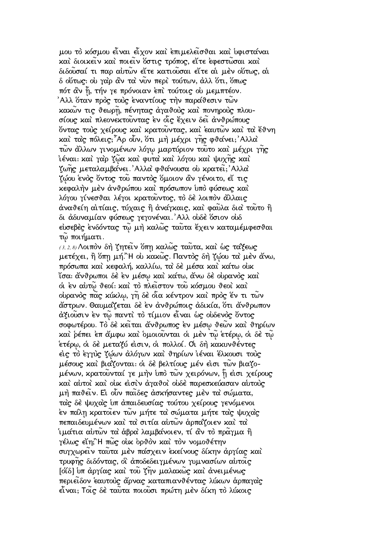μου τὸ κόσμου ἐίναι ἐίχον καὶ ἐπιμελεισθαι καὶ ὑφιστάναι και διοικείν και ποιείν όστις τρόπος, είτε εφεστώσαι και διδουσαί τι παρ αυτών είτε κατιουσαι είτε αι μεν ούτως, αι δ ούτως: ου γαρ άν τα νυν περι τούτων, άλλ ότι, όπως πότ άν ή, τήν γε πρόνοιαν έπι τούτοις ου μεμπτέον. 'Αλλ όταν πρός τούς εναντίους την παράθεσιν των κακών τις θεωρη, πένητας άγαθούς και πονηρούς πλουσίους και πλεονεκτούντας εν οις έχειν δει ανθρώπους όντας τούς χείρους και κρατούντας, και εαυτών και τα έθνη και τας πόλεις; Αρ ούν, ότι μη μέχρι γης φθάνει; Αλλα τῶν ἄλλων γινομένων λόγω μαρτύριον τούτο και μέχρι γης ιέναι: και γαρ ζώα και φυτα και λόγου και ψυχης και ζωης μεταλαμβάνει. Αλλα φθάνουσα ου κρατει; Αλλα ζώου ενός όντος του παντός όμοιον άν γένοιτο, εί τις κεφαλήν μέν άνθρώπου και πρόσωπον υπό φύσεως και λόγου γίνεσθαι λέγοι κρατούντος, τὸ δε λοιπον άλλαις άναθείη αιτίαις, τύχαις ή άναγκαις, και φαυλα δια τουτο ή δι άδυναμίαν φύσεως γεγονέναι. Αλλ ουδε όσιον ουδ εύσεβές ενδόντας τω μή καλώς ταύτα έχειν καταμέμφεσθαι τώ ποιήματι.

 $(3, 2, 8)$  Λοιπον δη ζητείν όπη καλώς ταυτα, και ως ταξεως μετέχει, ή όπη μή. Η ου κακώς. Παντός δη ζώου τα μεν άνω, πρόσωπα καὶ κεφαλή, καλλίω, τα δὲ μέσα καὶ κάτω οὐκ ἴσα: ἄνθρωποι δὲ ἐν μέσῳ καὶ κάτω, ἄνω δὲ οὐρανὸς καὶ οι έν αυτώ θεοί: και το πλείστον του κόσμου θεοι και ούρανός πάς κύκλω, γη δέ οία κέντρον και πρός έν τι των άστρων. Θαυμάζεται δε εν άνθρώποις άδικία, ότι άνθρωπον άξιουσιν έν τώ παντι το τίμιον είναι ως ουδενος όντος σοφωτέρου. Τὸ δὲ κείται άνθρωπος εν μέσω θεών και θηρίων και ρέπει επ άμφω και ομοιούνται οι μεν τω ετέρω, οι δε τω ετέρω, οι δε μεταξύ εισιν, οι πολλοί. Οι δη κακυνθέντες εις το εγγύς ζώων άλόγων και θηρίων ιέναι έλκουσι τους μέσους και βιαζονται: οι δε βελτίους μέν εισι των βιαζομένων, κρατούνταί γε μην υπό των χειρόνων, η είσι χείρους και αυτοί και ούκ είσιν άγαθοι ούδε παρεσκεύασαν αυτούς μή παθείν. Ει ούν παιδες άσκήσαντες μεν τα σώματα, τας δε ψυχας υπ απαιδευσίας τούτου χείρους γενόμενοι έν πάλη κρατοίεν τῶν μήτε τα σώματα μήτε τας ψυχας πεπαιδευμένων και τα σιτία αυτών άρπαζοιεν και τα ιμάτια αυτών τα άβρα λαμβάνοιεν, τί άν το πραγμα ή γέλως είη; Η πώς ούκ ορθόν και τον νομοθέτην συγχωρείν ταύτα μέν πάσχειν εκείνους δίκην άργίας και τρυφης διδόντας, οι αποδεδειγμένων γυμνασίων αυτοίς [οΐδ] υπ άργίας και του ζην μαλακώς και άνειμένως περιειδον εαυτούς άρνας καταπιανθέντας λύκων άρπαγας εἶναι; Τοις δε ταυτα ποιουσι πρώτη μεν δίκη το λύκοις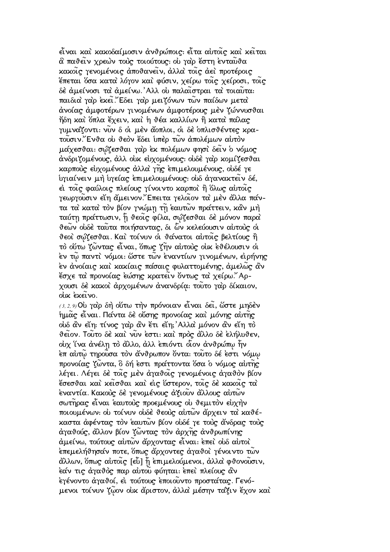είναι και κακοδαίμοσιν ανθρώποις: είτα αυτοις και κειται α παθείν χρεων τους τοιούτους: ου γαρ έστη ενταύθα κακοίς γενομένοις άποθανείν, άλλα τοις άει προτέροις επεται όσα κατα λόγον και φύσιν, χείρω τοις χείροσι, τοις δέ άμείνοσι τα άμείνω. Αλλ ου παλαϊστραι τα τοιαύτα: παιδια γαρ εκει. Έδει γαρ μειζόνων των παίδων μετα άνοίας άμφοτέρων γινομένων άμφοτέρους μεν ζώννυσθαι ήδη και δπλα έχειν, και η θέα καλλίων ή κατα πάλας γυμνα (οντι: νύν δ οι μέν άοπλοι, οι δε οπλισθέντες κρατουσιν. Ένθα ου θεόν έδει υπέρ των απολέμων αυτόν μάχεσθαι: σώζεσθαι γαρ έκ πολέμων φησι δείν ο νόμος άνδριζομένους, άλλ ούκ ευχομένους: ούδε γαρ κομίζεσθαι καρπούς ευχομένους άλλα γης επιμελουμένους, ουδέ γε υγιαίνειν μη υγείας επιμελουμένους: ουδ άγανακτείν δέ, ει τοις φαύλοις πλείους γίνοιντο καρποι ή όλως αυτοις γεωργούσιν είη άμεινον. Έπειτα γελοίον τα μεν άλλα πάντα τα κατα τον βίον γνώμη τη εαυτών πράττειν, κάν μη ταύτη πράττωσιν, η θεοις φίλα, σώζεσθαι δε μόνον παρα θεών ουδέ ταυτα ποιήσαντας, δι ών κελεύουσιν αυτους οι θεοί σώζεσθαι. Και τοίνυν οι θανατοι αυτοις βελτίους ή το ούτω ζώντας είναι, όπως ζην αυτούς ουκ εθέλουσιν οι έν τώ παντι νόμοι: ώστε τών εναντίων γινομένων, ειρήνης έν άνοίαις καὶ κακίαις πάσαις φυλαττομένης, άμελως ἀν έσχε τα προνοίας εώσης κρατείν όντως τα χείρω. Αρχουσι δέ κακοί άρχομένων άνανδρία: τούτο γαρ δίκαιον, ούκ εκείνο.

(3, 2, 9) Ου γαρ δη ούτω την πρόνοιαν είναι δει, ώστε μηδέν ημάς είναι. Πάντα δε ούσης προνοίας και μόνης αυτής ούδ άν είη: τίνος γαρ άν έτι είη; Αλλα μόνον άν είη το θείον. Τούτο δέ και νύν εστι: και πρός άλλο δε ελήλυθεν, ουχ ίνα ανέλη το άλλο, αλλ επιόντι οίον ανθρώπω ήν επ αυτώ τηρουσα τον άνθρωπον όντα: τουτο δέ εστι νόμω προνοίας ζώντα, δ δή έστι πράττοντα όσα ο νόμος αυτής λέγει. Λέγει δε τοις μεν άγαθοις γενομένοις άγαθον βίον έσεσθαι και κείσθαι και είς ύστερον, τοις δε κακοίς τα έναντία. Κακούς δε γενομένους άξιουν άλλους αυτών σωτήρας είναι εαυτούς προεμένους ου θεμιτον ευχήν ποιουμένων: ου τοίνυν ουδέ θεούς αυτών άρχειν τα καθέκαστα άφέντας τον εαυτών βίον ουδέ γε τους άνδρας τους άγαθούς, άλλον βίον ζωντας τον άρχης άνθρωπίνης άμείνω, τούτους αυτών άρχοντας είναι: επει ουδ αυτοι έπεμελήθησαν ποτε, όπως άρχοντες αγαθοί γένοιντο των άλλων, όπως αυτοις [εύ] η επιμελούμενοι, άλλα φθονουσιν, έαν τις άγαθός παρ αυτου φύηται: επει πλείους άν έγένοντο άγαθοί, ει τούτους εποιούντο προστάτας. Γενόμενοι τοίνυν ζώον ουκ άριστον, άλλα μέσην ταξιν έχον και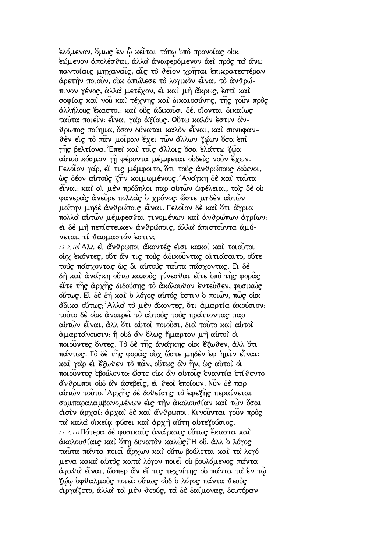ελόμενον, όμως έν ὧ κειται τόπω υπό προνοίας ουκ έώμενον άπολέσθαι, άλλα άναφερόμενον άει πρός τα άνω παντοίαις μηχαναίς, αίς το θείον χρήται επικρατεστέραν άρετην ποιούν, ούκ άπώλεσε το λογικον είναι το άνθρώπινον γένος, άλλα μετέχον, ει και μη άκρως, εστι και σοφίας και νου και τέχνης και δικαιοσύνης, της γουν πρός άλλήλους έκαστοι: και ούς άδικουσι δέ, οίονται δικαίως ταύτα ποιείν: είναι γαρ άξίους. Ούτω καλόν εστιν άνθρωπος ποίημα, όσον δύναται καλόν είναι, και συνυφανθέν εις το παν μοιραν έχει των άλλων ζώων δσα επι γης βελτίονα. Επει και τοις άλλοις όσα ελάττω ζώα αύτου κόσμον γη φέροντα μέμφεται ουδείς νουν έχων. Γελοίον γάρ, εί τις μέμφοιτο, ότι τούς άνθρώπους δάκνοι, ώς δέον αυτούς ζην κοιμωμένους. Ανάγκη δε και ταυτα εἶναι: και αί μεν πρόδηλοι παρ αυτών ώφέλειαι, τας δε ου φανερας άνεύρε πολλας ο χρόνος: ώστε μηδέν αυτών μάτην μηδέ άνθρώποις είναι. Γελοίον δέ και ότι άγρια πολλα αυτών μέμφεσθαι γινομένων και ανθρώπων αγρίων: ει δε μή πεπίστευκεν άνθοώποις, άλλα άπιστούντα άμύνεται, τί θαυμαστόν έστιν;

(3, 2, 10) Αλλ ει άνθρωποι άκοντές είσι κακοί και τοιούτοι ούχ εκόντες, ούτ άν τις τους αδικούντας αιτιασαιτο, ούτε τούς πάσχοντας ως δι αυτούς ταυτα πάσχοντας. Ει δέ δη και άναγκη ούτω κακούς γίνεσθαι είτε υπό της φοράς είτε της άρχης διδούσης το ακόλουθον εντεύθεν, φυσικώς ούτως. Ει δέ δη και ο λόγος αυτός εστιν ο ποιών, πως ουκ άδικα ούτως; Αλλα το μεν άκοντες, ότι άμαρτία ακούσιον: τούτο δέ ουκ άναιρεί το αύτους τους πραττοντας παρ αύτων είναι, άλλ ότι αύτοι ποιουσι, δια τουτο και αύτοι άμαρτανουσιν: η ουδ άν δλως ήμαρτον μη αυτοί οι ποιούντες όντες. Το δε της αναγκης ούκ έξωθεν, αλλ ότι πάντως. Τὸ δὲ της φορας ουχ ὥστε μηδεν 'εφ ημίν εἶναι: και γαρ ει έξωθεν το παν, ούτως αν ήν, ως αυτοι οι ποιούντες εβούλοντο: ώστε ούκ άν αύτοις εναντία ετίθεντο άνθρωποι ουδ άν άσεβείς, ει θεοι εποίουν. Νύν δε παρ αύτων τούτο. Αρχης δε δοθείσης το εφεξης περαίνεται συμπαραλαμβανομένων εις την ακολουθίαν και των δσαι εισιν άρχαί: άρχαι δε και άνθρωποι. Κινούνται γούν πρός τα καλα οίκεία φύσει και άρχη αύτη αυτεξούσιος. (3, 2, 11) Πότερα δε φυσικαίς αναγκαις ούτως έκαστα και άκολουθίαις και όπη δυνατον καλώς; Η ού, άλλ ο λόγος ταύτα πάντα ποιεί άρχων και ούτω βούλεται και τα λεγόμενα κακα αύτος κατα λόγον ποιεί ου βουλόμενος πάντα άγαθα είναι, ώσπερ άν εί τις τεχνίτης ου πάντα τα εν τω ζώω οφθαλμούς ποιεί: ούτως ουδ ο λόγος παντα θεούς ειργαζετο, άλλα τα μεν θεούς, τα δε δαίμονας, δευτέραν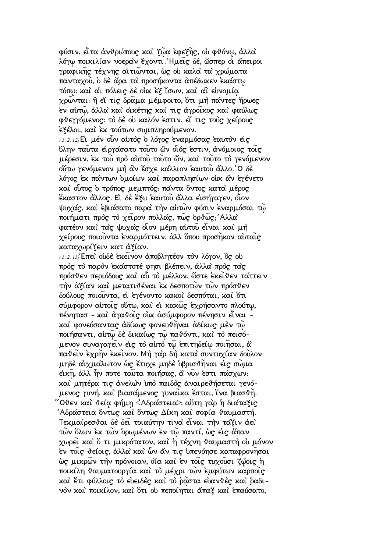φύσιν, είτα άνθρώπους και ζώα εφεξής, ου φθόνω, άλλα λόγω ποικιλίαν νοεραν έχοντι. Ημείς δέ, ώσπερ οι άπειροι γραφικής τέχνης αιτιώνται, ως ου καλα τα χρώματα πανταχου, ο δε άρα τα προσήκοντα απέδωκεν εκαστω τόπω: και αί πόλεις δε ούκ εξ Ίσων, και αι εύνομία γρώνται: ή εί τις δράμα μέμφοιτο, ότι μή πάντες ήρωες έν αυτῷ, ἀλλα και οικέτης καί τις άγροικος και φαύλως φθεγγόμενος: τὸ δὲ ου καλόν 'εστιν, εί τις τους χείρους εξέλοι, και έκ τούτων συμπληρούμενον.

(3, 2, 12) Ει μέν ούν αυτός ο λόγος εναρμόσας εαυτόν είς ύλην ταυτα ειργασατο τουτο ών οιός εστιν, ανόμοιος τοις μέρεσιν, έκ του πρό αύτου τουτο ών, και τουτο το γενόμενον ούτω γενόμενον μη άν έσχε καλλιον εαυτου άλλο. Ο δέ λόγος έκ πάντων δμοίων και παραπλησίων ουκ άν εγένετο και ούτος ο τρόπος μεμπτός: πάντα όντος κατα μέρος έκαστον άλλος. Ει δε έξω εαυτου άλλα εισήγαγεν, οίον ψυχας, και έβιασατο παρα την αυτών φύσιν εναρμόσαι τω ποιήματι πρός το χείρον πολλάς, πως ορθώς; Αλλα φατέον και τας ψυχας οίον μέρη αυτου είναι και μή χείρους ποιούντα εναρμόττειν, άλλ όπου προσήκον αυταίς καταχωρίζειν κατ άξίαν.

 $(3, 2, 13)$  Επεί ουδέ εκείνον άποβλητέον τον λόγον, δς ου πρὸς τὸ παρὸν ἑκαστοτέ φησι βλέπειν, ἀλλα πρὸς τας πρόσθεν περιόδους και αύ το μέλλον, ώστε εκειθεν τάττειν την άζίαν και μετατιθέναι εκ δεσποτών των πρόσθεν δούλους ποιούντα, ει εγένοντο κακοί δεσπόται, και ότι σύμφορον αυτοίς ούτω, και εί κακώς εχρήσαντο πλούτω, πένητασ - και άγαθοις ούκ ασύμφορον πένησιν είναι και φονεύσαντας άδίκως φονευθήναι άδίκως μέν τω ποιήσαντι, αυτώ δε δικαίως τώ παθόντι, και το πεισόμενον συναγαγείν είς το αύτο τω επιτηδείω ποιήσαι, α παθείν εχρην εκείνον. Μη γαρ δη κατα συντυχίαν δούλον μηδε αιχμαλωτον ως έτυχε μηδε υβρισθηναι εις σωμα εικη, άλλ ήν ποτε ταυτα ποιήσας, α νυν έστι πασχων: και μητέρα τις άνελων υπό παιδός άναιρεθήσεται γενόμενος γυνή, και βιασάμενος γυναικα έσται, ίνα βιασθη. **΄Οθεν καὶ θεία φήμη <Αδράστεια>: αὕτη γαρ ἡ διάταξις** 'Αδράστεια όντως και όντως Δίκη και σοφία θαυμαστή. Τεκμαίρεσθαι δέ δει τοιαύτην τινα είναι την ταξιν άει τῶν ὅλων ἐκ τῶν ὁρωμένων ἐν τῷ παντί, ὡς ἐις ἄπαν χωρεί και δ τι μικρότατον, και η τέχνη θαυμαστη ου μόνον έν τοις θείοις, άλλα και ὧν άν τις υπενόησε καταφρονησαι ώς μικρών την πρόνοιαν, οία και έν τοις τυχούσι ζώοις η ποικίλη θαυματουργία και το μέχρι των εμφύτων καρποις και έτι φύλλοις το ευειδές και το ράστα ευανθές και ραδινόν και ποικίλον, και ότι ου πεποίηται άπαξ και επαύσατο,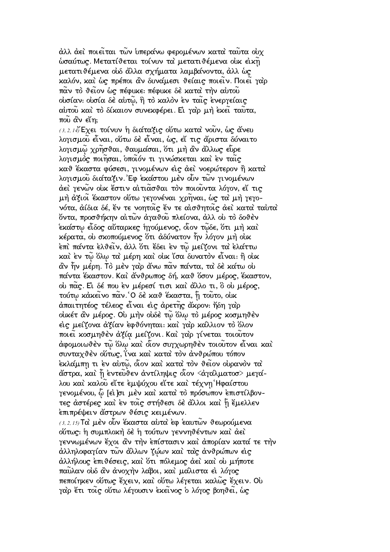άλλ άει ποιείται των υπερανω φερομένων κατα ταυτα ουχ ώσαύτως. Μετατίθεται τοίνυν τα μετατιθέμενα ούκ είκη μετατιθέμενα ούδ άλλα σχήματα λαμβάνοντα, άλλ ως καλόν, και ώς πρέποι άν δυναμεσι θείαις ποιείν. Ποιεί γαρ παν το θείον ώς πέφυκε: πέφυκε δε κατα την αυτού ουσίαν: ουσία δέ αυτώ, ή το καλον έν ταις ενεργείαις αύτου και το δίκαιον συνεκφέρει. Ει γαρ μη εκεί ταυτα, 

 $(3, 2, 14)$  Εχει τοίνυν η διάταξις ούτω κατα νουν, ως άνευ λογισμού είναι, ούτω δε είναι, ώς, εί τις άριστα δύναιτο λογισμώ χρήσθαι, θαυμάσαι, ότι μή άν άλλως εύρε λογισμός ποιήσαι, οποιόν τι γινώσκεται και έν ταις καθ έκαστα φύσεσι, γινομένων είς άει νοερώτερον ή κατα λογισμού διαταξιν. Εφ εκαστου μέν ούν των γινομένων άει γενών ούκ έστιν αιτιασθαι τον ποιούντα λόγον, εί τις μή άξιοι έκαστον ούτω γεγονέναι χρηναι, ως τα μή γεγονότα, αίδια δέ, έν τε νοητοις έν τε αισθητοις αει κατα ταυτα όντα, προσθήκην αιτών αγαθού πλείονα, άλλ ου το δοθέν εκάστω είδος αύταρκες ηγούμενος, οίον τωδε, ότι μη και κέρατα, ου σκοπούμενος ότι άδύνατον ήν λόγον μη ούκ 'επι πάντα 'ελθεϊν, άλλ ότι 'έδει 'εν τῷ μείζονι τα 'ελάττω και εν τω δλω τα μέρη και ουκ ίσα δυνατον είναι: η ουκ άν ήν μέρη. Τὸ μèν γαρ άνω παν παντα, τα δè κατω ου πάντα έκαστον. Και άνθρωπος δή, καθ όσον μέρος, έκαστον, ού πάς. Ει δέ που εν μέρεσί τισι και άλλο τι, δ ου μέρος, τούτω κάκείνο παν. Ο δε καθ έκαστα, η τούτο, ούκ άπαιτητέος τέλεος είναι εις άρετης άκρον: ήδη γαρ ούκέτ άν μέρος. Ου μήν ουδε τω δλω το μέρος κοσμηθεν εις μείζονα άξίαν εφθόνηται: και γαρ καλλιον το δλον ποιεί κοσμηθέν άξία μείζονι. Και γαρ γίνεται τοιούτον άφομοιωθέν τῷ ὅλω καὶ οἶον συγχωρηθέν τοιοῦτον εἶναι καὶ συνταχθέν ούτως, ίνα και κατα τον ανθρώπου τόπον έκλαμπη τι έν αυτώ, δίον και κατα τον θείον ουρανον τα άστρα, και η εντεύθεν αντίληψις οίον <αγαλματοσ> μεγαλου και καλού είτε εμψύχου είτε και τέχνη Ηφαίστου γενομένου, ω [εί ]σι μεν και κατα το πρόσωπον επιστίλβοντες άστέρες και έν τοις στήθεσι δε άλλοι και η έμελλεν επιπρέψειν άστρων θέσις κειμένων.

 $(3, 2, 15)$  Τα μέν ούν έκαστα αύτα έφ εαυτών θεωρούμενα ούτως: η συμπλοκη δε η τούτων γεννηθέντων και άει γεννωμένων έχοι άν την επίστασιν και άπορίαν κατά τε την άλληλοφαγίαν των άλλων ζώων και τας ανθρώπων εις άλλήλους επιθέσεις, και ότι πόλεμος άει και ου μήποτε παύλαν ουδ άν άνοχην λαβοι, και μαλιστα ει λόγος πεποίηκεν ούτως έχειν, και ούτω λέγεται καλώς έχειν. Ου γαρ έτι τοις ούτω λέγουσιν εκεινος ο λόγος βοηθει, ώς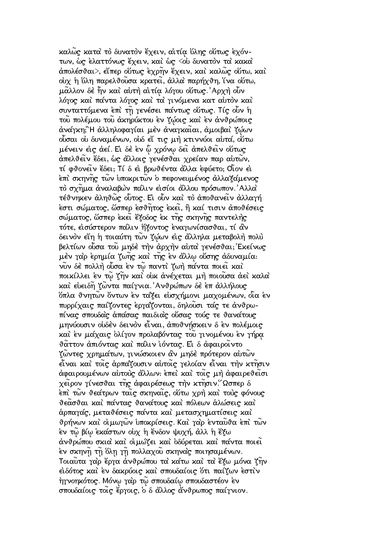καλώς κατα το δυνατον έχειν, αιτία ύλης ούτως εχόντων, ώς ελαττόνως έχειν, και ώς <ού δυνατον τα κακα άπολέσθαι>, είπερ ούτως εχρην έχειν, και καλώς ούτω, και ούχ η ύλη παρελθούσα κρατεί, άλλα παρήχθη, ίνα ούτω, μαλλον δε ήν και αυτή αιτία λόγου ούτως. Αρχή ούν λόγος και πάντα λόγος και τα γινόμενα κατ αυτον και συνταττόμενα επι τη γενέσει πάντως ούτως. Τίς ούν η του πολέμου του άκηρύκτου έν ζώοις και έν άνθρώποις άναγκη,"Η άλληλοφαγίαι μέν άναγκαιαι, άμοιβαι ζώων ούσαι ου δυναμένων, ουδ εί τις μή κτιννύοι αυτά, ούτω μένειν εις άεί. Ει δε εν ὧ χρόνω δει άπελθειν ούτως άπελθεϊν έδει, ως άλλοις γενέσθαι χρείαν παρ αυτών, τί φθονείν έδει; Τί δ ει βρωθέντα άλλα εφύετο; Οίον ει έπι σκηνής των υποκριτών ο πεφονευμένος άλλαζάμενος τὸ σχημα ἀναλαβων παλιν εισίοι άλλου πρόσωπον. Αλλα τέθνηκεν άληθώς ούτος. Ει ούν και το άποθανεϊν άλλαγή έστι σώματος, ὥσπερ ἐσθήτος ἐκει, ἢ καί τισιν ἀποθέσεις σώματος, ώσπερ εκει έξοδος εκ της σκηνης παντελής τότε, εισύστερον πάλιν ήξοντος εναγωνίσασθαι, τί άν δεινον είη η τοιαύτη των ζώων εις άλληλα μεταβολη πολυ βελτίων ούσα του μηδε την άρχην αυτα γενέσθαι; Εκείνως μέν γαρ ερημία ζωής και της εν άλλω ούσης αδυναμία: νυν δε πολλή ούσα εν τω παντι ζωή παντα ποιεί και ποικίλλει έν τῷ ζῆν και ουκ ανέχεται μή ποιουσα άει καλα και ευειδή ζώντα παίγνια. Ανθρώπων δε επ άλλήλους δπλα θνητὧν ὄντων εν ταζει ευσχήμονι μαχομένων, δία εν πυρρίχαις παίζοντες εργαζονται, δηλούσι τας τε άνθρωπίνας σπουδας άπάσας παιδιας ούσας τούς τε θανάτους μηνύουσιν ουδέν δεινον είναι, άποθνήσκειν δ εν πολέμοις και εν μάχαις ολίγον προλαβόντας του γινομένου εν γήρα θαττον άπιόντας και πάλιν ιόντας. Ει δ άφαιροϊντο ζωντες χρημάτων, γινώσκοιεν άν μηδέ πρότερον αυτών εἶναι και τοις άρπαζουσιν αυτοις γελοίαν εἶναι την κτησιν άφαιρουμένων αυτούς άλλων: επεί και τοις μή άφαιρεθείσι χείρον γίνεσθαι της άφαιρέσεως την κτησιν. Ώσπερ δ έπι των θεάτρων ταις σκηναις, ούτω χρη και τους φόνους θεασθαι και πάντας θανάτους και πόλεων άλώσεις και άρπαγάς, μεταθέσεις πάντα και μετασχηματίσεις και θρήνων και οιμωγών υποκρίσεις. Και γαρ ενταυθα επι των εν τῳ βίῳ εκαστων οὐχ ἡ ἔνδον ψυχή, ἀλλ ἡ ἔζω άνθρώπου σκια και σιμώζει και σδύρεται και πάντα ποιεί έν σκηνῆ τῆ ὅλη γῆ πολλαχοῦ σκηνας ποιησαμένων. Τοιαυτα γαρ έργα ανθρώπου τα κατω και τα έξω μόνα ζην ειδότος και εν δακρύοις και σπουδαίοις ότι παίζων εστιν ηγνοηκότος. Μόνω γαρ τω σπουδαίω σπουδαστέον εν σπουδαίοις τοις έργοις, ο δ άλλος άνθρωπος παίγνιον.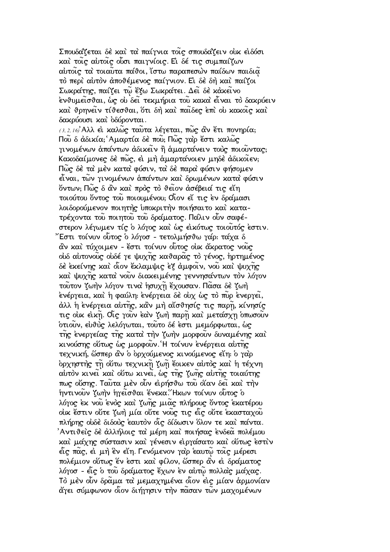Σπουδαζεται δε και τα παίγνια τοις σπουδαζειν ουκ ειδόσι και τοις αυτοις ούσι παιγνίοις. Ει δέ τις συμπαίζων αύτοις τα τοιαυτα πάθοι, ίστω παραπεσων παίδων παιδιά τὸ περὶ αὐτὸν ἀποθέμενος παίγνιον. Ει δὲ δή καὶ παίζοι Σωκράτης, παίζει τω έξω Σωκράτει. Δει δε κάκεινο ένθυμεῖσθαι, ὡς οὐ δεῖ τεκμήρια τοῦ κακα εἶναι τὸ δακρύειν και θρηνείν τίθεσθαι, ότι δη και παιδες επι ου κακοίς και δακρύουσι και οδύρονται.

(3, 2, 16) Αλλ εί καλώς ταύτα λέγεται, πώς άν έτι πονηρία; Που δ άδικία; Αμαρτία δε που; Πως γαρ έστι καλώς γινομένων απάντων αδικείν ή αμαρτανειν τους ποιούντας; Κακοδαίμονες δε πώς, ει μη άμαρτανοιεν μηδε άδικοιεν; Πὦς δε τα μεν κατα φύσιν, τα δε παρα φύσιν φήσομεν εἶναι, τῶν γινομένων ἁπάντων καὶ δρωμένων κατα φύσιν όντων; Πῶς δ ἀν και πρὸς τὸ θεῖον ἀσέβεια τις είη τοιούτου όντος του ποιουμένου: Οίον εί τις εν δράμασι λοιδορούμενον ποιητής υποκριτήν ποιήσαιτο και κατατρέχοντα του ποιητου του δραματος. Παλιν ούν σαφέστερον λέγωμεν τίς ο λόγος και ώς εικότως τοιούτός εστιν. "Εστι τοίνυν οὗτος ὁ λόγοσ - τετολμήσθω γαρ: τα΄χα δ άν και τύχοιμεν - έστι τοίνυν ούτος ουκ άκρατος νους ούδ αυτονούς ουδέ γε ψυχης καθαράς το γένος, ηρτημένος δε εκείνης και δίον έκλαμψις εξ άμφοιν, νου και ψυχης και ψυχης κατα νουν διακειμένης γεννησάντων τον λόγον τούτον ζωήν λόγον τινα ήσυχη έχουσαν. Πασα δε ζωή ένέργεια, και η φαύλη: ενέργεια δε ουχ ως το πυρ ενεργει, άλλ η ενέργεια αυτής, κάν μη αίσθησίς τις παρη, κίνησίς τις ούκ είκη. Οις γουν εαν ζωή παρη και μετασχη οπωσουν **δτιούν, ευθύς λελόγωται, τουτο δέ έστι μεμόρφωται, ως** της ενεργείας της κατα την ζωήν μορφούν δυναμένης και κινούσης ούτως ως μορφούν. Η τοίνυν ενέργεια αυτής τεχνική, ώσπερ άν ο ορχούμενος κινούμενος είη: ο γαρ όρχηστης τη ούτω τεχνικη ζωη έοικεν αυτος και η τέχνη αύτον κινεί και ούτω κινεί, ως της ζωής αύτης τοιαύτης πως ούσης. Ταύτα μέν ούν ειρήσθω του οίαν δει και την ήντινούν ζωήν ηγείσθαι ένεκα. Ήκων τοίνυν ούτος δ λόγος έκ νου ένος και ζωής μιας πλήρους όντος εκατέρου ούκ έστιν ούτε ζωή μία ούτε νους τις είς ούτε εκασταχου πλήρης ουδέ διδούς εαυτόν οις δίδωσιν όλον τε και πάντα. 'Αντιθεὶς δὲ ἀλλήλοις τα μέρη καὶ ποιήσας ἐνδεᾶ πολέμου και μάχης σύστασιν και γένεσιν ειργάσατο και ούτως εστιν είς πάς, ει μή εν είη. Γενόμενον γαρ εαυτώ τοις μέρεσι πολέμιον ούτως έν έστι και φίλον, ώσπερ άν ει δράματος λόγοσ - είς ο του δραματος έχων εν αυτώ πολλας μαχας. Τὸ μèν οἶν δραμα τα μεμαχημένα οἶον εις μίαν αρμονίαν άγει σύμφωνον οίον διήγησιν την πασαν των μαχομένων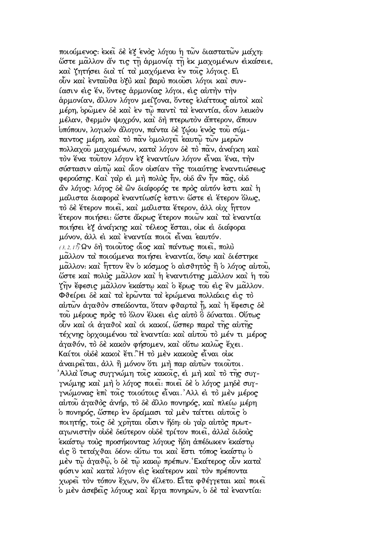ποιούμενος: εκει δε έξ ενός λόγου ή των διαστατών μάχη: ώστε μάλλον άν τις τη άρμονία τη έκ μαχομένων εικάσειε, και ζητήσει δια τί τα μαχόμενα εν τοις λόγοις. Ει ούν και ενταύθα όζυ και βαρύ ποιούσι λόγοι και συνίασιν είς έν, όντες άρμονίας λόγοι, είς αυτήν την άρμονίαν, άλλον λόγον μείζονα, όντες ελάττους αυτοί και μέρη, δρώμεν δε και εν τώ παντι τα εναντία, δίον λευκον μέλαν, θερμόν ψυχρόν, και δη πτερωτόν άπτερον, άπουν υπόπουν, λογικόν άλογον, παντα δε ζώου ενός του σύμπαντος μέρη, και το παν ομολογει εαυτώ των μερών πολλαχού μαχομένων, κατα λόγον δε το παν, άναγκη και τον ένα τούτον λόγον εξ εναντίων λόγον είναι ένα, την σύστασιν αυτώ και δίον ουσίαν της τοιαύτης εναντιώσεως φερούσης. Και γαρ εί μη πολύς ήν, ουδ άν ήν πάς, ουδ άν λόγος: λόγος δε ών διαφορός τε προς αυτόν έστι και ή μάλιστα διαφορα εναντίωσίς εστιν: ώστε ει έτερον όλως. τὸ δὲ έτερον ποιεί, και μαλιστα έτερον, άλλ ουχ ῆττον έτερον ποιήσει: ὥστε ἄκρως έτερον ποιων και τα εναντία ποιήσει εξ αναγκης και τέλεος έσται, ούκ ει διαφορα μόνον, άλλ εί και εναντία ποιοι είναι εαυτόν. (3, 2, 17) Ων δη τοιούτος οίος και παντως ποιεί, πολύ μάλλον τα ποιούμενα ποιήσει εναντία, όσω και διέστηκε μαλλον: και ήττον εν ο κόσμος ο αισθητός ή ο λόγος αυτου, ώστε και πολύς μάλλον και η εναντιότης μάλλον και η του "(ην έφεσις μαλλον εκαστω και ο έρως του εις εν μαλλον. Φθείρει δέ και τα ερώντα τα ερώμενα πολλάκις είς το αύτων άγαθον σπεύδοντα, όταν φθαρτα ή, και η έφεσις δε του μέρους πρός το όλον έλκει είς αύτο ο δύναται. Ούτως ούν και οι άγαθοι και οι κακοί, ώσπερ παρα της αυτής τέχνης ορχουμένου τα εναντία: και αύτου το μέν τι μέρος άγαθόν, τὸ δὲ κακὸν φήσομεν, καὶ ούτω καλώς έχει. Καίτοι ούδε κακοί έτι. Ή το μεν κακούς είναι ούκ άναιρείται, άλλ ή μόνον ότι μή παρ αύτων τοιούτοι. 'Αλλα` (σως συγγνώμη τοις κακοις, ει μη και το της συγγνώμης και μη ο λόγος ποιεί: ποιεί δε ο λόγος μηδε συγγνώμονας επι τοις τοιούτοις είναι. Αλλ ει το μέν μέρος αύτου άγαθός άνήρ, το δε άλλο πονηρός, και πλείω μέρη δ πονηρός, ὥσπερ 'εν δράμασι τα' μεν τάττει αυτοίς δ ποιητής, τοις δέ χρηται ούσιν ήδη: ού γαρ αυτός πρωταγωνιστην ουδέ δεύτερον ουδέ τρίτον ποιεί, άλλα διδούς εκαστω τους προσήκοντας λόγους ήδη απέδωκεν εκαστω εις δ τετάχθαι δέον: ούτω τοι και έστι τόπος εκάστω δ μέν τω άγαθω, ο δέ τω κακώ πρέπων. Εκατερος ούν κατα φύσιν και κατα λόγον εις εκάτερον και τον πρέποντα γωρεί τον τόπον έχων, δν είλετο. Είτα φθέγγεται και ποιεί δ μέν άσεβεις λόγους και έργα πονηρών, ο δε τα εναντία: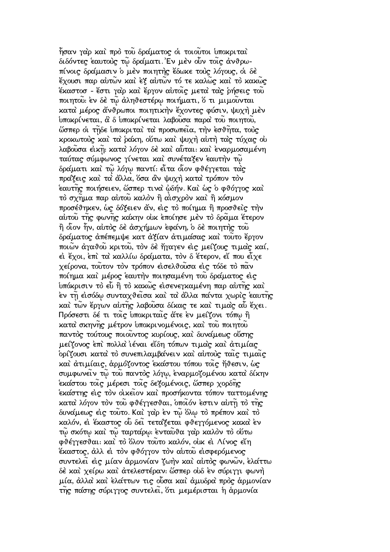ήσαν γαρ και πρό του δραματος οι τοιούτοι υποκριται διδόντες εαυτούς τώ δραματι. Έν μεν ούν τοις ανθρωπίνοις δράμασιν ο μέν ποιητής έδωκε τούς λόγους, οι δέ έχουσι παρ αυτών και εξ αυτών τό τε καλώς και το κακώς έκαστοσ - έστι γαρ και έργον αυτοίς μετα τας ρήσεις του ποιητού: εν δε τώ άληθεστέρω ποιήματι, δ τι μιμούνται κατα μέρος άνθρωποι ποιητικήν έχοντες φύσιν, ψυχή μέν υποκρίνεται, δ δ υποκρίνεται λαβούσα παρα του ποιητού, ώσπερ οι τηδε υποκριται τα προσωπεία, την εσθήτα, τους κροκωτούς και τα ράκη, ούτω και ψυχή αυτή τας τύχας ου λαβούσα είκη: κατα λόγον δε και αύται: και εναρμοσαμένη ταύτας σύμφωνος γίνεται και συνέταξεν εαυτην τω δραματι και τω λόγω παντί: είτα δίον φθέγγεται τας πραξεις και τα άλλα, όσα αν ψυχη κατα τρόπον τον έαυτης ποιήσειεν, ώσπερ τινα ψδήν. Και ως ο φθόγγος και τὸ σχῆμα παρ αὐτοῦ καλὸν ἢ αίσχρὸν καὶ ἢ κόσμον προσέθηκεν, ώς δόξειεν άν, εις τὸ ποίημα ἢ προσθεὶς τὴν αύτου της φωνής κάκην ουκ εποίησε μεν το δράμα έτερον ή δίον ήν, αυτός δε άσχήμων εφανη, ο δε ποιητής του δράματος απέπεμψε κατ άξίαν ατιμάσας και τουτο έργον ποιών άγαθού κριτού, τον δε ήγαγεν εις μείζους τιμας καί, ει έχοι, επι τα καλλίω δραματα, τον δ έτερον, εί που είχε χείρονα, τούτον τον τρόπον εισελθούσα εις τόδε το παν ποίημα και μέρος εαυτήν ποιησαμένη του δράματος είς υπόκρισιν το εύ ή το κακώς εισενεγκαμένη παρ αυτής και έν τη εισόδω συνταχθείσα και τα άλλα πάντα χωρις εαυτης και των έργων αυτής λαβούσα δίκας τε και τιμας αύ έχει. Πρόσεστι δέ τι τοις υποκριταις άτε έν μείζονι τόπω ή κατα σκηνής μέτρον υποκρινομένοις, και του ποιητού παντός τούτους ποιούντος κυρίους, και δυνάμεως ούσης μείζονος επι πολλα ιέναι είδη τόπων τιμας και άτιμίας δρίζουσι κατα το συνεπιλαμβανειν και αυτούς ταις τιμαίς και άτιμίαις, άρμόζοντος εκαστου τόπου τοις ήθεσιν, ως συμφωνείν τω του παντός λόγω, εναρμοζομένου κατα δίκην εκάστου τοις μέρεσι τοις δεξομένοις, ώσπερ χορδής εκαστης εις τον οικείον και προσήκοντα τόπον ταττομένης κατα λόγον τον του φθέγγεσθαι, οποιόν εστιν αυτή το της δυναμεως είς τούτο. Και γαρ εν τω δλω το πρέπον και το καλόν, ει έκαστος ού δει τεταξεται φθεγγόμενος κακα εν τω σκότω και τω ταρτάρω: ενταυθα γαρ καλον το ούτω φθέγγεσθαι: και το δλον τουτο καλόν, ούκ ει Λίνος είη έκαστος, άλλ ει τον φθόγγον τον αυτου εισφερόμενος συντελει εις μίαν άρμονίαν ζωήν και αυτός φωνών, ελάττω δε και χείρω και άτελεστέραν: ὥσπερ οὐδ εν σύριγγι φωνη μία, άλλα και ελάττων τις ούσα και άμυδρα προς άρμονίαν της πάσης σύριγγος συντελει, ότι μεμέρισται η άρμονία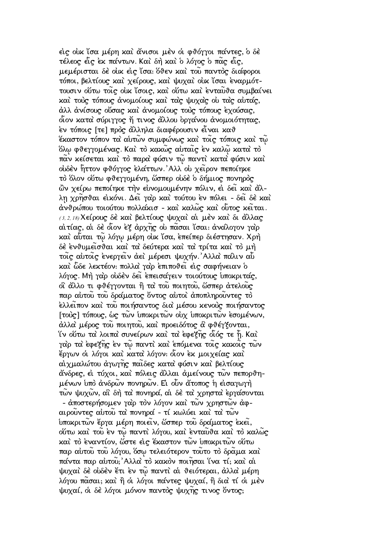εις ουκ ίσα μέρη και άνισοι μεν οι φθόγγοι παντες, ο δε τέλεος είς εκ πάντων. Και δη και ο λόγος ο πας είς, μεμέρισται δέ ούκ είς ίσα: όθεν και του παντός διάφοροι τόποι, βελτίους και χείρους, και ψυχαι ουκ ίσαι εναρμόττουσιν ούτω τοις ουκ ίσοις, και ούτω και ενταυθα συμβαίνει και τους τόπους άνομοίους και τας ψυχας ου τας αυτάς, άλλ άνίσους ούσας και άνομοίους τους τόπους εχούσας, δίον κατα σύριγγος ή τινος άλλου οργανου ανομοιότητας, έν τόποις [τε] πρὸς ἄλληλα διαφέρουσιν ἐἶναι καθ έκαστον τόπον τα αυτών συμφώνως και τοις τόποις και τω δλω φθεγγομένας. Και το κακώς αυταίς εν καλώ κατα το παν κείσεται και το παρα φύσιν τω παντι κατα φύσιν και ούδεν ηττον φθόγγος ελαττων. Αλλ ου χείρον πεποίηκε τὸ ὅλον ούτω φθεγγομένη, ὥσπερ οὐδε ὁ δήμιος πονηρὸς ών χείρω πεποίηκε την εύνομουμένην πόλιν, ει δεϊ και άλλη χρησθαι εικόνι. Δεί γαρ και τούτου εν πόλει - δεί δε και άνθρώπου τοιούτου πολλάκισ - και καλώς και ούτος κειται. (3, 2, 18) Χείρους δε και βελτίους ψυχαι αι μεν και δι άλλας αιτίας, αι δέ δίον εξ άρχης ου πασαι ίσαι: αναλογον γαρ και αύται τω λόγω μέρη ούκ ίσα, επείπερ διέστησαν. Χρη δε ενθυμείσθαι και τα δεύτερα και τα τρίτα και το μή τοις αυτοις ενεργειν άει μέρεσι ψυχήν. Αλλα παλιν αύ και ώδε λεκτέον: πολλα γαρ επιποθεί εις σαφήνειαν δ λόγος. Μη γαρ ουδέν δει επεισαγειν τοιούτους υποκριτάς, οι άλλο τι φθέγγονται ή τα του ποιητου, ώσπερ άτελους παρ αυτού του δραματος όντος αυτοί αποπληρούντες το έλλει πον και του ποιήσαντος δια μέσου κενούς ποιήσαντος [τούς] τόπους, ώς των υποκριτών ουχ υποκριτών εσομένων, άλλα μέρος του ποιητου, και προειδότος α φθέγζονται, ίν ούτω τα λοιπα συνείρων και τα εφεξης οιός τε η. Και γαρ τα έφεξης έν τω παντι και επόμενα τοις κακοις των έργων οι λόγοι και κατα λόγον: οίον εκ μοιχείας και αιχμαλώτου άγωγης παιδες κατα φύσιν και βελτίους άνδρες, ει τύχοι, και πόλεις άλλαι άμείνους των πεπορθημένων υπό άνδρων πονηρών. Ει ούν άτοπος η εισαγωγη των ψυχων, αι δη τα πονηρα, αι δε τα χρηστα εργασονται - άποστερήσομεν γαρ τον λόγον και των χρηστων άφαιρούντες αύτου τα πονηρά - τί κωλύει και τα τών υποκριτών έργα μέρη ποιείν, ώσπερ του δράματος εκει, ούτω και του εν τω παντι λόγου, και ενταυθα και το καλως και το εναντίον, ώστε εις έκαστον των υποκριτών ούτω παρ αυτού του λόγου, όσω τελειότερον τουτο το δράμα και πάντα παρ αύτου; Αλλα το κακον ποιήσαι ίνα τί; και αί ψυχαί δε ουδεν έτι εν τω παντί αι θειότεραι, άλλα μέρη λόγου πάσαι; και ή οι λόγοι πάντες ψυχαί, ή δια τί οι μεν ψυχαί, οι δέ λόγοι μόνον παντός ψυχης τινος όντος;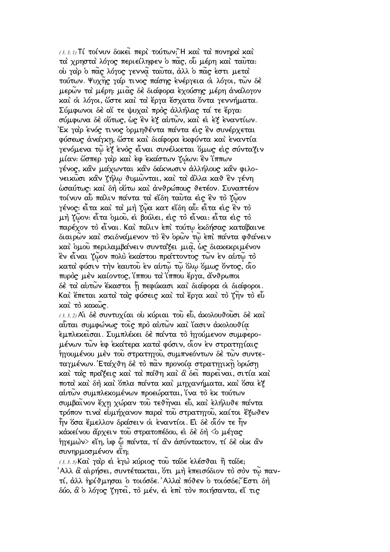$(3,3,1)$  Τί τοίνυν δοκεί περί τούτων; Η και τα πονηρα και τα χρηστα λόγος περιείληφεν ο πάς, ού μέρη και ταυτα: ού γαρ ο πάς λόγος γεννα ταυτα, άλλ ο πάς εστι μετα τούτων. Ψυχής γάρ τινος πάσης ενέργεια οι λόγοι, των δε μερών τα μέρη: μιας δε διάφορα εχούσης μέρη αναλογον και οι λόγοι, ώστε και τα έργα έσχατα όντα γεννήματα. Σύμφωνοι δέ αΐ τε ψυχαί πρός άλλήλας τα τε έργα: σύμφωνα δε ούτως, ως εν εξ αυτών, και ει εξ εναντίων. Έκ γαρ ενός τινος δρμηθέντα πάντα εις εν συνέρχεται φύσεως άναγκη, ώστε και διαφορα εκφύντα και εναντία γενόμενα τῷ ἐξ ενὸς εἶναι συνέλκεται ὅμως εις σύνταξιν μίαν: ὥσπερ γαρ και 'εφ 'εκαστων ζώων: εν Υππων γένος, κάν μάχωνται κάν δάκνωσιν άλλήλους κάν φιλονεικώσι κάν ζήλω θυμώνται, και τα άλλα καθ εν γένη ώσαύτως: και δη ούτω και άνθρώπους θετέον. Συναπτέον τοίνυν αύ παλιν παντα τα είδη ταυτα εις εν το ζώον γένος: είτα και τα μη ζώα κατ είδη αύ: είτα εις εν το μὴ ζῷον: ἐἶτα ὁμοῦ, ἐι βούλει, ἐις τὸ ἐἶναι: ἐἶτα ἐις τὸ παρέχον τὸ ἐἶναι. Και παλιν 'επι τούτω 'εκδήσας καταβαινε διαιρών και σκιδναμενον το έν δρών τω έπι παντα φθανειν και δμού περιλαμβάνειν συντάξει μια, ως διακεκριμένον εν είναι ζώον πολύ εκαστου πραττοντος των εν αυτώ το κατα φύσιν την εαυτού εν αυτώ τώ δλω δμως όντος, οιο πυρός μέν καίοντος, ίππου τα ίππου έργα, άνθρωποι δε τα αυτών έκαστοι ή πεφύκασι και διάφορα οι διάφοροι. Και έπεται κατα τας φύσεις και τα έργα και το ζην το εύ και το κακώς.

 $(3, 3, 2)$  Αι δέ συντυχίαι ου κύριαι του εύ, άκολουθουσι δέ και αύται συμφώνως τοις πρό αυτών και ίασιν άκολουθία εμπλεκείσαι. Συμπλέκει δε παντα το ηγούμενον συμφερομένων των έφ εκατερα κατα φύσιν, δίον εν στρατηγίαις ηγουμένου μέν του στρατηγού, συμπνεόντων δε των συντεταγμένων. Ετάχθη δε το πάν προνοία στρατηγικη δρώση και τας πράξεις και τα πάθη και α δει παρείναι, σιτία και ποτα και δη και δπλα πάντα και μηχανήματα, και δσα εξ αύτων συμπλεκομένων προεώραται, ίνα το εκ τούτων συμβαϊνον έχη χώραν του τεθηναι εύ, και ελήλυθε πάντα τρόπον τινα ευμήχανον παρα του στρατηγου, καίτοι έζωθεν ἦν ὅσα ἔμελλον δράσειν οἱ ἐναντίοι. Εἰ δὲ οἷόν τε ἦν κάκείνου άρχειν του στρατοπέδου, ει δε δη <ο μέγας ηγεμων> είη, υφ ὧ παντα, τί ἀν ἀσύντακτον, τί δε ουκ ἀν συνηρμοσμένον είη;

(3, 3, 3) Και γαρ εί εγω κύριος του ταδε ελέσθαι ή ταδε; 'Αλλ & αίρήσει, συντέτακται, ότι μη`επεισόδιον τὸ σὸν τῷ παντί, άλλ ηρίθμησαι ο τοιόσδε. Αλλα πόθεν ο τοιόσδε; Έστι δη δύο, α ο λόγος ζητει, το μέν, ει επι τον ποιήσαντα, εί τις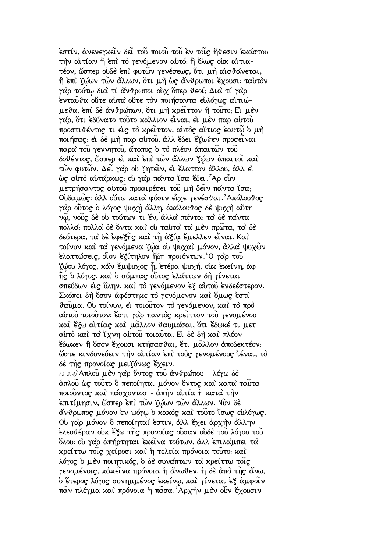έστίν, άνενεγκείν δεί του ποιου του έν τοις ήθεσιν εκάστου την αιτίαν ή επι το γενόμενον αυτό: ή δλως ουκ αιτιατέον, ώσπερ ουδέ έπι φυτών γενέσεως, ότι μη αισθανεται, ή επι ζώων των άλλων, ότι μη ώς άνθρωποι έχουσι: ταυτον γαρ τούτω δια τί άνθρωποι ούχ όπερ θεοί; Δια τί γαρ ένταυθα ούτε αυτα ούτε τον ποιήσαντα ευλόγως αιτιώμεθα, επι δε άνθρώπων, ότι μη κρείττον ή τουτο; Ει μεν γάρ, ότι 'εδύνατο τουτο καλλιον είναι, εί μεν παρ αυτου προστιθέντος τι είς το κρείττον, αυτός αίτιος εαυτώ ο μή ποιήσας: εί δέ μη παρ αύτου, άλλ έδει έξωθεν προσειναι παρα του γεννητου, άτοπος ο το πλέον απαιτών του δοθέντος, ώσπερ ει και επι των άλλων ζώων απαιτοι και τῶν φυτῶν. Δεῖ γαρ οὐ ζητεῖν, εἰ ἔλαττον ἄλλου, ἀλλ εἰ ώς αυτό αυτάρκως: ου γαρ πάντα ίσα έδει. Άρ ούν μετρήσαντος αύτου προαιρέσει του μη δείν πάντα ίσα; Ουδαμώς: άλλ ούτω κατα φύσιν είχε γενέσθαι. Ακόλουθος γαρ ούτος ο λόγος ψυχη άλλη, ακόλουθος δε ψυχη αύτη νώ, νους δέ ου τούτων τι έν, άλλα πάντα: τα δέ πάντα πολλα: πολλα δέ όντα και ου ταυτα τα μέν πρώτα, τα δέ δεύτερα, τα δε εφεξης και τη άξία έμελλεν είναι. Και τοίνυν και τα γενόμενα ζώα ου ψυχαι μόνον, άλλα ψυχών ελαττώσεις, οίον εξίτηλον ήδη προιόντων. Ο γαρ του ζώου λόγος, κάν ἔμψυχος ἦ, ἑτέρα ψυχή, οὐκ ἐκείνη, ἀφ ης ο λόγος, και ο σύμπας ούτος ελαττων δη γίνεται σπεύδων εις ύλην, και το γενόμενον εξ αυτου ενδεέστερον. Σκόπει δη όσον αφέστηκε το γενόμενον και όμως έστι θαύμα. Ου τοίνυν, ει τοιούτον το γενόμενον, και το προ αύτου τοιούτον: έστι γαρ παντός κρείττον του γενομένου και έξω αιτίας και μάλλον θαυμάσαι, ότι έδωκέ τι μετ αύτο και τα ίχνη αύτου τοιαυτα. Ει δε δη και πλέον έδωκεν ή δσον έχουσι κτήσασθαι, έτι μαλλον αποδεκτέον: ώστε κινδυνεύειν την αιτίαν επι τους γενομένους ιέναι, το δε της προνοίας μειζόνως έχειν.

 $(3, 3, 4)$  Απλού μέν γαρ ὄντος του άνθρώπου - λέγω δέ άπλου ως τουτο δ πεποίηται μόνον όντος και κατα ταυτα ποιούντος και πάσχοντοσ - άπην αιτία η κατα την επιτίμησιν, ὥσπερ επι τῶν ζώων τῶν ἀλλων. Νῦν δε άνθρωπος μόνον έν ψόγω ο κακός και τουτο ίσως ευλόγως. Ου γαρ μόνον δ πεποίηταί εστιν, άλλ έχει άρχην άλλην έλευθέραν ουκ έξω της προνοίας ούσαν ουδέ του λόγου του δλου: ου γαρ απήρτηται εκείνα τούτων, άλλ επιλαμπει τα κρείττω τοις χείροσι και η τελεία πρόνοια τουτο: και λόγος ο μέν ποιητικός, ο δέ συναπτων τα κρείττω τοις γενομένοις, κάκεινα πρόνοια ή άνωθεν, η δε άπό της άνω, δ έτερος λόγος συνημμένος εκείνω, και γίνεται εξ άμφοιν παν πλέγμα και πρόνοια η πάσα. Αρχην μεν ούν έχουσιν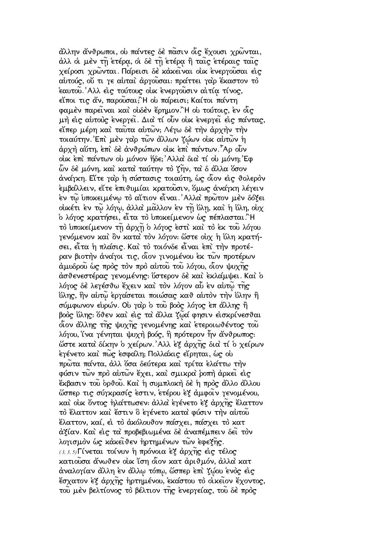άλλην άνθρωποι, ου παντες δε πασιν οις έχουσι χρωνται, άλλ οι μεν τη ετέρα, οι δε τη ετέρα ή ταις ετέραις ταις γείροσι χρώνται. Πάρεισι δε κάκειναι ουκ ενεργούσαι είς αυτούς, ού τι γε αυται άργουσαι: πράττει γαρ έκαστον το εαυτου. Αλλ είς τούτους ούκ ενεργούσιν αιτία τίνος, είποι τις άν, παρούσαι; Η ου πάρεισι; Καίτοι πάντη φαμέν παρείναι και σύδεν έρημον. Η ου τούτοις, εν οίς μή εις αύτους ενεργει. Δια τί ούν ουκ ενεργει εις παντας, είπερ μέρη και ταυτα αυτών; Λέγω δε την άρχην την τοιαύτην. Επι μεν γαρ των άλλων ζώων ουκ αυτων η άρχη αύτη, επι δε άνθρώπων ουκ επι παντων. Άρ ούν ούκ επι παντων ου μόνον ήδε; Αλλα δια τί ου μόνη; Έφ ὧν δέ μόνη, και κατα ταύτην το ζην, τα δ άλλα δσον άναγκη. Είτε γαρ η σύστασις τοιαύτη, ως οίον εις θολερον εμβάλλειν, είτε επιθυμίαι κρατούσιν, δμως ανάγκη λέγειν έν τῷ ὑποκειμένῳ τὸ αἴτιον εἶναι. Ἀλλα πρῶτον μεν δόξει ουκέτι εν τῷ λόγῳ, ἀλλα μαλλον εν τη ὕλη, και η ὕλη, ουχ δ λόγος κρατήσει, είτα το υποκείμενον ως πέπλασται."Η τὸ ὑποκείμενον τη ἀρχη ὁ λόγος ἐστι και τὸ ἐκ του λόγου γενόμενον και όν κατα τον λόγον: ώστε ουχ η ύλη κρατήσει, είτα ή πλασις. Και το τοιόνδε είναι επι την προτέραν βιοτήν άναγοι τις, δίον γινομένου εκ των προτέρων άμυδρου ώς πρός τον πρό αύτου του λόγου, οίον ψυχής άσθενεστέρας γενομένης: ύστερον δε και εκλάμψει. Και ο λόγος δε λεγέσθω έχειν και τον λόγον αὖ έν αυτώ της ύλης, ην αυτώ εργασεται ποιώσας καθ αυτον την ύλην ή σύμφωνον ευρών. Ου γαρ ο του βοός λόγος επ άλλης ή βοός ύλης: όθεν και είς τα άλλα ζωά φησιν εισκρίνεσθαι δίον άλλης της ψυχης γενομένης και ετεροιωθέντος του λόγου, ίνα γένηται ψυχή βοός, ή πρότερον ήν άνθρωπος: ώστε κατα δίκην ο χείρων. Αλλ εξ άρχης δια τί ο χείρων έγένετο και πώς εσφαλη; Πολλακις είρηται, ως ου πρώτα πάντα, άλλ δσα δεύτερα και τρίτα ελάττω την φύσιν των πρὸ αυτών έχει, και σμικρα ροπή άρκει είς έκβασιν του όρθου. Και η συμπλοκη δε η προς άλλο άλλου ώσπερ τις σύγκρασίς εστιν, ετέρου εξ άμφοιν γενομένου, και ούκ όντος ηλαττωσεν: άλλα εγένετο εξ άρχης έλαττον τὸ ἔλαττον και ἔστιν ὃ ἐγένετο κατα φύσιν την αυτου έλαττον, καί, εί το ακόλουθον πάσχει, πάσχει το κατ άζίαν. Καὶ ἐις τα προβεβιωμένα δὲ ἀναπέμπειν δει τον λογισμον ως κάκειθεν ηρτημένων των εφεξης. (3, 3, 5) Γίνεται τοίνυν ή πρόνοια εξ άρχης εις τέλος κατιουσα άνωθεν ουκ ίση οίον κατ άριθμόν, άλλα κατ άναλογίαν άλλη έν άλλω τόπω, ώσπερ έπι ζώου ενός είς έσχατον εξ άρχης ηρτημένου, εκάστου το οικείον έχοντος, του μέν βελτίονος το βέλτιον της ενεργείας, του δε προς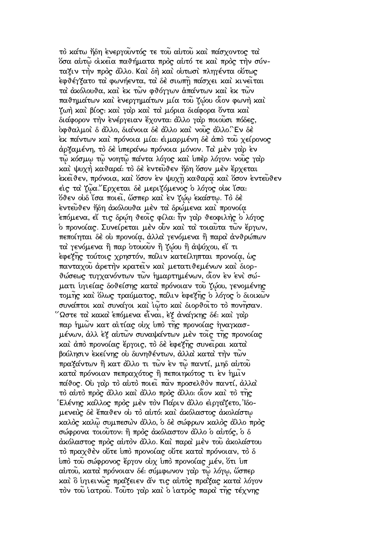το κάτω ήδη ενεργούντός τε του αύτου και πάσχοντος τα δσα αυτώ οικεία παθήματα προς αυτό τε και προς την σύνταξιν την πρός άλλο. Και δη και ούτωσι πληγέντα ούτως 'εφθέγζατο τα φωνήεντα, τα δε σιωπη πάσχει και κινειται τα άκόλουθα, και 'εκ τών φθόγγων άπάντων και 'εκ τών παθηματων και ενεργηματων μία του ζώου οίον φωνη και ζωή καὶ βίος: καὶ γαρ καὶ τὰ μόρια διάφορα ὄντα καὶ διάφορον την ενέργειαν έχοντα: άλλο γαρ ποιουσι πόδες, όφθαλμοί δ άλλο, διάνοια δε άλλο και νους άλλο. Έν δε έκ πάντων και πρόνοια μία: ειμαρμένη δε άπο του χείρονος άρξαμένη, το δε υπερανω πρόνοια μόνον. Τα μεν γαρ εν τώ κόσμω τώ νοητώ παντα λόγος και υπέρ λόγον: νους γαρ και ψυχή καθαρα: το δε εντεύθεν ήδη όσον μεν έρχεται εκειθεν, πρόνοια, και δσον εν ψυχη καθαρα και δσον εντεύθεν εις τα ζώα. Έρχεται δε μεριζόμενος ο λόγος ουκ ίσα: δθεν ουδ ίσα ποιει, ώσπερ και εν ζώω εκαστω. Το δε έντευθεν ήδη ακόλουθα μεν τα δρώμενα και προνοία επόμενα, εί τις δρώη θεοις φίλα: ήν γαρ θεοφιλής ο λόγος δ προνοίας. Συνείρεται μέν οὖν και τα τοιαῦτα τῶν ἔργων, πεποίηται δέ ου προνοία, άλλα γενόμενα ή παρα άνθρώπων τα γενόμενα ή παρ οτουούν ή ζώου ή αψύχου, εί τι έφεξης τούτοις χρηστόν, πάλιν κατείληπται προνοία, ώς πανταχού άρετην κρατείν και μετατιθεμένων και διορθώσεως τυγχανόντων των ημαρτημένων, δίον εν ενι σώματι υγιείας δοθείσης κατα πρόνοιαν του ζώου, γενομένης τομής και δλως τραύματος, πάλιν εφεξής ο λόγος ο διοικών συνάπτοι και συνάγοι και ιώτο και διορθοίτο το πονήσαν. ΄Ωστε τα` κακα` έπόμενα εἶναι, ἐξ ἀναγκης δέ: και` γαρ παρ ημών κατ αιτίας ούχ υπό της προνοίας ηναγκασμένων, άλλ εξ αυτών συναψαντων μεν τοις της προνοίας και άπό προνοίας έργοις, το δε εφεξής συνείραι κατα βούλησιν εκείνης ου δυνηθέντων, άλλα κατα την των πραξάντων ή κατ άλλο τι των έν τω παντί, μηδ αυτου κατα πρόνοιαν πεπραχότος ή πεποιηκότος τι έν ημίν πάθος. Ου γαρ το αυτό ποιεί παν προσελθον παντί, άλλα τὸ αυτὸ πρὸς ἀλλο καὶ ἀλλο πρὸς ἀλλο: οἶον καὶ τὸ της Έλένης καλλος πρὸς μεν τον Παριν άλλο ειργαζετο, Ίδομενεύς δε έπαθεν ου το αυτό: και ακόλαστος ακολαστω καλός καλὦ συμπεσων άλλο, ο δε σώφρων καλός άλλο πρός σώφρονα τοιούτον: ή πρός ακόλαστον άλλο ο αυτός, ο δ άκόλαστος πρός αύτον άλλο. Και παρα μεν του άκολαστου τό πραχθέν ούτε υπό προνοίας ούτε κατα πρόνοιαν, τό δ υπό του σώφρονος έργον ουχ υπό προνοίας μέν, ότι υπ αύτου, κατα πρόνοιαν δέ: σύμφωνον γαρ τω λόγω, ώσπερ και δ υγιεινώς πράξειεν άν τις αυτός πράξας κατα λόγον τον του ιατρού. Τούτο γαρ και ο ιατρος παρα της τέχνης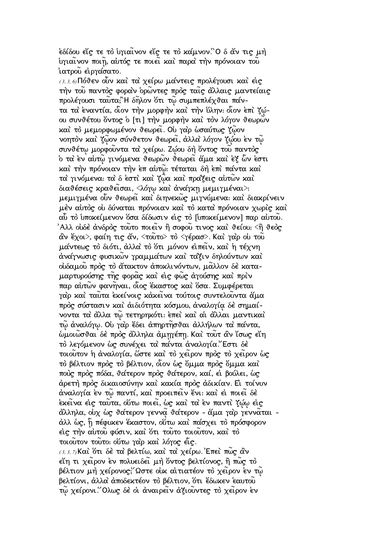'εδίδου είς τε τὸ ὑγιαϊνον είς τε τὸ καμνον. Ὁ δ ἄν τις μὴ υγιαϊνον ποιη, αυτός τε ποιεί και παρα την πρόνοιαν του ιατρού ειργάσατο.

(3, 3, 6) Πόθεν ούν και τα χείρω μάντεις προλέγουσι και εις την του παντός φοραν δρώντες πρός ταις άλλαις μαντείαις προλέγουσι ταυτα; Η δηλον ότι τω συμπεπλέχθαι πάντα τα εναντία, οίον την μορφήν και την ύλην: οίον επι ζώου συνθέτου όντος ο [τι] την μορφήν και τον λόγον θεωρών και το μεμορφωμένον θεωρει. Ου γαρ ωσαύτως ζώον νοητον και ζώον σύνθετον θεωρεϊ, άλλα λόγον ζώου εν τω συνθέτω μορφούντα τα χείρω. Ζώου δη όντος του παντός δ τα`εν αυτώ γινόμενα θεωρών θεωρεϊ άμα και`εξ ὧν εστι και την πρόνοιαν την επ αυτώ: τέταται δη επι πάντα και τα γινόμενα: τα δ έστι και ζώα και πράξεις αυτών και διαθέσεις κραθείσαι, <λόγω και άναγκη μεμιγμέναι>: μεμιγμένα ούν θεωρεί και διηνεκώς μιγνύμενα: και διακρίνειν μέν αυτός ου δύναται πρόνοιαν και το κατα πρόνοιαν χωρις και αὖ τὸ ὑποκείμενον ὅσα δίδωσιν είς τὸ [ὑποκείμενον] παρ αὐτοῦ. 'Αλλ οὐδὲ ἀνδρὸς τοῦτο ποιεἶν ἢ σοφοῦ τινος καὶ θείου: <ἢ θεὸς άν έχοι>, φαίη τις άν, <τούτο> το <γέρασ>. Και γαρ ου του μάντεως τὸ διότι, ἀλλα τὸ ὅτι μόνον ἐιπεῖν, και ἡ τέχνη άναγνωσις φυσικών γραμμάτων και τάξιν δηλούντων και ούδαμού πρός το άτακτον αποκλινόντων, μαλλον δε καταμαρτυρούσης της φοράς και είς φως άγούσης και πριν παρ αυτών φανήναι, δίος έκαστος και όσα. Συμφέρεται γαρ και ταυτα εκείνοις κάκεινα τούτοις συντελουντα άμα πρὸς σύστασιν καὶ ἀιδιότητα κόσμου, ἀναλογία δὲ σημαίνοντα τα άλλα τῷ τετηρηκότι: επει και αί άλλαι μαντικαι τῷ ἀναλόγῳ. Ου γαρ ἔδει ἀπηρτησθαι ἀλλήλων τα παντα, ώμοι ώσθαι δέ πρός άλληλα άμηγέπη. Και τουτ άν ίσως είη τὸ λεγόμενον ὡς συνέχει τα πάντα ἀναλογία."Εστι δέ τοιούτον η άναλογία, ώστε και το χείρον προς το χείρον ώς τὸ βέλτιον πρὸς τὸ βέλτιον, οἶον ὡς ὄμμα πρὸς ὄμμα καὶ πούς πρός πόδα, θατερον πρός θατερον, καί, ει βούλει, ώς άρετη πρός δικαιοσύνην και κακία πρός άδικίαν. Ει τοίνυν άναλογία έν τώ παντί, και προειπείν ένι: και εί ποιεί δε εκείνα είς ταυτα, ούτω ποιεί, ως και τα εν παντι ζώω είς άλληλα, ούχ ως θάτερον γεννα θάτερον - άμα γαρ γενναται άλλ ως, η πέφυκεν έκαστον, ούτω και πάσχει το πρόσφορον είς την αύτου φύσιν, και ότι τουτο τοιούτον, και το τοιούτον τούτο: ούτω γαρ και λόγος είς.

(3, 3, 7) Και δτι δε τα βελτίω, και τα χείρω. Επει πώς άν είη τι χειρον εν πολυειδει μη όντος βελτίονος, ή πως το βέλτιον μή χείρονος; Ωστε ούκ αιτιατέον το χείρον εν τω βελτίονι, άλλα άποδεκτέον το βέλτιον, ότι έδωκεν εαυτου τώ χείρονι. Όλως δε οι αναιρείν αξιούντες το χείρον εν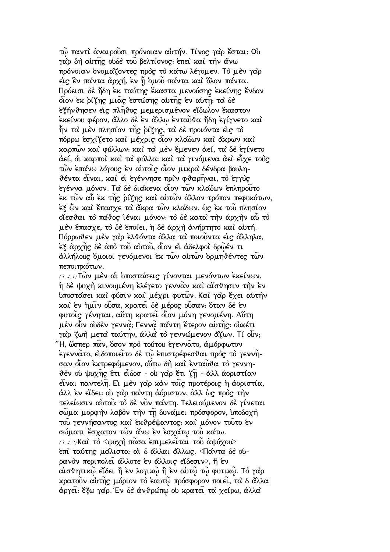τω παντι άναιρουσι πρόνοιαν αυτήν. Τίνος γαρ έσται, Ου γαρ δη αυτής ουδέ του βελτίονος: επει και την άνω πρόνοιαν ονομάζοντες πρός το κάτω λέγομεν. Το μέν γαρ εις εν παντα αρχή, εν ή δμού παντα και δλον παντα. Πρόεισι δε ήδη έκ ταύτης έκαστα μενούσης εκείνης ένδον δίον έκ ρίζης μιας εστώσης αυτής έν αυτή: τα δέ έζήνθησεν εις πληθος μεμερισμένον είδωλον έκαστον έκείνου φέρον, άλλο δε εν άλλω ενταῦθα ἤδη 'εγίγνετο και' ήν τα μέν πλησίον της ρίζης, τα δέ προιόντα είς το πόρρω εσχίζετο και μέχρις οίον κλαδων και άκρων και καρπών και φύλλων: και τα μεν έμενεν αεί, τα δε εγίνετο άεί, οι καρποι και τα φύλλα: και τα γινόμενα άει είχε τους τών επανω λόγους εν αυτοίς οίον μικρα δένδρα βουληθέντα εἶναι, και ει εγέννησε πριν φθαρηναι, το εγγύς έγέννα μόνον. Τα δε διάκενα οίον των κλάδων επληρούτο έκ τῶν αὖ ἐκ τῆς ρίζης καὶ αὐτῶν ἄλλον τρόπον πεφυκότων, έξ ὧν καὶ ἔπασχε τὰ ἄκρα τῶν κλαδων, ὡς ἐκ τοῦ πλησίον σίεσθαι το πάθος ιέναι μόνον: το δε κατα την άρχην αύ το μέν έπασχε, το δέ εποίει, η δέ άρχη ανήρτητο και αυτή. Πόρρωθεν μέν γαρ ελθόντα άλλα τα ποιούντα εις άλληλα, ε ζάρχης δε άπο του αυτου, οίον ει άδελφοι δρωέν τι άλλήλους δμοιοι γενόμενοι έκ των αυτών δρμηθέντες των πεποιηκότων.

(3, 4, 1) Τών μέν αι υποστάσεις γίνονται μενόντων εκείνων, η δε ψυχη κινουμένη ελέγετο γενναν και αΐσθησιν την εν υποστάσει και φύσιν και μέχρι φυτών. Και γαρ έχει αυτην και εν ημίν ούσα, κρατεί δε μέρος ούσαν: όταν δε εν φυτοις γένηται, αύτη κρατει οίον μόνη γενομένη. Αύτη μέν ούν ουδέν γεννα; Γεννα παντη έτερον αυτής: ουκέτι γαρ ζωή μετα ταύτην, άλλα το γεννώμενον άζων. Τί οὖν; "Η, ώσπερ παν, όσον προ τούτου εγεννατο, άμόρφωτον έγεννατο, ειδοποιείτο δε τω επιστρέφεσθαι προς το γεννησαν οίον εκτρεφόμενον, ούτω δη και ενταυθα το γεννηθέν ου ψυχης έτι είδοσ - ου γαρ έτι ζη - άλλ άοριστίαν είναι παντελη. Ει μέν γαρ κάν τοις προτέροις η αοριστία, άλλ έν είδει: ου γαρ παντη αόριστον, άλλ ως προς την τελείωσιν αυτου: το δε νυν παντη. Τελειούμενον δε γίνεται σώμα μορφήν λαβόν την τη δυναμει πρόσφορον, υποδοχή του γεννήσαντος και εκθρέψαντος: και μόνον τουτο έν σώματι έσχατον των άνω εν εσχάτω του κάτω.  $(3, 4, 2)$ Και το <ψυχη πάσα επιμελείται του αψύχου> έπι ταύτης μαλιστα: αι δ άλλαι άλλως. «Παντα δέ ουρανον περιπολει άλλοτε εν άλλοις είδεσιν>, ή εν αισθητικώ είδει ή εν λογικώ ή εν αυτώ τώ φυτικώ. Το γαρ κρατούν αυτής μόριον το εαυτώ πρόσφορον ποιεί, τα δ άλλα άργει: έξω γαρ. Εν δε άνθρώπω ου κρατει τα χείρω, άλλα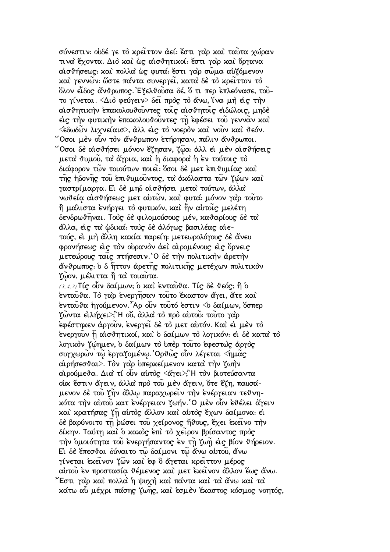σύνεστιν: ουδέ γε το κρείττον άεί: έστι γαρ και ταυτα χώραν τινα έχοντα. Διό και ώς αισθητικοί: έστι γαρ και όργανα αισθήσεως: και πολλα ώς φυτα: έστι γαρ σώμα αυξόμενον και γεννών: ώστε πάντα συνεργεί, κατα δε το κρείττον το δλον είδος άνθρωπος. Εξελθούσα δέ, δ τι περ επλεόνασε, τουτο γίνεται. <Διὸ φεύγειν> δεῖ πρὸς τὸ ἄνω, ἵνα μὴ ἐις τὴν αισθητικήν επακολουθούντες τοις αισθητοις ειδώλοις, μηδέ εις την φυτικήν επακολουθούντες τη εφέσει του γενναν και < εδωδών λιχνείαισ>, άλλ εις το νοερον και νούν και θεόν. Όσοι μέν οὖν τὸν ἄνθρωπον ἐτήρησαν, παλιν ἀνθρωποι. Όσοι δε αισθήσει μόνον έζησαν, ζῷα: άλλ ει μεν αισθήσεις μετα θυμού, τα άγρια, και η διαφορα η έν τούτοις το διάφορον των τοιούτων ποιει: όσοι δέ μετ επιθυμίας και της ηδονης του επιθυμούντος, τα ακόλαστα των ζώων και γαστρίμαργα. Ει δε μηδ αισθήσει μετα τούτων, άλλα νωθεία αισθήσεως μετ αυτών, και φυτά: μόνον γαρ τουτο ἢ μαλιστα 'ενήργει τὸ φυτικόν, καὶ ἦν αὐτοις μελέτη δενδρωθηναι. Τους δε φιλομούσους μέν, καθαρίους δε τα άλλα, είς τα ώδικα: τους δε αλόγως βασιλέας αιετούς, ει μη άλλη κακία παρείη: μετεωρολόγους δε άνευ φρονήσεως είς τον ουρανον άει αιρομένους είς όρνεις μετεώρους ταις πτήσεσιν. Ο δε την πολιτικήν άρετην

άνθρωπος: ο δ ήττον άρετης πολιτικής μετέχων πολιτικον ζώον, μέλιττα ή τα τοιαυτα.  $(3, 4, 3)$  Τίς ούν δαίμων; ο και ενταύθα. Τίς δε θεός; ή δ

ένταυθα. Τὸ γαρ ένεργησαν τουτο έκαστον άγει, άτε και ενταύθα ηγούμενον. Αρ ούν τουτό εστιν <o δαίμων, όσπερ "( ωντα ειλήχει>; Η ού, άλλα το προ αυτου: τουτο γαρ έφέστηκεν άργουν, ενεργει δε το μετ αυτόν. Και ει μεν το ένεργούν ή αισθητικοί, και ο δαίμων το λογικόν: ει δε κατα το λογικόν ζώημεν, ο δαίμων το υπέρ τουτο εφεστώς άργος συγχωρών τῷ 'εργαζομένω. 'Ορθως οὖν λέγεται <ημας αιρήσεσθαι>. Τον γαρ υπερκείμενον κατα την ζωην αιρούμεθα. Δια τί ούν αυτός <άγει>; Η τον βιοτεύσαντα ούκ έστιν άγειν, άλλα πρό του μέν άγειν, ότε έζη, παυσάμενον δε του ζην άλλω παραχωρείν την ενέργειαν τεθνηκότα την αυτού κατ ενέργειαν ζωήν. Ο μεν ούν εθέλει άγειν και κρατήσας ζη αυτός άλλον και αυτός έχων δαίμονα: ει δε βαρύνοιτο τη ρώσει του χείρονος ήθους, έχει εκείνο την δίκην. Ταύτη και ο κακός επι το χειρον βρίσαντος πρός την δμοιότητα του ενεργήσαντος εν τη ζωη είς βίον θήρειον. Ει δε έπεσθαι δύναιτο τω δαίμονι τω άνω αυτου, άνω γίνεται εκείνον ζών και εφ δ άγεται κρείττον μέρος αύτου εν προστασία θέμενος και μετ εκείνον άλλον έως άνω. "Εστι γαρ και πολλα ή ψυχη και πάντα και τα άνω και τα κάτω αύ μέχρι πάσης ζωής, και έσμεν έκαστος κόσμος νοητός,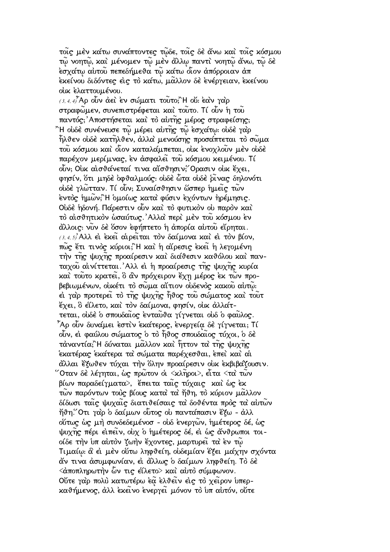τοις μεν κατω συναπτοντες τωδε, τοις δε άνω και τοις κόσμου τῷ νοητῷ, και μένομεν τῷ μεν ἄλλῳ παντι νοητῷ ἄνω, τῷ δε έσχατω αυτου πεπεδήμεθα τω κατω οίον απόρροιαν απ εκείνου διδόντες εις το κατω, μαλλον δε ενέργειαν, εκείνου ούκ ελαττουμένου.

 $(3, 4, 4)$  Aρ οὖν ἀεὶ 'εν σώματι τοῦτο;' Η οὔ: 'εαν γαρ στραφώμεν, συνεπιστρέφεται και τούτο. Τί ούν η του παντός; Αποστήσεται και το αυτής μέρος στραφείσης; "Η ούδε συνένευσε τῷ μέρει αὐτῆς τῷ ἐσχατῳ: οὐδε γαρ ήλθεν ουδέ κατηλθεν, άλλα μενούσης προσαπτεται το σώμα του κόσμου και οίον καταλάμπεται, ούκ ενοχλούν μεν ουδε παρέχον μερίμνας, εν άσφαλει του κόσμου κειμένου. Τί ούν; Ούκ αισθανεταί τινα αΐσθησιν; Ορασιν ούκ έχει, φησίν, ότι μηδε οφθαλμούς: ουδε ώτα ουδε ρίνας δηλονότι ούδε γλώτταν. Τί ούν; Συναίσθησιν ώσπερ ημείς των έντος ημών; Η ομοίως κατα φύσιν εχόντων ηρέμησις. Ουδέ ηδονή. Παρεστιν ούν και το φυτικον ου παρον και το αισθητικον ώσαύτως. Αλλα περί μεν του κόσμου εν άλλοις: νύν δέ όσον 'εφήπτετο η απορία αυτού είρηται.  $(3, 4, 5)$  Αλλ εί εκεί αίρείται τον δαίμονα και εί τον βίον, πώς έτι τινός κύριοι; Η και η αίρεσις εκει η λεγομένη την της ψυχης προαίρεσιν και διάθεσιν καθόλου και πανταχου αινίττεται.'Αλλ ει ή προαίρεσις της ψυχης κυρία και τουτο κρατει, δ άν πρόχειρον έχη μέρος εκ των προβεβιωμένων, ουκέτι το σώμα αίτιον ουδενος κακού αύτω: ει γαρ προτερεί το της ψυχης ήθος του σώματος και τουτ έχει, δ είλετο, και τον δαίμονα, φησίν, ουκ άλλαττεται, ούδε ο σπουδαΐος ενταύθα γίγνεται ούδ ο φαύλος. <sup>γ</sup>Άρ οὖν δυναμει ἐστιν ἑκατερος, ἐνεργεία δὲ γίγνεται; Τί ούν, ει φαύλου σώματος ο το ήθος σπουδαίος τύχοι, ο δε τάναντία; Η δύναται μαλλον και ήττον τα της ψυχης εκατέρας εκατερα τα σώματα παρέχεσθαι, επει και αι άλλαι έξωθεν τύχαι την όλην προαίρεσιν ουκ εκβιβαζουσιν. **΄Οταν δ**ὲ λέγηται, ὡς πρῶτον οἱ ≺κλῆροι>, ἐἶτα <τα τῶν βίων παραδείγματα>, έπειτα ταις τύχαις και ως εκ τών παρόντων τούς βίους κατα τα ήθη, το κύριον μαλλον δίδωσι ταις ψυχαις διατιθείσαις τα δοθέντα πρός τα αυτών ήθη. Ότι γαρ ο δαίμων ούτος ου πανταπασιν έξω - άλλ ούτως ως μή συνδεδεμένοσ - ουδ ενεργών, ημέτερος δέ, ως ψυχης πέρι ειπείν, ουχ ο ημέτερος δέ, ει ως άνθρωποι τοιοίδε την υπ αυτον ζωην έχοντες, μαρτυρεί τα έν τω Τιμαίω: & εί μεν ούτω ληφθείη, ουδεμίαν έξει μάχην σχόντα άν τινα άσυμφωνίαν, ει άλλως ο δαίμων ληφθείη. Το δε <άποπληρωτήν ὧν τις είλετο> και αυτό σύμφωνον. Ούτε γαρ πολύ κατωτέρω εα ελθείν εις το χείρον υπερκαθήμενος, άλλ εκείνο ενεργεί μόνον το υπ αυτόν, ούτε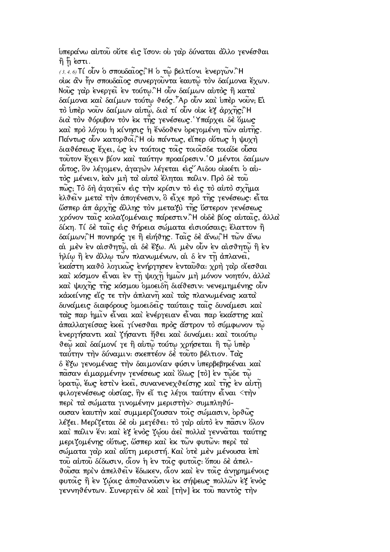υπεράνω αυτου ούτε εις ίσον: ου γαρ δύναται άλλο γενέσθαι  $\hat{\eta}$   $\hat{\eta}$  εστι.

 $(3, 4, 6)$  Τί οὖν δ σπουδαΐος; Η δ τ $\widetilde{\omega}$  βελτίονι ενεργ $\widetilde{\omega}$ ν. Η ούκ άν ήν σπουδαίος συνεργούντα εαυτώ τον δαίμονα έχων. Νους γαρ ενεργει εν τούτω. Η ούν δαίμων αυτός ή κατα δαίμονα και δαίμων τούτω θεός. Άρ ούν και υπέρ νουν; Ει το υπέρ νουν δαίμων αυτώ, δια τί ούν ουκ έξ άρχης; Η δια τον θόρυβον τον έκ της γενέσεως. Υπάρχει δε όμως και προ λόγου η κίνησις η ένδοθεν ορεγομένη των αυτής. Πάντως ούν κατορθοϊ; Η ου πάντως, είπερ ούτως η ψυχη διαθέσεως έχει, ως εν τούτοις τοις τοιοισδε τοιαδε ούσα τούτον έχειν βίον και ταύτην προαίρεσιν. Ο μέντοι δαίμων οὗτος, δν λέγομεν, άγαγων λέγεται εις Αιδου ουκέτι δ αυτός μένειν, εαν μή τα αύτα έληται παλιν. Πρό δε του πώς; Τὸ δὴ ἀγαγεἶν ἐις τὴν κρίσιν τὸ ἐις τὸ αὐτὸ σχῆμα έλθεῖν μετα την απογένεσιν, ὃ εἶχε πρὸ τῆς γενέσεως: εἶτα ώσπερ άπ άρχης άλλης τον μεταξύ της ύστερον γενέσεως χρόνον ταις κολαζομέναις πάρεστιν. Η ουδέ βίος αυταις, άλλα δίκη. Τί δέ ταις είς θήρεια σώματα εισιούσαις; έλαττον ή δαίμων; Η πονηρός γε ή ευήθης. Ταις δε άνω; Η των άνω αι μεν εν αισθητώ, αι δε έξω. Αι μεν ούν εν αισθητώ ή εν ηλίω ή εν άλλω των πλανωμένων, αι δ εν τη απλανεί, εκάστη καθὸ λογικώς ἐνήργησεν ἐνταυθα: χρὴ γαρ οἴεσθαι και κόσμον είναι εν τη ψυχη ημών μη μόνον νοητόν, άλλα και ψυχης της κόσμου δμοειδη διαθεσιν: νενεμημένης ούν κάκείνης είς τε την άπλανη και τας πλανωμένας κατα δυναμεις διαφόρους δμοειδείς ταύταις ταις δυναμεσι και τας παρ ημίν είναι και ενέργειαν είναι παρ εκαστης και άπαλλαγείσας εκεί γίνεσθαι πρός άστρον το σύμφωνον τω ενεργήσαντι και ζήσαντι ήθει και δυνάμει: και τοιούτω θεώ και δαίμονί γε ή αυτώ τούτω χρήσεται ή τώ υπέρ ταύτην την δύναμιν: σκεπτέον δε τουτο βέλτιον. Τας δ έξω γενομένας την δαιμονίαν φύσιν υπερβεβηκέναι και πασαν είμαρμένην γενέσεως και όλως [το] εν τωδε τω δρατώ, έως εστιν εκει, συνανενεχθείσης και της εν αύτη φιλογενέσεως ουσίας, ην εί τις λέγοι ταύτην είναι <την περὶ τα σώματα γινομένην μεριστήν> συμπληθύουσαν εαυτήν και συμμερίζουσαν τοις σώμασιν, ορθώς λέξει. Μερίζεται δέ ου μεγέθει: τὸ γαρ αυτὸ έν πασιν Όλον και πάλιν έν: και εξ ενός ζώου άει πολλα γενναται ταύτης μεριζομένης ούτως, ώσπερ και έκ των φυτων: περι τα σώματα γαρ και αύτη μεριστή. Και ότε μεν μένουσα επι του αύτου δίδωσιν, οίον η έν τοις φυτοις: όπου δε άπελθουσα πριν άπελθειν έδωκεν, δίον και εν τοις άνηρημένοις φυτοις ή εν ζώοις άποθανουσιν εκ σήψεως πολλων εξ ενός γεννηθέντων. Συνεργείν δε και [την] εκ του παντος την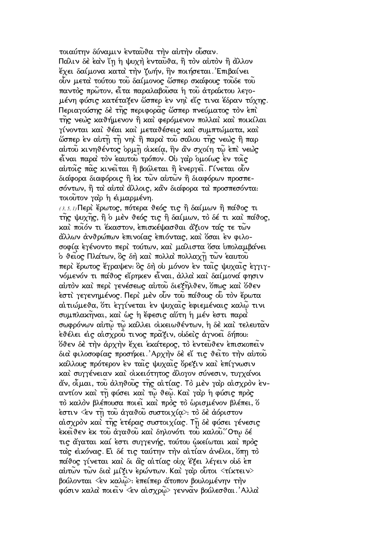τοιαύτην δύναμιν ενταύθα την αυτήν ούσαν. Παλιν δε 'εα'ν 'ίη ή ψυχη 'ενταυθα, ή τον αυτον ή άλλον έχει δαίμονα κατα την ζωήν, ην ποιήσεται. Επιβαίνει ούν μετα τούτου του δαίμονος ώσπερ σκάφους τουδε του παντός πρώτον, είτα παραλαβούσα ή του άτρακτου λεγομένη φύσις κατέταξεν ὥσπερ έν νηι είς τινα έδραν τύχης. Περιαγούσης δε της περιφοράς ώσπερ πνεύματος τον επι της νεως καθήμενον ή και φερόμενον πολλαι και ποικίλαι γίνονται και θέαι και μεταθέσεις και συμπτώματα, και ώσπερ εν αύτη τη νηι ή παρα του σαλου της νεως ή παρ αύτου κινηθέντος δρμή οικεία, ήν άν σχοίη τω επι νεως είναι παρα τον εαυτού τρόπον. Ου γαρ ομοίως εν τοις αύτοις πάς κινειται ή βούλεται ή ενεργει. Γίνεται ούν διάφορα διαφόροις ή εκ των αυτών ή διαφόρων προσπεσόντων, ή τα αύτα άλλοις, κάν διάφορα τα προσπεσόντα: τοιούτον γαρ η είμαρμένη.

 $(3, 5, 1)$ Περι έρωτος, πότερα θεός τις ή δαίμων ή πάθος τι της ψυχης, ή ο μέν θεός τις ή δαίμων, το δέ τι και πάθος, και ποιόν τι έκαστον, επισκέψασθαι άξιον τάς τε των άλλων ανθρώπων επινοίας επιόντας, και δσαι εν φιλοσοφία εγένοντο περι τούτων, και μαλιστα όσα υπολαμβανει δ θείος Πλατων, δς δη και πολλα πολλαχη των εαυτου περὶ έρωτος έγραψεν: δς δη ου μόνον εν ταις ψυχαις εγγιγνόμενόν τι πάθος είρηκεν είναι, άλλα και δαίμονα φησιν αύτον και περι γενέσεως αυτου διεξηλθεν, όπως και όθεν έστι γεγενημένος. Περι μεν ούν του πάθους ου τον έρωτα αιτιώμεθα, ότι εγγίνεται εν ψυχαϊς εφιεμέναις καλώ τινι συμπλακῆναι, και ώς η έφεσις αύτη η μέν εστι παρα σωφρόνων αυτώ τω καλλει οικειωθέντων, η δε και τελευταν έθέλει εις αισχρού τινος πραξιν, ουδεις άγνοει δήπου: δθεν δε την άρχην έχει εκατερος, το εντευθεν επισκοπείν δια φιλοσοφίας προσήκει. Αρχην δε εί τις θείτο την αύτου καλλους πρότερον έν ταις ψυχαις όρεξιν και επίγνωσιν και συγγένειαν και οικειότητος άλογον σύνεσιν, τυγχάνοι άν, δίμαι, του άληθους της αιτίας. Το μεν γαρ αισχρον έναντίον και τη φύσει και τω θεω. Και γαρ η φύσις προς τὸ καλὸν βλέπουσα ποιεἶ και πρὸς τὸ ὡρισμένον βλέπει, ὅ έστιν <εν τη του άγαθου συστοιχία>: το δε άόριστον αισχρον και της ετέρας συστοιχίας. Τη δε φύσει γένεσις εκείθεν εκ του άγαθου και δηλονότι του καλου. Ότω δέ τις άγαται καί έστι συγγενής, τούτου ώκείωται και πρός τας εικόνας. Ει δέ τις ταύτην την αιτίαν ανέλοι, όπη το πάθος γίνεται και δι άς αιτίας ουχ έξει λέγειν ουδ επ αύτων των δια μίζιν ερώντων. Και γαρ ούτοι <τίκτειν> βούλονται <εν καλώ>: επείπερ άτοπον βουλομένην την φύσιν καλα ποιείν <εν αισχρώ> γενναν βούλεσθαι. Αλλα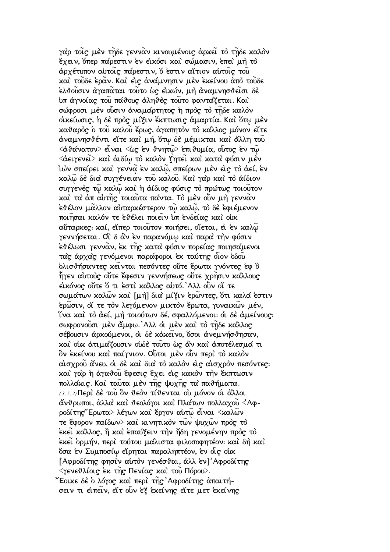γαρ τοις μέν τηδε γενναν κινουμένοις άρκει το τηδε καλον έχειν, όπερ πάρεστιν έν εικόσι και σώμασιν, επει μή το άρχέτυπον αυτοίς πάρεστιν, δ' εστιν αίτιον αυτοίς του και τουδε έραν. Και είς αναμνησιν μεν εκείνου από τουδε ελθούσιν άγαπάται τούτο ώς εικών, μή άναμνησθείσι δέ υπ άγνοίας του πάθους άληθές τουτο φαντάζεται. Και σώφροσι μέν ούσιν άναμάρτητος ή πρός το τηδε καλόν σικείωσις, η δέ πρός μίζιν έκπτωσις άμαρτία. Και ότω μέν καθαρός ο του καλού έρως, άγαπητον το καλλος μόνον είτε άναμνησθέντι είτε και μή, ότω δε μέμικται και άλλη του <άθανατον> εἶναι <ώς εν θνητῷ> επιθυμία, οὗτος εν τῷ <άειγενεῖ> καὶ ἀιδίω τὸ καλὸν ζητεῖ καὶ κατα φύσιν μὲν ιων σπείρει και γεννα εν καλω, σπείρων μεν εις το άεί, εν καλώ δε δια συγγένειαν του καλου. Και γαρ και το αίδιον συγγενές τω καλώ και η άίδιος φύσις το πρώτως τοιούτον και τα άπ αυτής τοιαυτα πάντα. Το μεν ούν μη γενναν εθέλον μαλλον αυταρκέστερον τω καλω, το δε εφιέμενον ποιήσαι καλόν τε εθέλει ποιείν υπ ενδείας και ούκ αύταρκες: καί, είπερ τοιούτον ποιήσει, οίεται, εί εν καλώ γεννήσεται. Οι δ άν εν παρανόμω και παρα την φύσιν έθέλωσι γενναν, έκ της κατα φύσιν πορείας ποιησάμενοι τας άρχας γενόμενοι παραφοροι εκ ταύτης οίον δδου όλισθήσαντες κεινται πεσόντες ούτε έρωτα γνόντες εφ δ ήγεν αυτούς ούτε έφεσιν γεννήσεως ούτε χρησιν καλλους εικόνος ούτε δ τι έστι καλλος αυτό. Αλλ ούν οί τε σωμάτων καλών και [μη] δια μίζιν ερώντες, ότι καλά εστιν έρῶσιν, ο τε τον λεγόμενον μικτον "έρωτα, γυναικῶν μέν, ίνα καὶ τὸ ἀεί, μὴ τοιούτων δέ, σφαλλόμενοι: ὁ δὲ ἀμείνους: σωφρονούσι μέν άμφω. Αλλ οι μέν και το τηδε καλλος σέβουσιν άρκούμενοι, οι δε κάκεινο, όσοι άνεμνήσθησαν, και ούκ άτιμα (ουσιν ουδέ τουτο ώς άν και αποτέλεσμα τι ὂν ἐκείνου καὶ παίγνιον. Οὗτοι μὲν οὖν περὶ τὸ καλὸν αισχρού άνευ, οι δέ και δια το καλον εις αισχρον πεσόντες: και γαρ η άγαθου έφεσις έχει είς κακον την έκπτωσιν πολλακις. Και ταυτα μέν της ψυχης τα παθήματα.  $(3, 5, 2)$ Περι δε του δν θεον τίθενται ου μόνον οι άλλοι άνθρωποι, άλλα και θεολόγοι και Πλάτων πολλαχου <Αφροδίτης" Ερωτα> λέγων και έργον αυτώ είναι <καλών τε έφορον παίδων> και κινητικον των ψυχων προς το έκει κάλλος, ή και επαύξειν την ήδη γενομένην προς το έκει δρμήν, περί τούτου μαλιστα φιλοσοφητέον: και δη και δσα εν Συμποσίω είρηται παραληπτέον, εν οίς ούκ [Αφροδίτης φησιν αυτον γενέσθαι, άλλ εν] Αφροδίτης <γενεθλίοις εκ της Πενίας και του Πόρου>. "Εοικε δέ ο λόγος και περι της Αφροδίτης απαιτήσειν τι ειπείν, είτ ούν εξ εκείνης είτε μετ εκείνης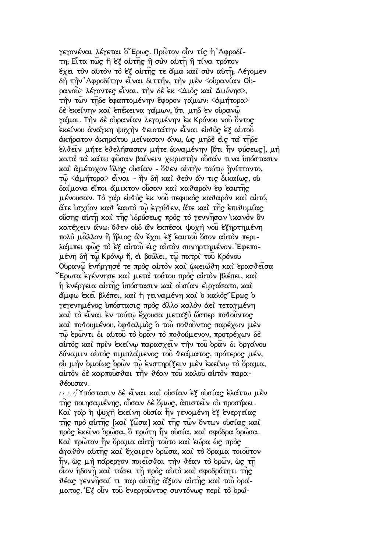γεγονέναι λέγεται δ'Ερως. Πρώτον ούν τίς η'Αφροδίτη; Είτα πως ή έξ αυτής ή συν αυτη ή τίνα τρόπον έχει τον αυτον το έξ αυτής τε άμα και συν αυτή; Λέγομεν δη την Αφροδίτην είναι διττήν, την μεν <ουρανίαν Ουρανού> λέγοντες είναι, την δε εκ <Διός και Διώνησ>, την των τηδε εφαπτομένην έφορον γαμων: < αμήτορα> δε εκείνην και επέκεινα γάμων, ότι μηδ εν ουρανώ γάμοι. Την δε ουρανίαν λεγομένην έκ Κρόνου νου όντος εκείνου αναγκη ψυχην θειοτατην είναι ευθύς εξ αυτου άκήρατον άκηρατου μείνασαν άνω, ως μηδέ εις τα τήδε έλθειν μήτε εθελήσασαν μήτε δυναμένην [ότι ἦν φύσεως], μη κατα τα κάτω φυσαν βαίνειν χωριστην ούσαν τινα υπόστασιν και άμέτοχον ύλης ουσίαν - όθεν αυτήν τούτω ηνίττοντο, τῷ <ἀμήτορα> ἐἶναι - ἣν δὴ καὶ θεὸν ἄν τις δικαίως, οὐ δαίμονα είποι άμικτον ούσαν και καθαραν έφ εαυτής μένουσαν. Τὸ γαρ ευθύς εκ νου πεφυκός καθαρόν και αυτό, άτε ισχύον καθ εαυτό τω εγγύθεν, άτε και της επιθυμίας ούσης αυτή και της ιδρύσεως προς το γεννήσαν ικανον όν κατέχειν άνω: όθεν ουδ άν εκπέσοι ψυχή νου εξηρτημένη πολύ μαλλον ή ήλιος άν έχοι εξ εαυτού όσον αυτον περιλαμπει φώς το έξ αύτου είς αύτον συνηρτημένον. Εφεπομένη δη τῷ Κρόνῳ ἤ, ἐι βούλει, τῷ πατρὶ τοῦ Κρόνου Ουρανώ ενήργησέ τε πρός αυτόν και ωκειώθη και ερασθείσα "Ερωτα 'εγέννησε και' μετα' τούτου προς αυτον βλέπει, και' η ενέργεια αυτής υπόστασιν και ουσίαν ειργάσατο, και άμφω εκεί βλέπει, και η γειναμένη και ο καλός Έρως ο γεγενημένος υπόστασις πρός άλλο καλόν άει τεταγμένη και το είναι εν τούτω έχουσα μεταξύ ώσπερ ποθούντος και ποθουμένου, οφθαλμός ο του ποθούντος παρέχων μέν τώ ερώντι δι αύτου το δράν το ποθούμενον, προτρέχων δε αύτος και πριν εκείνω παρασχείν την του δραν δι οργανου δύναμιν αυτός πιμπλάμενος του θεάματος, πρότερος μέν, ού μην δμοίως δρών τω ενστηρίζειν μεν εκείνω το δραμα, αύτον δε καρπούσθαι την θέαν του καλού αύτον παραθέουσαν.

(3, 5, 3) Υπόστασιν δε είναι και ουσίαν εξ ουσίας ελάττω μεν της ποιησαμένης, ούσαν δε όμως, άπιστεϊν ου προσήκει. Και γαρ η ψυχη εκείνη ουσία ήν γενομένη εξ ενεργείας της πρὸ αυτης [και ζωσα] και της των ὄντων ουσίας και πρὸς ἐκείνο ὁρῶσα, ὃ πρώτη ἤν οὐσία, καὶ σφόδρα ὁρῶσα. Και πρώτον ήν δραμα αυτή τουτο και εώρα ως προς άγαθον αυτής και έχαιρεν ορώσα, και το όραμα τοιούτον ήν, ώς μη παρεργον ποιεισθαι την θέαν το δρών, ώς τη δίον ηδονη και τάσει τη πρός αύτο και σφοδρότητι της θέας γεννήσαί τι παρ αύτης άξιον αύτης και του δραματος. Εξ ούν του ενεργούντος συντόνως περι το ορώ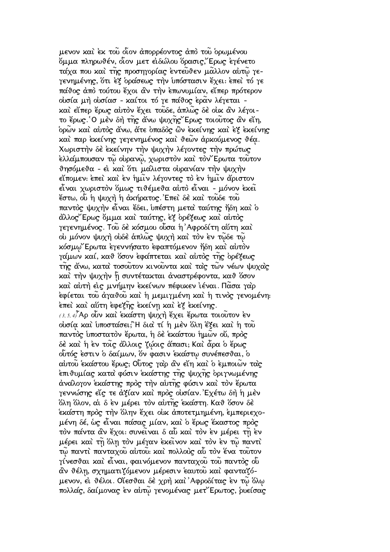μενον και εκ του οίον απορρέοντος από του ορωμένου όμμα πληρωθέν, οίον μετ ειδώλου όρασις, Έρως εγένετο τάχα που και της προσηγορίας εντεύθεν μάλλον αυτώ γεγενημένης, ότι 'εξ οράσεως την υπόστασιν έχει: 'επει' τό γε πάθος άπό τούτου έχοι άν την επωνυμίαν, είπερ πρότερον ούσία μή ούσίασ - καίτοι τό γε πάθος έραν λέγεται και είπερ έρως αυτον έχει τουδε, άπλως δε ουκ άν λέγοιτο έρως. Ο μεν δη της άνω ψυχης Έρως τοιούτος αν είη, δρών και αυτός άνω, άτε οπαδός ών εκείνης και εξ εκείνης και παρ εκείνης γεγενημένος και θεών άρκούμενος θέα. Χωριστήν δε εκείνην την ψυχήν λέγοντες την πρώτως ελλαμπουσαν τῷ ουρανῷ, χωριστον και τον Ερωτα τούτον θησόμεθα - εί και ότι μαλιστα ουρανίαν την ψυχην είπομεν: επει και εν ημίν λέγοντες το εν ημίν άριστον είναι χωριστον δμως τιθέμεθα αυτο είναι - μόνον εκεί έστω, ού η ψυχη η άκήρατος. Επεί δε και τουδε του παντὸς ψυχὴν εἶναι ἔδει, ὑπέστη μετα ταύτης ἤδη και δ άλλος Έρως όμμα και ταύτης, εξ ορέξεως και αυτός γεγενημένος. Του δε κόσμου ούσα η' Αφροδίτη αύτη και ου μόνον ψυχή ουδε άπλως ψυχή και τον εν τωδε τω κόσμω" Ερωτα εγεννήσατο εφαπτόμενον ήδη και αυτόν γαμων καί, καθ δσον εφαπτεται και αυτος της ορέξεως της άνω, κατα τοσούτον κινούντα και τας των νέων ψυχας και την ψυχην η συντέτακται άναστρέφοντα, καθ όσον και αυτή εις μνήμην εκείνων πέφυκεν ιέναι. Πάσα γαρ έφίεται του άγαθου και η μεμιγμένη και η τινος γενομένη: έπει και αύτη έφεξης εκείνη και εξ εκείνης.  $(3, 5, 4)$  Αρ οὖν και εκάστη ψυχη έχει έρωτα τοιούτον εν ουσία και υποστάσει, Η δια τί η μεν όλη έξει και η του παντός υποστατον έρωτα, η δε εκαστου ημών ού, πρός δε και η εν τοις άλλοις ζώοις άπασι; Και άρα ο έρως ούτός 'εστιν ο δαίμων, όν φασιν εκαστω συνέπεσθαι, ο αύτου εκαστου έρως; Ούτος γαρ αν είη και ο εμποιών τας ἐπιθυμίας κατα φύσιν ἑκαστης τῆς ψυχῆς ὀριγνωμένης άναλογον εκαστης πρός την αυτής φύσιν και τον έρωτα γεννώσης είς τε άξίαν και προς ουσίαν. Εχέτω δη η μεν δλη δλον, αι δ εν μέρει τον αυτης εκαστη. Καθ δσον δε έκαστη πρός την όλην έχει ούκ αποτετμημένη, εμπεριεχομένη δέ, ως είναι πάσας μίαν, και ο έρως έκαστος προς τον παντα αν έχοι: συνείναι δ αύ και τον εν μέρει τη εν μέρει και τη δλη τον μέγαν εκείνον και τον εν τω παντι τώ παντι πανταχού αύτου: και πολλους αύ τον ένα τουτον γίνεσθαι και είναι, φαινόμενον πανταχου του παντος ου άν θέλη, σχηματιζόμενον μέρεσιν εαυτού και φανταζόμενον, ει θέλοι. Οίεσθαι δε χρή και Αφροδίτας εν τω δλω πολλάς, δαίμονας έν αύτω γενομένας μετ' Ερωτος, ρυείσας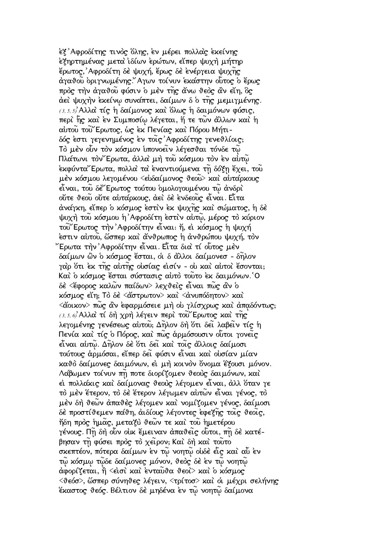έξ' Αφροδίτης τινὸς ὅλης, ἐν μέρει πολλας ἐκείνης έζηρτημένας μετα ιδίων ερώτων, είπερ ψυχη μήτηρ έρωτος, Αφροδίτη δε ψυχή, έρως δε ενέργεια ψυχης άγαθού οριγνωμένης. Αγων τοίνυν εκαστην ούτος ο έρως πρὸς τὴν ἀγαθοῦ φύσιν ὁ μèν τῆς ἄνω θεὸς ἀν ἐίη, ὃς άει ψυχην εκείνω συνάπτει, δαίμων δ ο της μεμιγμένης. (3, 5, 5) Αλλα τίς η δαίμονος και δλως η δαιμόνων φύσις, περὶ ἧς καὶ ἐν Συμποσίω λέγεται, ἥ τε τῶν ἄλλων καὶ ἡ αύτου του Έρωτος, ως εκ Πενίας και Πόρου Μήτιδός έστι γεγενημένος έν τοις Αφροδίτης γενεθλίοις; Τὸ μεν ούν τον κόσμον υπονοείν λέγεσθαι τόνδε τῷ Πλατωνι τον Έρωτα, άλλα μή του κόσμου τον εν αυτώ έκφύντα Έρωτα, πολλα τα εναντιούμενα τη δόξη έχει, του μέν κόσμου λεγομένου <ευδαίμονος θεού> και αυτάρκους είναι, του δε Έρωτος τούτου δμολογουμένου τω άνδρι ούτε θεού ούτε αυτάρκους, άει δε ενδεούς είναι. Είτα άναγκη, είπερ ο κόσμος εστιν εκ ψυχης και σώματος, η δε ψυχή του κόσμου η Αφροδίτη εστιν αυτώ, μέρος το κύριον τού Έρωτος την Αφροδίτην είναι: ή, ει κόσμος η ψυχή έστιν αύτου, ώσπερ και άνθρωπος η ανθρώπου ψυχή, τον "Ερωτα την Αφροδίτην εἶναι. Εἶτα δια τί οὗτος μεν δαίμων ὢν δ κόσμος ἔσται, οι δ άλλοι δαίμονεσ - δηλον γαρ ότι έκ της αύτης ουσίας είσίν - ου και αύτοι έσονται; Και ο κόσμος έσται σύστασις αυτό τουτο εκ δαιμόνων. Ο δέ <έφορος καλών παίδων> λεχθείς είναι πώς άν δ κόσμος είη; Τὸ δε <άστρωτον> και <άνυπόδητον> και <άοικον> πως άν εφαρμόσειε μη ου γλίσχρως και απαδόντως; (3, 5, 6) Αλλα τί δη χρη λέγειν περι του Έρωτος και της λεγομένης γενέσεως αύτου; Δηλον δη ότι δει λαβείν τίς η Πενία και τίς ο Πόρος, και πώς αρμόσουσιν ούτοι γονείς είναι αυτώ. Δηλον δε ότι δεί και τοις άλλοις δαίμοσι τούτους άρμόσαι, είπερ δει φύσιν είναι και ουσίαν μίαν καθό δαίμονες δαιμόνων, ει μή κοινόν όνομα έξουσι μόνον. Λαβωμεν τοίνυν πη ποτε διορίζομεν θεούς δαιμόνων, και ει πολλακις και δαίμονας θεούς λέγομεν είναι, άλλ όταν γε τὸ μèν έτερον, τὸ δè έτερον λέγωμεν αὐτῶν εἶναι γένος, τὸ μέν δη θεών απαθές λέγομεν και νομίζομεν γένος, δαίμοσι δε προστίθεμεν πάθη, αιδίους λέγοντες εφεζης τοις θεοις, ήδη πρὸς ἡμᾶς, μεταξὺ θεῶν τε καὶ τοῦ ἡμετέρου γένους. Πη δη ούν ουκ έμειναν άπαθείς ούτοι, πη δε κατέβησαν τη φύσει πρός το χείρον; Και δη και τούτο σκεπτέον, πότερα δαίμων έν τω νοητώ ουδε είς και αύ εν τω κόσμω τωδε δαίμονες μόνον, θεός δε εν τω νοητω άφορίζεται, ή <εισι και ενταυθα θεοι> και ο κόσμος <θεόσ>, ὥσπερ σύνηθες λέγειν, <τρίτοσ> και οι μέχρι σελήνης έκαστος θεός. Βέλτιον δε μηδένα εν τω νοητώ δαίμονα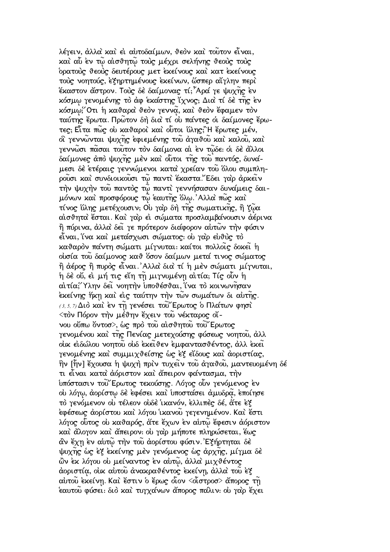λέγειν, άλλα και ει αυτοδαίμων, θεον και τουτον είναι, και αύ έν τω αισθητώ τους μέχρι σελήνης θεους τους δρατούς θεούς δευτέρους μετ εκείνους και κατ εκείνους τούς νοητούς, εξηρτημένους εκείνων, ὥσπερ αἴγλην περὶ έκαστον άστρον. Τούς δε δαίμονας τί; Άρα γε ψυχης εν κόσμω γενομένης τὸ ἀφ εκαστης ἴχνος; Δια τί δε της εν κόσμω; Ότι η καθαρα θεόν γεννα, και θεόν έφαμεν τον ταύτης έρωτα. Πρώτον δη δια τί ου παντες οι δαίμονες έρωτες; Εἶτα πῶς οὐ καθαροὶ καὶ οὗτοι ὕλης; Η ἔρωτες μέν, οι γεννώνται ψυχης εφιεμένης του άγαθου και καλου, και γεννώσι πάσαι τούτον τον δαίμονα αί εν τώδε: οι δε άλλοι δαίμονες άπό ψυχης μέν και ούτοι της του παντός, δυνάμεσι δε ετέραις γεννώμενοι κατα χρείαν του δλου συμπληρούσι και συνδιοικούσι τω παντι έκαστα. Έδει γαρ άρκειν την ψυχην του παντός τω παντι γεννήσασαν δυναμεις δαιμόνων και προσφόρους τώ εαυτής δλω. Αλλα πώς και τίνος ύλης μετέχουσιν; Ου γαρ δη της σωματικής, ή ζώα αισθητα έσται. Και γαρ ει σώματα προσλαμβανουσιν άέρινα ή πύρινα, άλλα δει γε πρότερον διάφορον αυτών την φύσιν είναι, ίνα και μετάσχωσι σώματος: ου γαρ ευθύς το καθαρόν πάντη σώματι μίγνυται: καίτοι πολλοϊς δοκει η ούσία του δαίμονος καθ όσον δαίμων μετά τινος σώματος ἢ ἀέρος ἢ πυρὸς ἐἶναι.'Αλλα δια τί ἡ μεν σώματι μίγνυται, η δε ού, ει μή τις είη τη μιγνυμένη αιτία; Τίς οὖν η αιτία; Υλην δεί νοητην υποθέσθαι, ίνα το κοινωνησαν έκείνης ήκη και είς ταύτην την των σωμάτων δι αυτής. (3, 5, 7) Διὸ καὶ εν τη γενέσει του Ερωτος ο Πλατων φησι <τον Πόρον την μέθην έχειν του νέκταρος οίνου ούπω όντοσ>, ως πρό του αισθητου του Ερωτος γενομένου και της Πενίας μετεχούσης φύσεως νοητου, άλλ ούκ ειδώλου νοητου ουδ εκείθεν εμφαντασθέντος, άλλ εκεί γενομένης και συμμιχθείσης ως εξ είδους και αοριστίας, ην [ην] έχουσα η ψυχη πριν τυχείν του άγαθου, μαντευομένη δέ τι είναι κατα άόριστον και άπειρον φαντασμα, την υπόστασιν του Ερωτος τεκούσης. Λόγος ούν γενόμενος έν ου λόγω, αορίστω δε εφέσει και υποστάσει αμυδρα, εποίησε τὸ γενόμενον οὐ τέλεον οὐδὲ ἱκανόν, ἐλλιπὲς δέ, ἅτε ἐξ 'εφέσεως ἀορίστου και λόγου ικανοῦ γεγενημένον. Και 'ἔστι λόγος ούτος ου καθαρός, άτε έχων εν αυτω έφεσιν αόριστον καὶ ἄλογον καὶ ἄπειρον: οὐ γαρ μήποτε πληρώσεται, ἕως άν έχη εν αυτώ την του αορίστου φύσιν. Εξήρτηται δε ψυχής ώς έξ εκείνης μεν γενόμενος ώς άρχης, μίγμα δε ὢν 'εκ λόγου ου μείναντος 'εν αυτω, άλλα μιχθέντος άοριστία, ούκ αυτου άνακραθέντος εκείνη, άλλα του εξ αύτου εκείνη. Και έστιν ο έρως οίον <διστροσ> άπορος τη εαυτού φύσει: διό και τυγχανων άπορος παλιν: ου γαρ έχει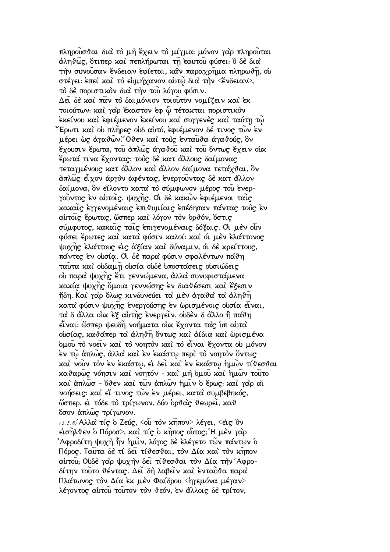πληρούσθαι δια το μή έχειν το μίγμα: μόνον γαρ πληρούται άληθώς, ότιπερ και πεπλήρωται τη εαυτου φύσει: δ δε δια την συνουσαν ένδειαν εφίεται, κάν παραχρήμα πληρωθη, ου στέγει: επεί και το ευμήχανον αυτώ δια την <ένδειαν>, τὸ δὲ ποριστικὸν δια την τοῦ λόγου φύσιν. Δει δέ και παν το δαιμόνιον τοιούτον νομίζειν και εκ τοιούτων: και γαρ έκαστον έφ ω τέτακται ποριστικον ,<br>εκείνου καὶ ἐφιέμενον ἐκείνου καὶ συγγενὲς καὶ ταύτη τῶ "Ερωτι και ου πλήρες ουδ αυτό, εφιέμενον δέ τινος των εν μέρει ως άγαθων. Όθεν και τους ενταυθα άγαθούς, δν έχουσιν έρωτα, του άπλως άγαθου και του όντως έχειν ουκ έρωτά τινα έχοντας: τούς δέ κατ άλλους δαίμονας τεταγμένους κατ άλλον και άλλον δαίμονα τετάχθαι, δν άπλώς είχον άργον άφέντας, ενεργούντας δε κατ άλλον δαίμονα, δν είλοντο κατα το σύμφωνον μέρος του ενεργούντος εν αυτοίς, ψυχης. Οι δε κακών εφιέμενοι ταις κακαίς εγγενομέναις επιθυμίαις επέδησαν πάντας τούς έν αύτοις έρωτας, ώσπερ και λόγον τον ορθόν, όστις σύμφυτος, κακαίς ταις επιγενομέναις δόξαις. Οι μεν ούν φύσει έρωτες και κατα φύσιν καλοί: και οι μεν ελάττονος ψυχης ελαττους είς άξίαν και δύναμιν, οι δε κρείττους, πάντες έν ουσία. Οι δέ παρα φύσιν σφαλέντων πάθη ταυτα και ουδαμή ουσία ουδε υποστάσεις ουσιώδεις ού παρα ψυχης έτι γεννώμενα, άλλα συνυφιστάμενα κακία ψυχης δμοια γεννώσης έν διαθέσεσι και έξεσιν ήδη. Καὶ γαρ ὅλως κινδυνεύει τα μεν άγαθα τα άληθη κατα φύσιν ψυχης ενεργούσης εν ωρισμένοις ουσία είναι, τα δ άλλα ουκ εξ αυτής ενεργείν, ουδεν δ άλλο ή πάθη είναι: ώσπερ ψευδή νοήματα ουκ έχοντα τας υπ αυτα ούσίας, καθάπερ τα άληθη όντως και άίδια και ωρισμένα <u>δμού τὸ νοεῖν καὶ τὸ νοητὸν καὶ τὸ εἶναι ἔχοντα οὐ μόνον</u> έν τῷ ἁπλῶς, ἀλλα καὶ ἐν ἑκαστῳ περὶ τὸ νοητὸν ὄντως και νουν τον εν εκαστω, ει δει και εν εκαστω ημών τίθεσθαι καθαρώς νόησιν και νοητόν - και μη δμού και ημών τουτο και άπλώσ - όθεν και τών άπλών ημίν ο έρως: και γαρ αί νοήσεις: και εί τινος των έν μέρει, κατα συμβεβηκός, ώσπερ, ει τόδε το τρίγωνον, δύο ορθας θεωρει, καθ δσον άπλως τρίγωνον.

 $(3, 5, 8)$  Αλλα τίς ο Ζεύς, <ού τον κηπον> λέγει, <είς δν εισηλθεν ο Πόροσ>, και τίς ο κήπος ούτος; Η μεν γαρ 'Αφροδίτη ψυχὴ ἦν ἡμἶν, λόγος δὲ ἐλέγετο τῶν πάντων ὁ Πόρος. Ταύτα δε τί δει τίθεσθαι, τον Δία και τον κήπον αύτου; Ουδέ γαρ ψυχήν δει τίθεσθαι τον Δία την Αφροδίτην τούτο θέντας. Δεί δη λαβείν και ενταύθα παρα Πλάτωνος τον Δία έκ μέν Φαίδρου <ηγεμόνα μέγαν> λέγοντος αύτου τουτον τον θεόν, εν άλλοις δε τρίτον,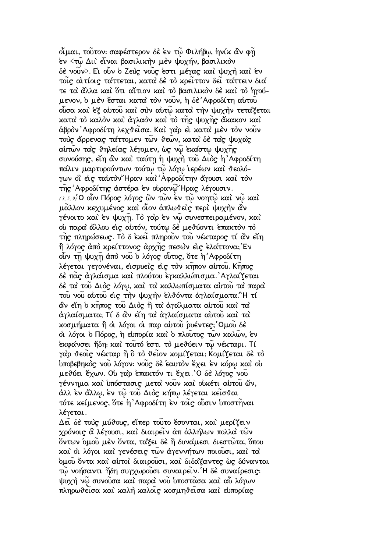σίμαι, τουτον: σαφέστερον δε έν τω Φιλήβω, ηνίκ άν φη έν <τῷ Διὶ ἐἶναι βασιλικὴν μὲν ψυχήν, βασιλικὸν δέ νουν>. Ει ούν ο Ζεύς νους έστι μέγας και ψυχή και έν τοις αιτίοις τάττεται, κατα δε το κρειττον δει τάττειν δια τε τα άλλα και ότι αίτιον και το βασιλικον δε και το ήγούμενον, ο μεν έσται κατα τον νουν, η δε' Αφροδίτη αυτου ούσα και εξ αυτου και συν αυτώ κατα την ψυχην τεταξεται κατα το καλον και άγλαον και το της ψυχης άκακον και άβρον Αφροδίτη λεχθείσα. Και γαρ εί κατα μεν τον νούν τούς άρρενας τάττομεν των θεών, κατα δέ τας ψυχας αύτων τας θηλείας λέγομεν, ως νω εκαστω ψυχης συνούσης, είη άν και ταύτη η ψυχη του Διός η' Αφροδίτη παλιν μαρτυρούντων τούτω τω λόγω ιερέων και θεολόγων οι είς ταυτον Ήραν και Αφροδίτην άγουσι και τον της Αφροδίτης άστέρα εν ουρανώ Ηρας λέγουσιν. (3, 5, 9) Ο οὖν Πόρος λόγος ὢν τῶν ἐν τῷ νοητῷ καὶ νῷ καὶ μαλλον κεχυμένος και οίον άπλωθεις περι ψυχην άν γένοιτο και έν ψυχη. Το γαρ έν νω συνεσπειραμένον, και ού παρα άλλου είς αύτόν, τούτω δε μεθύοντι επακτον το της πληρώσεως. Τὸ δ ἐκει πληρούν του νέκταρος τί ἀν είη ή λόγος άπό κρείττονος άρχης πεσων εις ελαττονα; Έν οὖν τη ψυχη άπο νου ο λόγος οὗτος, ότε η Αφροδίτη λέγεται γεγονέναι, εισρυείς είς τον κήπον αυτού. Κήπος δε πας αγλαίσμα και πλούτου εγκαλλώπισμα. Αγλαίζεται δέ τα του Διός λόγω, και τα καλλωπίσματα αύτου τα παρα του νου αυτου είς την ψυχην ελθόντα αγλαίσματα. Η τί άν είη ο κήπος του Διός ή τα αγαλματα αυτου και τα άγλαίσματα; Τί δ άν είη τα αγλαίσματα αυτού και τα κοσμήματα ή οι λόγοι οι παρ αυτού ρυέντες; Ομού δέ οί λόγοι ο Πόρος, η ευπορία και ο πλούτος των καλών, εν εκφάνσει ἤδη: και τουτό εστι το μεθύειν τω νέκταρι. Τί γαρ θεοίς νέκταρ ή δ το θείον κομίζεται; Κομίζεται δε το υποβεβηκός νου λόγον: νους δε εαυτον έχει εν κόρω και ου μεθύει έχων. Ου γαρ επακτόν τι έχει. Ο δε λόγος νου γέννημα και υπόστασις μετα νούν και ουκέτι αυτού ών, άλλ έν άλλω, εν τω του Διός κήπω λέγεται κεισθαι τότε κείμενος, ότε η Αφροδίτη έν τοις ούσιν υποστηναι λέγεται.

Δεί δέ τούς μύθους, είπερ τουτο έσονται, και μερίζειν χρόνοις δ' λέγουσι, και διαιρείν άπ άλλήλων πολλα των ὄντων δμοῦ μèν ὄντα, τα ξει δè ἢ δυναμεσι διεστῶτα, ὅπου και οι λόγοι και γενέσεις των άγεννήτων ποιουσι, και τα δμού όντα και αυτοι διαιρούσι, και διδαξαντες ως δύνανται τώ νοήσαντι ήδη συγχωρούσι συναιρείν. Η δε συναίρεσις: ψυχή νῷ συνούσα και παρα νού υποστάσα και αὖ λόγων πληρωθείσα και καλή καλοίς κοσμηθείσα και ευπορίας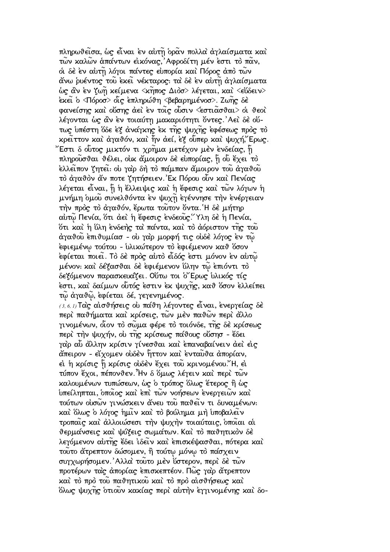πληρωθείσα, ως είναι εν αυτή δράν πολλα αγλαίσματα και τών καλών άπαντων εικόνας, Αφροδίτη μέν εστι το πάν, οι δε έν αυτή λόγοι παντες ευπορία και Πόρος από των άνω ρυέντος του εκεί νέκταρος: τα δε εν αυτή αγλαίσματα ώς άν εν ζωη κείμενα < κηπος Διόσ> λέγεται, και < εύδειν> 'εκει̃ σ <Πόροσ> οις επληρώθη <βεβαρημένοσ>. Ζωῆς δε φανείσης και ούσης άει έν τοις ούσιν <εστιασθαι> οι θεοι λέγονται ώς άν έν τοιαύτη μακαριότητι όντες. Αεί δε ούτως υπέστη δδε εξ άναγκης εκ της ψυχης εφέσεως προς το κρείττον και άγαθόν, και ήν άεί, εξ ούπερ και ψυχή, Έρως. "Εστι δ οὗτος μικτόν τι χρῆμα μετέχον μὲν ἐνδείας, ῇ πληρουσθαι θέλει, ούκ άμοιρον δε εύπορίας, η ού έχει το ελλείπον ζητεί: ου γαρ δη το πάμπαν άμοιρον του άγαθου τὸ ἀγαθὸν ἄν ποτε ζητήσειεν. Εκ Πόρου οὖν και Πενίας λέγεται εἶναι, ἦ ἡ ἔλλειψις καὶ ἡ ἔφεσις καὶ τῶν λόγων ἡ μνήμη δμού συνελθόντα έν ψυχη εγέννησε την ενέργειαν την προς το άγαθόν, έρωτα τουτον όντα. Η δε μήτηρ αύτω Πενία, ότι άει η έφεσις ενδεους. Υλη δε η Πενία, δτι και η ύλη ενδεης τα πάντα, και το αόριστον της του άγαθου επιθυμίασ - ου γαρ μορφή τις ουδε λόγος εν τω έφιεμένω τούτου - υλικώτερον το εφιέμενον καθ δσον έφίεται ποιει. Τὸ δὲ πρὸς αὐτὸ εἶδός ἐστι μόνον ἐν αὐτω μένον: και δέξασθαι δε εφιέμενον ύλην τω επιόντι το δεξόμενον παρασκευάζει. Ούτω τοι δ' Ερως υλικός τίς ἐστι, καὶ δαίμων οὗτός ἐστιν ἐκ ψυχῆς, καθ ὅσον ἐλλείπει τω άγαθω, εφίεται δέ, γεγενημένος.

 $(3, 6, 1)$  Τας αισθήσεις ου πάθη λέγοντες είναι, ενεργείας δέ περι παθήματα και κρίσεις, των μεν παθών περι άλλο γινομένων, δίον τὸ σῶμα φέρε τὸ τοιόνδε, της δὲ κρίσεως περί την ψυχήν, ου της κρίσεως παθους ούσησ - έδει γαρ αὖ άλλην κρίσιν γίνεσθαι και 'επαναβαίνειν άει εις άπειρον - είχομεν ουδεν ήττον και ενταυθα άπορίαν, ει η κρίσις η κρίσις ουδεν έχει του κρινομένου. Ή, ει τύπον έχοι, πέπονθεν. Ήν δ όμως λέγειν και περι των καλουμένων τυπώσεων, ως ο τρόπος όλως έτερος ή ως υπείληπται, οποίος και επι των νοήσεων ενεργειών και τούτων ουσών γινώσκειν άνευ του παθείν τι δυναμένων: και δλως ο λόγος ημίν και το βούλημα μη υποβαλείν τροπαις και άλλοιώσεσι την ψυχην τοιαύταις, οποιαι αι θερμάνσεις και ψύξεις σωμάτων. Και το παθητικον δε λεγόμενον αυτής έδει ιδείν και επισκέψασθαι, πότερα και τούτο άτρεπτον δώσομεν, ή τούτω μόνω το πάσχειν συγχωρήσομεν. Αλλα τούτο μέν ύστερον, περί δέ των προτέρων τας άπορίας επισκεπτέον. Πώς γαρ άτρεπτον και το προ του παθητικού και το προ αισθήσεως και δλως ψυχης δτιούν κακίας περί αυτήν εγγινομένης και δο-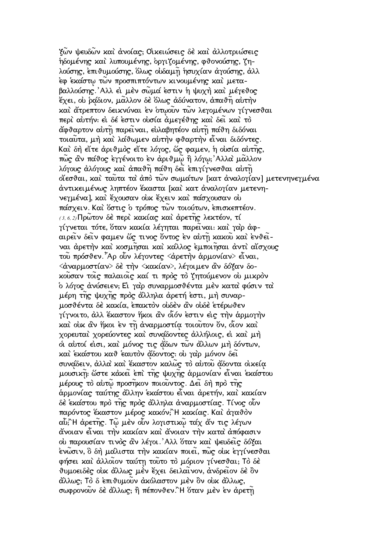ξων ψευδων και άνοίας; Οικειώσεις δε και άλλοτριώσεις ηδομένης και λυπουμένης, όργιζομένης, φθονούσης, ζηλούσης, επιθυμούσης, όλως ουδαμή ησυχίαν άγούσης, άλλ 'εφ εκαστω των προσπιπτόντων κινουμένης καὶ μεταβαλλούσης. Αλλ ει μεν σώμα εστιν η ψυχη και μέγεθος έχει, ου ραδιον, μαλλον δε όλως αδύνατον, απαθη αυτην και άτρεπτον δεικνύναι εν οτωούν των λεγομένων γίγνεσθαι περι αυτήν: ει δέ εστιν ουσία άμεγέθης και δει και το άφθαρτον αυτή παρείναι, ευλαβητέον αυτή παθη διδόναι τοιαυτα, μή και λάθωμεν αυτήν φθαρτήν είναι διδόντες. Και δη είτε άριθμος είτε λόγος, ώς φαμεν, η ουσία αυτής, πώς άν πάθος εγγένοιτο έν άριθμώ ή λόγω; Αλλα μάλλον λόγους άλόγους και άπαθη πάθη δει επιγίγνεσθαι αυτη σίεσθαι, και ταυτα τα άπο των σωμάτων [κατ άναλογίαν] μετενηνεγμένα άντικειμένως ληπτέον έκαστα [και κατ άναλογίαν μετενηνεγμένα], και έχουσαν ουκ έχειν και πάσχουσαν ου πάσχειν. Και δστις ο τρόπος των τοιούτων, επισκεπτέον.  $(3, 6, 2)$ Πρώτον δέ περι κακίας και άρετης λεκτέον, τί γίγνεται τότε, όταν κακία λέγηται παρείναι: και γαρ άφαιρειν δειν φαμεν ώς τινος όντος έν αυτή κακού και ενθείναι άρετην και κοσμήσαι και καλλος εμποιήσαι άντι αίσχους του πρόσθεν. Άρ ούν λέγοντες <άρετην αρμονίαν> είναι, <άναρμοστίαν> δὲ τὴν <κακίαν>, λέγοιμεν ἀν δόξαν δοκούσαν τοις παλαιοις καί τι πρός το ζητούμενον ου μικρον δ λόγος άνύσειεν; Ει γαρ συναρμοσθέντα μεν κατα φύσιν τα μέρη της ψυχης πρός άλληλα άρετή έστι, μη συναρμοσθέντα δε κακία, επακτον ουδεν άν ουδε ετέρωθεν γίγνοιτο, άλλ έκαστον ήκοι άν οιόν εστιν είς την άρμογην και ούκ αν ήκοι εν τη αναρμοστία τοιούτον όν, οίον και χορευται χορεύοντες και συνάδοντες άλλήλοις, ει και μη οι αυτοί είσι, και μόνος τις άδων των άλλων μη δόντων, και εκαστου καθ εαυτον άδοντος: ου γαρ μόνον δει συναδειν, άλλα και έκαστον καλώς το αυτου άδοντα οικεία μουσική: ώστε κάκει επι της ψυχής αρμονίαν είναι εκαστου μέρους το αύτω προσήκον ποιούντος. Δεί δη προ της άρμονίας ταύτης άλλην εκαστου είναι αρετήν, και κακίαν δε εκαστου προ της προς άλληλα αναρμοστίας. Τίνος ούν παρόντος έκαστον μέρος κακόν, Η κακίας. Και άγαθον αὖ; Η άρετης. Τῷ μεν οὖν λογιστικῷ τάχ ἄν τις λέγων άνοιαν είναι την κακίαν και άνοιαν την κατα απόφασιν ού παρουσίαν τινός άν λέγοι. Αλλ όταν και ψευδείς δόξαι ένῶσιν, ὃ δὴ μαλιστα τὴν κακίαν ποιεῖ, πῶς οὐκ ἐγγίνεσθαι φήσει και άλλοιον ταύτη τουτο το μόριον γίνεσθαι; Το δε θυμοειδές ούκ άλλως μέν έχει δειλαϊνον, ανδρείον δε όν άλλως; Τὸ δ ἐπιθυμοῦν ἀκόλαστον μεν ὂν οὐκ ἀλλως, σωφρονούν δε άλλως; η πέπονθεν. Η όταν μεν εν άρετη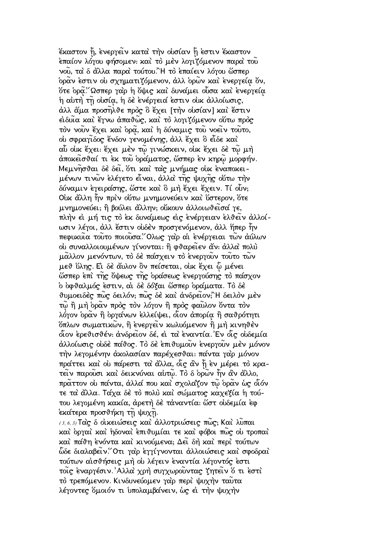έκαστον ή, ένεργείν κατα την ουσίαν η εστιν έκαστον έπαίον λόγου φήσομεν: και το μεν λογιζόμενον παρα του νου, τα δ άλλα παρα τούτου. Η το επαίειν λόγου ώσπερ δραν εστιν ου σχηματιζόμενον, άλλ δρών και ενεργεία όν, δτε δρα. Ωσπερ γαρ η δψις και δυναμει ούσα και ενεργεία η αύτη τη ουσία, η δε ενέργεια εστιν ουκ αλλοίωσις, άλλ άμα προσηλθε πρὸς ὃ ἔχει [τὴν οὐσίαν] καὶ ἔστιν ειδυια και έγνω άπαθώς, και το λογιζόμενον ούτω προς τον νουν έχει και όρα, και η δύναμις του νοείν τουτο, ου σφραγιδος ένδον γενομένης, άλλ έχει δ είδε και αὖ ουκ έχει: έχει μεν τώ γινώσκειν, ουκ έχει δε τώ μη άποκεισθαί τι έκ του δραματος, ώσπερ έν κηρώ μορφήν. Μεμνησθαι δέ δει, ότι και τας μνήμας ούκ εναποκειμένων τινών ελέγετο είναι, άλλα της ψυχης ούτω την δύναμιν εγειράσης, ώστε και δ μη έχει έχειν. Τί ούν; Ούκ άλλη ήν πριν ούτω μνημονεύειν και ύστερον, ότε μνημονεύει; ή βούλει άλλην; ούκουν άλλοιωθείσα γε, πλήν ει μή τις το εκ δυναμεως εις ενέργειαν ελθείν άλλοίωσιν λέγοι, άλλ έστιν ουδεν προσγενόμενον, άλλ ήπερ ήν πεφυκυια τούτο ποιούσα. Όλως γαρ αι ενέργειαι των αύλων ού συναλλοιουμένων γίνονται: ή φθαρείεν άν: άλλα πολύ μαλλον μενόντων, το δε πασχειν το ενεργούν τούτο των μεθ ύλης. Ει δε άυλον όν πείσεται, ουκ έχει ω μένει ώσπερ επι της όψεως της οράσεως ενεργούσης το πάσχον δ όφθαλμός έστιν, αι δέ δόξαι ὥσπερ δράματα. Τὸ δέ <u>θυμοειδές πώς δειλόν; πώς δε και άνδρεϊον;</u> Η δειλόν μέν τῷ ἢ μὴ ὁρᾶν πρὸς τὸν λόγον ἢ πρὸς φαῦλον ὄντα τὸν λόγον δραν ή δργανων ελλείψει, δίον απορία ή σαθρότητι δπλων σωματικών, ή ενεργείν κωλυόμενον ή μη κινηθεν οίον ερεθισθέν: άνδρείον δέ, εί τα εναντία. Εν οίς ουδεμία άλλοίωσις ουδέ πάθος. Το δε επιθυμουν ενεργουν μεν μόνον την λεγομένην άκολασίαν παρέχεσθαι: πάντα γαρ μόνον πράττει καὶ οὐ πάρεστι τα ἄλλα, δίς ἀν ἦ ἐν μέρει τὸ κρατείν παρούσι και δεικνύναι αυτώ. Το δ δρών ήν άν άλλο, πράττον ου πάντα, άλλά που και σχολάζον τῷ δραν ὡς οἶόν τε τα άλλα. Τάχα δε το πολύ και σώματος καχεξία η τούτου λεγομένη κακία, άρετὴ δὲ τἀναντία: ὥστ οὐδεμία ἐφ εκάτερα προσθήκη τη ψυχη.

 $(3, 6, 3)$  Τας δ οικειώσεις και αλλοτριώσεις πως; Και λυπαι και όργαι και ήδοναι επιθυμίαι τε και φόβοι πως ου τροπαι και πάθη ενόντα και κινούμενα; Δει δη και περι τούτων ὧδε διαλαβείν. Ότι γαρ εγγίγνονται άλλοιώσεις και σφοδραι τούτων αισθήσεις μη ου λέγειν εναντία λέγοντός εστι τοις εναργέσιν. Αλλα χρή συγχωρούντας ζητείν & τι εστι τό τρεπόμενον. Κινδυνεύομεν γαρ περί ψυχην ταύτα λέγοντες δμοιόν τι υπολαμβανειν, ως ει την ψυχην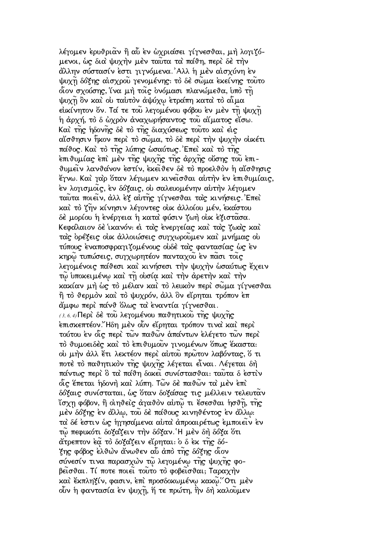λέγομεν ερυθριαν ή αύ εν ώχριασει γίγνεσθαι, μή λογιζόμενοι, ώς δια ψυχήν μεν ταῦτα τα παθη, περί δε την άλλην σύστασίν έστι γιγνόμενα. Αλλ η μεν αισχύνη έν ψυχη δόξης αισχρού γενομένης: τὸ δε σώμα εκείνης τούτο οίον σχούσης, ίνα μή τοις ονόμασι πλανώμεθα, υπό τη ψυχη όν και ου ταυτον αψύχω ετραπη κατα το αίμα εύκίνητον όν. Τα τε του λεγομένου φόβου εν μεν τη ψυχη η άρχή, τὸ δ ώχρὸν ἀναχωρήσαντος του αίματος είσω. Και της ηδονης δε το της διαχύσεως τουτο και είς αΐσθησιν ήκον περί το σώμα, το δε περί την ψυχην ουκέτι πάθος. Και το της λύπης ώσαύτως. Επει και το της έπιθυμίας έπι μέν της ψυχης της άρχης ούσης του έπιθυμείν λανθάνον 'εστίν, εκείθεν δε το προελθον η αίσθησις ἔγνω. Καὶ γαρ ὅταν λέγωμεν κινεῖσθαι αὐτὴν ἐν ἐπιθυμίαις, έν λογισμοίς, εν δόξαις, ου σαλευομένην αυτήν λέγομεν ταύτα ποιείν, άλλ έξ αύτης γίγνεσθαι τας κινήσεις. Επεί και το ζην κίνησιν λέγοντες ουκ άλλοίου μέν, εκάστου δε μορίου η ενέργεια η κατα φύσιν ζωη ουκ εξιστάσα. Κεφαλαιον δε ίκανόν: εί τας ενεργείας και τας ζωας και τας ορέξεις ουκ άλλοιώσεις συγχωρούμεν και μνήμας ου τύπους εναποσφραγιζομένους ούδε τας φαντασίας ως έν κηρώ τυπώσεις, συγχωρητέον πανταχού έν πάσι τοις λεγομένοις πάθεσι και κινήσεσι την ψυχην ώσαύτως έχειν τῷ ὑποκειμένῳ καὶ τη οὐσία καὶ την ἀρετην καὶ την κακίαν μή ώς τὸ μέλαν καὶ τὸ λευκὸν περὶ σὦμα γίγνεσθαι ή το θερμον και το ψυχρόν, άλλ ον είρηται τρόπον επ άμφω περί πάνθ όλως τα εναντία γίγνεσθαι.  $(3, 6, 4)$ Περί δέ του λεγομένου παθητικού της ψυχής έπισκεπτέον. Ήδη μεν οὖν εἴρηται τρόπον τινα και περι τούτου εν οίς περι των παθών απάντων ελέγετο των περι το θυμοειδές και το επιθυμούν γινομένων όπως έκαστα: ού μην άλλ έτι λεκτέον περι αυτού πρώτον λαβόντας, δ τι ποτέ το παθητικόν της ψυχης λέγεται είναι. Λέγεται δη πάντως περί δ τα πάθη δοκεί συνίστασθαι: ταύτα δ έστιν οις έπεται ήδονη και λύπη. Των δε παθών τα μεν επι δόξαις συνίσταται, ώς όταν δοξάσας τις μέλλειν τελευταν ἴσχη φόβον, ἢ οἰηθεὶς ἀγαθὸν αὐτῷ τι ἔσεσθαι ἡσθῇ, τῆς μεν δόζης εν άλλω, του δε παθους κινηθέντος εν άλλω: τα δέ εστιν ως ηγησαμενα αυτα απροαιρέτως εμποιείν εν τω πεφυκότι δοξαζειν την δόξαν. Η μεν δη δόξα ότι άτρεπτον έα το δοξαζειν είρηται: ο δ εκ της δόξης φόβος ελθων άνωθεν αὖ άπο της δόξης οίον σύνεσίν τινα παρασχων τω λεγομένω της ψυχης φοβεισθαι. Τί ποτε ποιεί τούτο το φοβεισθαι; Ταραχήν και έκπληξίν, φασιν, επι προσδοκωμένω κακώ. Ότι μεν ούν η φαντασία έν ψυχη, ή τε πρώτη, ην δη καλούμεν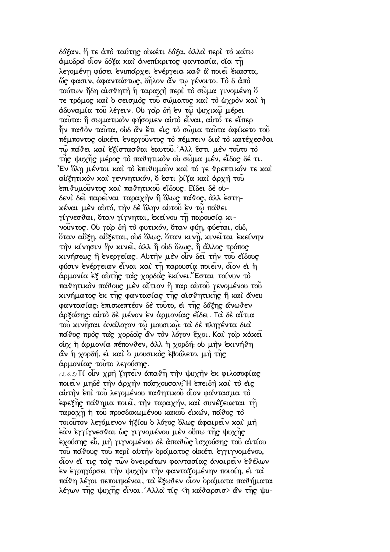δόξαν, ή τε άπὸ ταύτης οὐκέτι δόξα, ἀλλα περὶ τὸ κάτω άμυδρα δίον δόξα και άνεπίκριτος φαντασία, οία τη λεγομένη φύσει ενυπάρχει ενέργεια καθ α ποιει έκαστα, ώς φασιν, άφαντάστως, δήλον άν τω γένοιτο. Τὸ δ ἀπὸ τούτων ήδη αισθητή η ταραχή περί το σώμα γινομένη δ τε τρόμος και ο σεισμος του σώματος και το ώχρον και ή άδυναμία του λέγειν. Ου γαρ δη εν τω ψυχικώ μέρει ταυτα: ή σωματικόν φήσομεν αυτό είναι, αυτό τε είπερ ην παθον ταύτα, ουδ άν έτι εις το σώμα ταυτα αφίκετο του πέμποντος ούκέτι ενεργούντος το πέμπειν δια το κατέχεσθαι τῷ πάθει και 'εξίστασθαι έαυτου.' Αλλ έστι μεν τουτο το της ψυχης μέρος το παθητικον ου σώμα μέν, είδος δέ τι. 'Eν ὕλη μέντοι καὶ τὸ ἐπιθυμοῦν καὶ τό γε θρεπτικόν τε καὶ αύξητικόν και γεννητικόν, δ' εστι ρίζα και άρχη του επιθυμούντος και παθητικού είδους. Είδει δε ουδενι δει παρείναι ταραχήν ή όλως πάθος, άλλ εστηκέναι μεν αυτό, την δε ύλην αυτου εν τω πάθει γίγνεσθαι, όταν γίγνηται, εκείνου τη παρουσία κινούντος. Ου γαρ δη το φυτικόν, όταν φύη, φύεται, ουδ, δταν αύξη, αύξεται, ουδ όλως, όταν κινη, κινειται 'εκείνην την κίνησιν ην κινει, άλλ ή ουδ όλως, ή άλλος τρόπος κινήσεως ή ενεργείας. Αύτην μέν ούν δει την του είδους φύσιν ενέργειαν είναι και τη παρουσία ποιείν, δίον ει ή άρμονία έξ αυτής τας χορδας εκίνει. Έσται τοίνυν το παθητικόν πάθους μέν αίτιον ή παρ αύτου γενομένου του κινήματος έκ της φαντασίας της αισθητικής ή και άνευ φαντασίας: επισκεπτέον δε τουτο, ει της δόξης άνωθεν άρξασης: αύτο δε μένον εν άρμονίας είδει. Τα δε αίτια του κινήσαι άναλογον τω μουσικώ: τα δέ πληγέντα δια πάθος πρός τας χορδας άν τον λόγον έχοι. Και γαρ κάκει ούχ η άρμονία πέπονθεν, άλλ η χορδή: ου μην εκινήθη άν η χορδή, ει και ο μουσικός εβούλετο, μη της άρμονίας τουτο λεγούσης.

 $(3, 6, 5)$  Τί ούν χρή ζητείν άπαθη την ψυχην εκ φιλοσοφίας ποιείν μηδέ την άρχην πασχουσαν; Η επειδή και το είς αύτην επι του λεγομένου παθητικού οίον φαντασμα το ' έφεξης πάθημα ποιεί, την ταραχήν, καὶ συνέζευκται τη ταραχη η του προσδοκωμένου κακού εικών, πάθος το τοιούτον λεγόμενον ή ίου ο λόγος όλως άφαιρείν και μή έαν εγγίγνεσθαι ώς γιγνομένου μεν ούπω της ψυχης έχούσης εὖ, μη γιγνομένου δὲ ἀπαθὦς ισχούσης τοῦ αιτίου του πάθους του περί αύτην δραματος ουκέτι εγγιγνομένου, οίον εί τις τας των ονειρατων φαντασίας αναιρείν εθέλων έν εγρηγόρσει την ψυχην την φανταζομένην ποιοίη, ει τα πάθη λέγοι πεποιηκέναι, τα έξωθεν οίον δράματα παθήματα λέγων της ψυχης είναι. Αλλα τίς <η καθαρσισ> άν της ψυ-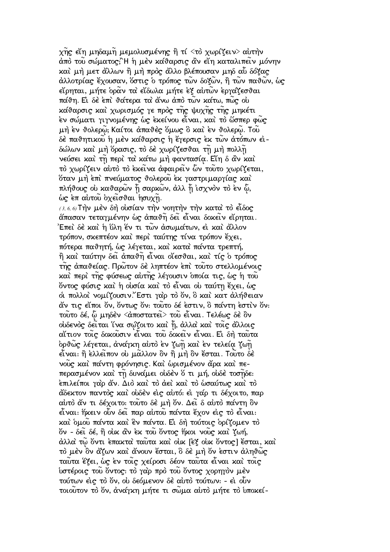χῆς είη μηδαμῆ μεμολυσμένης ἢ τί <τὸ χωρίζειν> αὐτὴν άπό του σώματος; Η η μέν καθαρσις άν είη καταλιπείν μόνην και μη μετ άλλων ή μη προς άλλο βλέπουσαν μηδ αὖ δόξας άλλοτρίας έχουσαν, όστις ο τρόπος των δοξών, ή των παθών, ώς είρηται, μήτε δράν τα είδωλα μήτε εξ αυτών εργάζεσθαι πάθη. Ει δέ έπι θάτερα τα άνω άπο των κάτω, πως ου κάθαρσις και χωρισμός γε προς της ψυχης της μηκέτι έν σώματι γιγνομένης ως εκείνου είναι, και το ώσπερ φως μή έν θολερώ; Καίτοι άπαθές όμως δ και εν θολερώ. Του δέ παθητικού η μέν καθαρσις η έγερσις έκ των ατόπων ειδώλων και μη δρασις, το δε χωρίζεσθαι τη μη πολλη νεύσει και τη περι τα κάτω μη φαντασία. Είη δ άν και τὸ χωρίζειν αὐτὸ τὸ ἐκεἶνα ἀφαιρεῖν ὧν τοῦτο χωρίζεται, δταν μή επι πνεύματος θολερού εκ γαστριμαργίας και πλήθους ου καθαρών ή σαρκών, άλλ ή ισχνον το έν ὧ, ώς επ αυτου όχεισθαι ησυχη.

 $(3, 6, 6)$  Την μέν δη ουσίαν την νοητην την κατα το είδος άπασαν τεταγμένην ως άπαθη δει είναι δοκειν είρηται. 'Επεὶ δὲ καὶ ἡ ὕλη ἕν τι τῶν ἀσωμάτων, ἐι καὶ ἄλλον τρόπον, σκεπτέον και περι ταύτης τίνα τρόπον έχει, πότερα παθητή, ώς λέγεται, και κατα πάντα τρεπτή, ή και ταύτην δει άπαθη είναι σίεσθαι, και τίς ο τρόπος της απαθείας. Πρώτον δε ληπτέον επι τούτο στελλομένοις και περι της φύσεως αυτής λέγουσιν οποία τις, ως η του όντος φύσις και η ουσία και το είναι ου ταύτη έχει, ώς οί πολλοί νομίζουσιν. Έστι γαρ το όν, δ και κατ άλήθειαν άν τις είποι όν, όντως όν: τουτο δέ έστιν, δ πάντη έστιν όν: τούτο δέ, ὧ μηδεν <άποστατεί> του είναι. Τελέως δε όν ούδενος δείται ίνα σώζοιτο και ή, άλλα και τοις άλλοις αίτιον τοις δοκούσιν είναι του δοκειν είναι. Ει δη ταυτα ορθώς λέγεται, αναγκη αυτο εν ζωή και εν τελεία ζωή είναι: ή ελλείπον ου μαλλον όν ή μη όν έσται. Τουτο δε νους και πάντη φρόνησις. Και ώρισμένον άρα και πεπερασμένον και τη δυναμει ούδεν δ τι μή, ούδε τοσηδε: έπιλείποι γαρ άν. Διὸ και τὸ ἀει και τὸ ὡσαύτως και τὸ άδεκτον παντός και ουδεν εις αυτό: ει γάρ τι δέχοιτο, παρ αύτο άν τι δέχοιτο: τουτο δε μη όν. Δεί δ αύτο πάντη όν είναι: ήκειν ούν δει παρ αύτου παντα έχον εις το είναι: και δμού πάντα και εν πάντα. Ει δη τούτοις δρίζομεν το όν - δει δέ, ή ουκ άν εκ του όντος ήκοι νους και ζωή, άλλα τῷ ὄντι ἐπακτα ταῦτα και οὐκ [εξ οὐκ ὄντος] ἔσται, και τὸ μèν ὂν ἄζων καὶ ἄνουν ἔσται, ὃ δὲ μὴ ὄν ἐστιν ἀληθῶς ταυτα έξει, ως εν τοις χείροσι δέον ταυτα είναι και τοις υστέροις του όντος: το γαρ προ του όντος χορηγον μεν τούτων είς τὸ ὄν, ου δεόμενον δε αυτό τούτων: - εί ούν τοιούτον τὸ ὄν, ἀναγκη μήτε τι σώμα αυτό μήτε τὸ υποκεί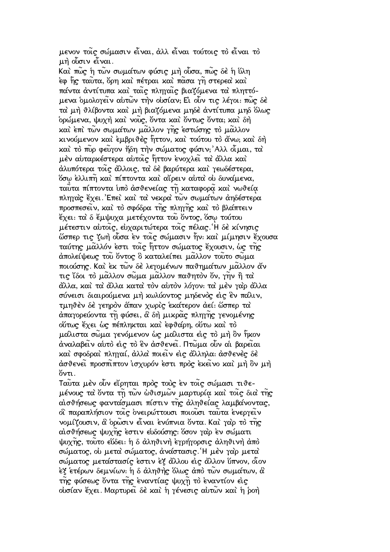μενον τοις σώμασιν είναι, άλλ είναι τούτοις το είναι το μή ούσιν είναι.

Καὶ πὦς ἡ τῶν σωμάτων φύσις μὴ οὖσα, πῶς δὲ ἡ ὕλη έφ ής ταυτα, όρη και πέτραι και πασα γη στερεα και πάντα άντίτυπα και ταις πληγαις βιαζόμενα τα πληττόμενα δμολογείν αύτων την ουσίαν; Ει ούν τις λέγοι: πως δέ τα μη θλίβοντα και μη βιαζόμενα μηδε αντίτυπα μηδ όλως δρώμενα, ψυχή και νους, όντα και όντως όντα; και δη και έπι των σωμάτων μάλλον γης εστώσης το μάλλον κινούμενον και εμβριθές ήττον, και τούτου το άνω; και δη και το πυρ φεύγον ήδη την σώματος φύσιν; Αλλ οίμαι, τα μέν αυταρκέστερα αυτοις ήττον ενοχλει τα άλλα και άλυπότερα τοις άλλοις, τα δε βαρύτερα και γεωδέστερα, δσω ελλιπή και πίπτοντα και αίρειν αυτα ου δυνάμενα, ταυτα πίπτοντα υπό άσθενείας τη καταφορα και νωθεία πληγας έχει. Επεί και τα νεκρα των σωμάτων αηδέστερα προσπεσείν, και το σφόδρα της πληγής και το βλαπτειν έχει: τα δ έμψυχα μετέχοντα του όντος, όσω τούτου μέτεστιν αυτοίς, ευχαριτώτερα τοις πέλας. Η δε κίνησις ώσπερ τις ζωή ούσα εν τοις σώμασιν ήν: και μίμησιν έχουσα ταύτης μαλλόν έστι τοις ήττον σώματος έχουσιν, ως της άπολείψεως του όντος δ καταλείπει μαλλον τουτο σώμα ποιούσης. Και εκ των δε λεγομένων παθημάτων μαλλον άν τις ίδοι τὸ μαλλον σῶμα μαλλον παθητὸν ὄν, γην ἢ τα άλλα, καὶ τα άλλα κατα τον αὐτον λόγον: τα μεν γαρ άλλα σύνεισι διαιρούμενα μή κωλύοντος μηδενός είς εν πάλιν, τμηθέν δέ γεηρόν άπαν χωρις εκάτερον άεί: ώσπερ τα άπαγορεύοντα τη φύσει, & δη μικράς πληγης γενομένης ούτως έχει ως πέπληκται και εφθάρη, ούτω και το μαλιστα σῶμα γενόμενον ὡς μαλιστα ἐις τὸ μὴ ὂν ἧκον άναλαβείν αυτό είς το εν άσθενει. Πτώμα ούν αι βαρείαι και σφοδραι πληγαί, άλλα ποιείν εις άλληλα: άσθενες δε άσθενει προσπιπτον ισχυρόν έστι προς εκείνο και μη όν μη ὄντι.

Ταύτα μέν ούν είρηται πρός τους έν τοις σώμασι τιθεμένους τα όντα τη των ώθισμων μαρτυρία και τοις δια της αισθήσεως φαντάσμασι πίστιν της άληθείας λαμβανοντας, οι παραπλήσιον τοις ονειρώττουσι ποιούσι ταυτα ενεργείν νομίζουσιν, α δρώσιν είναι ενύπνια όντα. Και γαρ το της αισθήσεως ψυχης εστιν ευδούσης: όσον γαρ εν σώματι ψυχης, τουτο εύδει: η δ άληθινη εγρήγορσις άληθινη άπο σώματος, ου μετα σώματος, αναστασις. Η μεν γαρ μετα σώματος μετάστασίς 'εστιν 'εξ άλλου εις άλλον ύπνον, οίον έζ ετέρων δεμνίων: η δ άληθης δλως άπο τῶν σωμάτων, δ της φύσεως όντα της εναντίας ψυχη το εναντίον είς ουσίαν έχει. Μαρτυρεί δε και η γένεσις αυτών και η ροη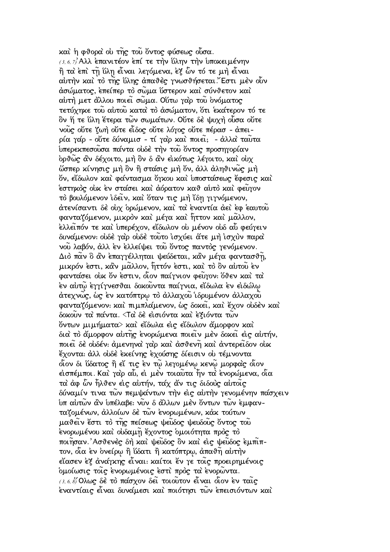και η φθορα ου της του όντος φύσεως ούσα. (3, 6, 7) Αλλ επανιτέον επί τε την ύλην την υποκειμένην ή τα` 'επι` τῆ ὕλῃ ἐἶναι λεγόμενα, 'εξ ὧν τό τε μὴ ἐἶναι αύτην και το της ύλης άπαθες γνωσθήσεται. Έστι μεν ούν άσώματος, επείπερ το σώμα ύστερον και σύνθετον και αύτη μετ άλλου ποιεί σώμα. Ούτω γαρ του ονόματος τετύχηκε του αύτου κατα το ασώματον, ότι εκατερον τό τε ὂν ἥ τε ὕλη ἕτερα τῶν σωμάτων. Οὔτε δὲ ψυχὴ οὖσα οὔτε νους ούτε ζωη ούτε είδος ούτε λόγος ούτε πέρασ - άπειρία γάρ - ούτε δύναμισ - τί γαρ και ποιεί; - άλλα ταυτα υπερεκπεσούσα πάντα ουδέ την του όντος προσηγορίαν όρθὧς άν δέχοιτο, μη ὂν δ άν εικότως λέγοιτο, και ουχ ώσπερ κίνησις μή όν ή στάσις μή όν, άλλ άληθινώς μή όν, είδωλον και φαντασμα όγκου και υποστασεως έφεσις και εστηκός ούκ εν στάσει και άόρατον καθ αυτό και φεύγον τὸ βουλόμενον ιδείν, και όταν τις μή ίδη γιγνόμενον, άτενίσαντι δε ουχ δρώμενον, και τα εναντία άει εφ εαυτου φανταζόμενον, μικρόν και μέγα και ήττον και μαλλον, ελλεϊπόν τε και υπερέχον, είδωλον ου μένον ουδ αὖ φεύγειν δυναμενον: ουδέ γαρ ουδέ τουτο ισχύει άτε μη ισχύν παρα νου λαβόν, άλλ εν ελλείψει του όντος παντός γενόμενον. Διὸ πᾶν ὃ ἀν ἐπαγγέλληται ψεύδεται, κἀν μέγα φαντασθη̃, μικρόν 'εστι, κάν μαλλον, ήττόν 'εστι, και το όν αυτου εν φαντάσει ούκ όν έστιν, οίον παίγνιον φεύγον: όθεν και τα έν αυτώ εγγίγνεσθαι δοκούντα παίγνια, είδωλα εν ειδώλω άτεχνώς, ως εν κατόπτρω το άλλαχου ιδρυμένον άλλαχου φανταζόμενον: και πιμπλαμενον, ως δοκει, και έχον ουδεν και δοκούν τα πάντα. < Τα δε εισιόντα και εξιόντα των όντων μιμήματα> και είδωλα εις είδωλον άμορφον και δια το άμορφον αυτής ενορώμενα ποιείν μεν δοκεί είς αυτήν, ποιεί δε ουδέν: άμενηνα γαρ και άσθενη και άντερείδον ουκ έχοντα: άλλ ουδέ εκείνης εχούσης δίεισιν ου τέμνοντα δίον δι ύδατος ή εί τις εν τω λεγομένω κενω μορφας δίον εισπέμποι. Και γαρ αὖ, ει μεν τοιαΰτα ἦν τα ενορώμενα, οἷα τα άφ ὧν ἦλθεν είς αύτήν, ταχ άν τις διδούς αύτοις δύναμίν τινα των πεμψάντων την εις αυτην γενομένην πάσχειν υπ αυτών άν υπέλαβε: νύν δ άλλων μεν όντων των εμφανταζομένων, άλλοίων δε των ενορωμένων, κάκ τούτων μαθείν έστι το της πείσεως ψεύδος ψευδούς όντος του ένορωμένου και ουδαμη έχοντος δμοιότητα προς το ποιήσαν. Ασθενές δη και ψεύδος όν και είς ψεύδος εμπίπτον, οία εν ονείρω ή ύδατι ή κατόπτρω, άπαθη αυτήν είασεν εξ αναγκης είναι: καίτοι έν γε τοις προειρημένοις δμοίωσις τοις ενορωμένοις εστι πρός τα ενορώντα.  $(3, 6, 8)$  Ολως δέ το πάσχον δεί τοιούτον είναι οίον εν ταίς έναντίαις είναι δυνάμεσι και ποιότησι των επεισιόντων και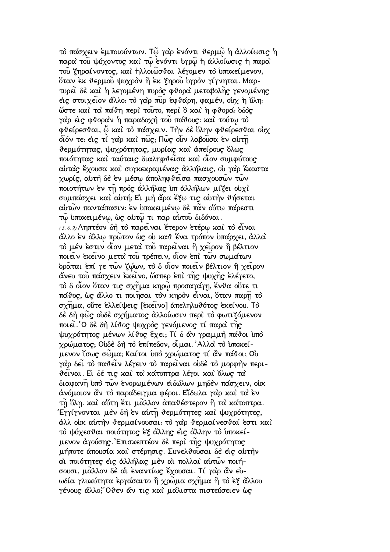τὸ πασχειν εμποιούντων. Τῷ γαρ ενόντι θερμῷ ἡ ἀλλοίωσις ἡ παρα του ψύχοντος και τω ενόντι υγρω η αλλοίωσις η παρα του ξηραίνοντος, και ηλλοιώσθαι λέγομεν το υποκείμενον, δταν εκ θερμού ψυχρον ή εκ ζηρού υγρον γίγνηται. Μαρτυρεί δε και η λεγομένη πυρός φθορα μεταβολής γενομένης εις στοιχείον άλλο: το γαρ πυρ εφθαρη, φαμέν, ουχ η ύλη: ώστε και τα πάθη περι τουτο, περι δ και η φθορά: δδος γαρ εις φθοραν η παραδοχη του πάθους: και τούτω το φθείρεσθαι, ώ και το πάσχειν. Την δε ύλην φθείρεσθαι ούχ οίόν τε: είς τί γαρ και πως; Πως ούν λαβούσα εν αύτη θερμότητας, ψυχρότητας, μυρίας και άπείρους όλως ποιότητας και ταύταις διαληφθείσα και δίον συμφύτους αύτας έχουσα και συγκεκραμένας άλλήλαις, ου γαρ έκαστα χωρίς, αυτή δε εν μέσω αποληφθείσα πασχουσών των ποιοτήτων έν τη πρός άλλήλας υπ άλλήλων μίζει ουχι συμπάσχει και αυτή; Ει μη άρα έξω τις αυτην θήσεται αυτων παντάπασιν: εν υποκειμένω δε παν ούτω πάρεστι τώ υποκειμένω, ώς αυτώ τι παρ αυτού διδόναι. (3, 6, 9) Ληπτέον δη το παρείναι έτερον ετέρω και το είναι άλλο εν άλλω πρώτον ώς ου καθ ένα τρόπον υπάρχει, άλλα τὸ μέν ἐστιν οἶον μετα τοῦ παρεῖναι ἢ χεῖρον ἢ βέλτιον ποιείν εκείνο μετα του τρέπειν, οίον επι των σωμάτων δράται επί γε των ζώων, το δ οίον ποιείν βέλτιον ή χείρον άνευ του πάσχειν εκείνο, ώσπερ επι της ψυχης ελέγετο, τὸ δ οίον ὅταν τις σχήμα κηρῷ προσαγάγη, ἔνθα ούτε τι πάθος, ώς άλλο τι ποιήσαι τον κηρον είναι, όταν παρή το σχημα, ούτε ελλείψεις [εκείνο] άπεληλυθότος εκείνου. Το δε δη φώς ουδε σχήματος άλλοίωσιν περι το φωτιζόμενον ποιεϊ. Ο δε δη λίθος ψυχρός γενόμενος τί παρα της ψυχρότητος μένων λίθος έχει; Τί δ άν γραμμή πάθοι υπό χρώματος; Ουδέ δη το επίπεδον, δίμαι. Αλλα το υποκείμενον ίσως σώμα; Καίτοι υπό χρώματος τί άν πάθοι; Ου γαρ δεί το παθείν λέγειν το παρείναι ούδε το μορφήν περιθείναι. Ει δέ τις και τα κάτοπτρα λέγοι και δλως τα διαφανη υπό των ενορωμένων ειδώλων μηδεν πασχειν, ουκ άνόμοιον άν τὸ παραδειγμα φέροι. Εἴδωλα γαρ και τα εν τη ύλη. και αύτη έτι μαλλον απαθέστερον ή τα κατοπτρα. Έγγίγνονται μεν δη έν αυτη θερμότητες και ψυχρότητες, άλλ ούκ αυτήν θερμαίνουσαι: το γαρ θερμαίνεσθαί έστι και τὸ ψύχεσθαι ποιότητος ἐξ ἄλλης εις ἄλλην τὸ ὑποκείμενον άγούσης. Επισκεπτέον δε περί της ψυχρότητος μήποτε άπουσία και στέρησις. Συνελθούσαι δε είς αύτην αι ποιότητες εις αλλήλας μεν αι πολλαι αυτων ποιήσουσι, μαλλον δε αι εναντίως έχουσαι. Τί γαρ άν ευωδία γλυκύτητα εργασαιτο ή χρωμα σχημα ή το εξ άλλου γένους άλλο; Όθεν άν τις και μαλιστα πιστεύσειεν ώς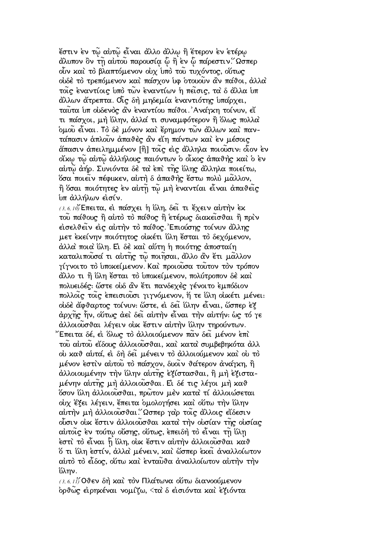ἔστιν ἐν τῳ αὐτῳ ἐἶναι ἀλλο ἀλλῳ ἢ ἕτερον ἐν ἑτέρῳ άλυπον ον τη αυτού παρουσία ω ή εν ω παρεστιν. Ωσπερ οὖν και τὸ βλαπτόμενον οὐχ υπὸ τοῦ τυχόντος, οὕτως ούδε το τρεπόμενον και πάσχον υφ οτουουν άν πάθοι, άλλα τοις εναντίοις υπό των εναντίων η πείσις, τα δ άλλα υπ άλλων άτρεπτα. Οις δη μηδεμία εναντιότης υπάρχει, ταυτα υπ ουδενός άν εναντίου πάθοι. Ανάγκη τοίνυν, εί τι πάσχοι, μή ύλην, άλλα τι συναμφότερον ή όλως πολλα δμου είναι. Το δε μόνον και έρημον των άλλων και παντάπασιν άπλουν άπαθές άν είη παντων και εν μέσοις άπασιν άπειλημμένον [ἢ] τοις εις άλληλα ποιουσιν: οίον εν σίκω τώ αυτώ άλλήλους παιόντων ο σίκος άπαθης και ο έν αύτω άήρ. Συνιόντα δε τα επι της ύλης άλληλα ποιείτω, δσα ποιείν πέφυκεν, αύτη δ άπαθης έστω πολύ μαλλον, ή όσαι ποιότητες εν αύτη τω μη εναντίαι είναι άπαθείς υπ άλλήλων εισίν.

 $(3, 6, 10)$  Επειτα, ει πάσχει η ύλη, δει τι έχειν αυτην εκ του πάθους ή αυτό το πάθος ή ετέρως διακείσθαι ή πριν εισελθείν εις αύτην το πάθος. Επιούσης τοίνυν άλλης μετ εκείνην ποιότητος ουκέτι ύλη έσται το δεχόμενον, άλλα ποια ύλη. Ει δε και αύτη η ποιότης αποσταίη καταλιπούσα τι αύτης τω ποιήσαι, άλλο άν έτι μάλλον γίγνοιτο τὸ υποκείμενον. Και προιούσα τούτον τὸν τρόπον άλλο τι ή ύλη έσται το υποκείμενον, πολύτροπον δε και πολυειδές: ώστε ουδ άν έτι πανδεχές γένοιτο εμπόδιον πολλοΐς τοις επεισιούσι γιγνόμενον, ή τε ύλη ουκέτι μένει: ούδε άφθαρτος τοίνυν: ώστε, ει δει ύλην είναι, ώσπερ εξ άρχης ήν, ούτως άει δει αύτην είναι την αυτήν: ως τό γε άλλοιουσθαι λέγειν ούκ έστιν αύτην ύλην τηρούντων. "Επειτα δέ, ει δλως τὸ ἀλλοιούμενον πᾶν δεῖ μένον ἐπὶ του αύτου είδους άλλοιουσθαι, και κατα συμβεβηκότα άλλ ου καθ αυτά, ει δη δει μένειν το άλλοιούμενον και ου το μένον εστιν αύτου το πάσχον, δυοίν θάτερον άναγκη, ή άλλοιουμένην την ύλην αυτης εξίστασθαι, ή μη εξισταμένην αυτής μή άλλοιουσθαι. Ει δέ τις λέγοι μή καθ δσον ύλη άλλοιουσθαι, πρώτον μεν κατα τί άλλοιώσεται ουχ έξει λέγειν, έπειτα δμολογήσει και ούτω την ύλην αύτην μη άλλοιουσθαι. Ωσπερ γαρ τοις άλλοις είδεσιν ούσιν ούκ έστιν άλλοιουσθαι κατα την ουσίαν της ουσίας αύτοις εν τούτω ούσης, ούτως, επειδή το είναι τη ύλη έστι το είναι ή ύλη, ούκ έστιν αύτην άλλοιουσθαι καθ δ τι ύλη 'εστίν, άλλα' μένειν, και ώσπερ 'εκει άναλλοίωτον αύτὸ τὸ ἐίδος, οὕτω καὶ ἐνταυθα ἀναλλοίωτον αὐτὴν τὴν  $\delta$ λην.

 $(3, 6, 11)$  Οθεν δή και τον Πλάτωνα ούτω διανοούμενον όρθως ειρηκέναι νομίζω, <τα δ εισιόντα και εξιόντα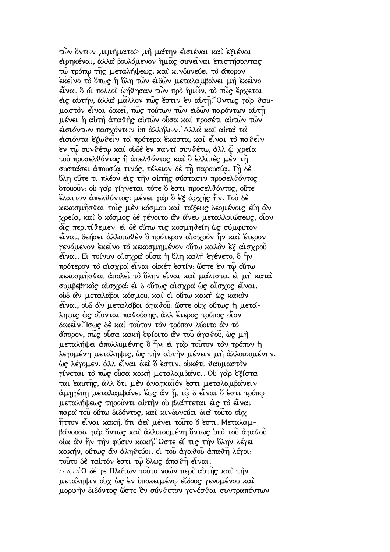των όντων μιμήματα> μη μάτην εισιέναι και εξιέναι ειρηκέναι, άλλα βουλόμενον ημάς συνείναι επιστήσαντας τώ τρόπω της μεταλήψεως, και κινδυνεύει το άπορον εκείνο το όπως η ύλη των ειδών μεταλαμβανει μη εκείνο εἶναι ὃ ο πολλοι ώήθησαν τῶν πρὸ ἡμῶν, τὸ πῶς ἔρχεται εις αυτήν, άλλα μαλλον πώς έστιν εν αυτη. Όντως γαρ θαυμαστον είναι δοκεί, πώς τούτων των είδων παρόντων αυτη μένει η αυτη άπαθης αυτών ούσα και προσέτι αυτών τών εισιόντων πασχόντων υπ άλλήλων. Αλλα και αυτα τα εισιόντα εξωθείν τα πρότερα έκαστα, και είναι το παθείν ἐν τῷ συνθέτῳ καὶ οὐδὲ ἐν παντὶ συνθέτῳ, ἀλλ ῷ χρεία του προσελθόντος ή άπελθόντος και δ ελλιπές μέν τη συστάσει άπουσία τινός, τέλειον δε τη παρουσία. Τη δε ύλη ούτε τι πλέον είς την αυτής σύστασιν προσελθόντος ότουούν: ου γαρ γίγνεται τότε δ εστι προσελθόντος, ούτε έλαττον άπελθόντος: μένει γαρ δ εξ άρχης ήν. Του δέ κεκοσμήσθαι τοις μέν κόσμου και τάξεως δεομένοις είη άν χρεία, και ο κόσμος δε γένοιτο άν άνευ μεταλλοιώσεως, οίον οίς περιτίθεμεν: εί δε ούτω τις κοσμηθείη ως σύμφυτον εἶναι, δεήσει άλλοιωθεν ὃ πρότερον αισχρὸν ἦν καὶ ἕτερον γενόμενον εκείνο το κεκοσμημένον ούτω καλον εξ αισχρού εἶναι. Ει τοίνυν αισχρα οὗσα ἡ ὕλη καλὴ ἐγένετο, ὃ ἦν πρότερον τὸ αισχρα εἶναι οὐκέτ 'εστίν: ὥστε 'εν τῳ οὕτω κεκοσμήσθαι άπολει το ύλην είναι και μαλιστα, ει μή κατα συμβεβηκός αισχρά: εί δ ούτως αισχρα ως αισχος είναι, ούδ άν μεταλαβοι κόσμου, και εί ούτω κακή ως κακον εἶναι, οὐδ ἀν μεταλαβοι ἀγαθοῦ: ὥστε οὐχ οὕτως ἡ μετα ληψις ώς σίονται παθούσης, άλλ έτερος τρόπος οίον δοκείν. Ίσως δε και τούτον τον τρόπον λύοιτο άν το άπορον, πώς ούσα κακή εφίοιτο άν του άγαθου, ως μή μεταλήψει άπολλυμένης δ ήν: εί γαρ τούτον τον τρόπον ή λεγομένη μεταληψις, ως την αυτην μένειν μη αλλοιουμένην, ώς λέγομεν, άλλ είναι άει δ εστιν, ουκέτι θαυμαστον γίνεται το πώς ούσα κακή μεταλαμβανει. Ου γαρ εξίσταται εαυτής, άλλ ότι μεν άναγκαιόν εστι μεταλαμβάνειν άμηγέπη μεταλαμβανει έως άν ή, τω δ είναι δ εστι τρόπω μεταλήψεως τηρούντι αύτην ου βλαπτεται εις το είναι παρα του ούτω διδόντος, και κινδυνεύει δια τουτο ούχ ἧττον εἶναι κακή, ὅτι ἀεὶ μένει τοῦτο ὅ ἐστι. Μεταλαμβανουσα γαρ όντως και αλλοιουμένη όντως υπό του αγαθού ούκ άν ἦν την φύσιν κακή. Ώστε εί τις την ύλην λέγει κακήν, ούτως άν άληθεύοι, ει του άγαθου άπαθη λέγοι: τούτο δέ ταυτόν έστι τω όλως άπαθη είναι.  $(3, 6, 12)$  Ο δέ γε Πλατων τούτο νοών περί αυτής και την μεταληψιν ουχ ώς εν υποκειμένω είδους γενομένου και μορφήν διδόντος ώστε εν σύνθετον γενέσθαι συντραπέντων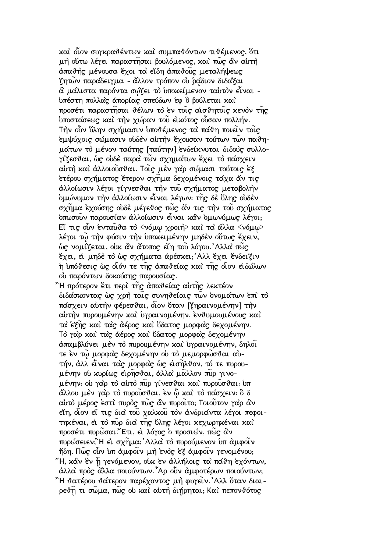και δίον συγκραθέντων και συμπαθόντων τιθέμενος, ότι μή ούτω λέγει παραστήσαι βουλόμενος, και πως άν αύτη άπαθής μένουσα έχοι τα είδη άπαθους μεταλήψεως ζητων παραδειγμα - άλλον τρόπον ου ραδιον διδαξαι ά μαλιστα παρόντα σώζει το υποκείμενον ταυτον είναι υπέστη πολλας άπορίας σπεύδων εφ δ βούλεται και προσέτι παραστήσαι θέλων το έν τοις αισθητοις κενον της υποστάσεως και την χώραν του εικότος ούσαν πολλήν. Την ούν ύλην σχήμασιν υποθέμενος τα πάθη ποιείν τοις έμψύχοις σώμασιν ουδέν αυτήν έχουσαν τούτων των παθημάτων το μένον ταύτης [ταύτην] ενδείκνυται διδούς συλλογίζεσθαι, ως ουδέ παρα των σχηματων έχει το πασχειν αύτη και άλλοιουσθαι. Τοις μέν γαρ σώμασι τούτοις έξ ετέρου σχήματος έτερον σχήμα δεχομένοις τάχα άν τις άλλοίωσιν λέγοι γίγνεσθαι την του σχήματος μεταβολην δμώνυμον την άλλοίωσιν είναι λέγων: της δε ύλης ουδεν σχημα εχούσης ουδέ μέγεθος πως άν τις την του σχήματος **δπωσουν παρουσίαν άλλοίωσιν είναι κάν δμωνύμως λέγοι;**  $E'$  τις ούν ενταυθα το <νόμω χροιή> και τα άλλα <νόμω> λέγοι τω την φύσιν την υποκειμένην μηδεν ούτως έχειν, ώς νομίζεται, ούκ άν άτοπος είη του λόγου. Αλλα πως έχει, ει μηδε το ώς σχήματα αρέσκει; Αλλ έχει ένδει ζιν η υπόθεσις ως οιόν τε της απαθείας και της οιον ειδώλων ου παρόντων δοκούσης παρουσίας.

"Η πρότερον ἔτι περὶ τῆς ἀπαθείας αὐτῆς λεκτέον διδάσκοντας ως χρή ταις συνηθείαις των ονομάτων επι το πάσχειν αυτήν φέρεσθαι, δίον όταν [ξηραινομένην] την αύτην πυρουμένην και υγραινομένην, ενθυμουμένους και τα εξής και τας άέρος και ύδατος μορφας δεχομένην. Τὸ γαρ και τας άέρος και ύδατος μορφας δεχομένην άπαμβλύνει μέν το πυρουμένην και υγραινομένην, δηλοϊ τε έν τω μορφας δεχομένην ου το μεμορφωσθαι αυτήν, άλλ είναι τας μορφας ως εισηλθον, τό τε πυρουμένην ου κυρίως ειρησθαι, άλλα μαλλον πυρ γινομένην: ου γαρ το αυτό πυρ γίνεσθαι και πυρουσθαι: υπ άλλου μέν γαρ το πυρούσθαι, εν ὧ και το πάσχειν: δ δ αύτο μέρος έστι πυρος πώς άν πυροίτο; Τοιούτον γαρ άν είη, δίον εί τις δια του χαλκου τον ανδριαντα λέγοι πεφοιτηκέναι, εί τὸ πυρ δια της ύλης λέγοι κεχωρηκέναι και προσέτι πυρώσαι. Έτι, ει λόγος ο προσιών, πως άν πυρώσειεν; Η ει σχημα; Αλλα το πυρούμενον υπ άμφοιν ήδη. Πὦς οὖν υπ ἀμφοἶν μη ενὸς εξ ἀμφοῖν γενομένου; "Η, κάν εν ή γενόμενον, ούκ εν άλλήλοις τα πάθη εχόντων, άλλα πρός άλλα ποιούντων. Άρ ούν αμφοτέρων ποιούντων; "Η θατέρου θατερον παρέχοντος μη φυγείν. Αλλ δταν διαιρεθη τι σώμα, πώς ου και αυτή διήρηται; Και πεπονθότος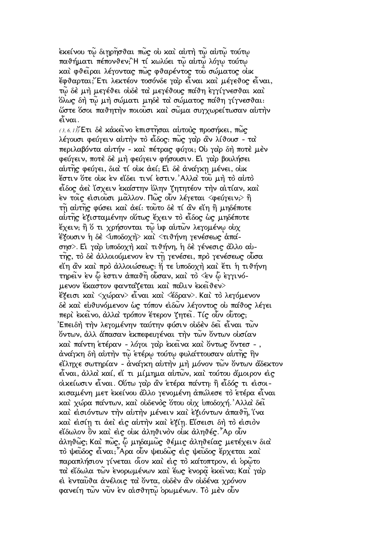εκείνου τῷ διηρησθαι πῶς ου και αυτη τῷ αυτῷ τούτῳ παθήματι πέπονθεν; Η τί κωλύει τω αυτώ λόγω τούτω και φθειραι λέγοντας πώς φθαρέντος του σώματος ούκ έφθαρται; Έτι λεκτέον τοσόνδε γαρ είναι και μέγεθος είναι, τῷ δὲ μὴ μεγέθει οὐδὲ τα μεγέθους πάθη ἐγγίγνεσθαι και δλως δη τω μη σώματι μηδέ τα σώματος πάθη γίγνεσθαι: ώστε όσοι παθητήν ποιουσι και σώμα συγχωρείτωσαν αυτήν  $\tilde{\epsilon}$ ιναι.

 $(3, 6, 13)$  Ετι δε κάκεινο επιστήσαι αύτους προσήκει, πώς λέγουσι φεύγειν αύτην το είδος: πως γαρ άν λίθουσ - τα περιλαβόντα αύτήν - και πέτρας φύγοι; Ου γαρ δη ποτέ μέν φεύγειν, ποτέ δέ μή φεύγειν φήσουσιν. Ει γαρ βουλήσει αυτής φεύγει, δια τί ουκ άεί; Ει δε άναγκη μένει, ουκ ἔστιν ὅτε οὐκ ἐν ἐίδει τινί ἐστιν. Ἀλλα τοῦ μὴ τὸ αὐτὸ εἶδος ἀεὶ ἴσχειν ἑκαστην ὕλην ζητητέον την αιτίαν, καὶ εν τοις εισιούσι μαλλον. Πώς ούν λέγεται <φεύγειν;> ή τη αύτης φύσει και άεί: τουτο δε τί άν είη ή μηδέποτε αύτης εξισταμένην ούτως έχειν το είδος ως μηδέποτε έχειν; ή δ τι χρήσονται τῷ ὑφ αὑτῶν λεγομένω ουχ έξουσιν η δε <υποδοχη και <τιθήνη γενέσεως απάσησ>. Ει γαρ υποδοχή και τιθήνη, η δε γένεσις άλλο αυτης, το δε άλλοιούμενον εν τη γενέσει, προ γενέσεως ούσα είη άν και προ άλλοιώσεως: ή τε υποδοχη και έτι η τιθήνη τηρεῖν ἐν ὧ ἐστιν ἀπαθῆ οὖσαν, καὶ τὸ <εν ὧ ἐγγινόμενον έκαστον φαντάζεται και πάλιν εκειθεν> έξεισι και <χώραν> εἶναι και <έδραν>. Και το λεγόμενον δέ και ευθυνόμενον ώς τόπον ειδών λέγοντος ου πάθος λέγει περι εκείνο, άλλα τρόπον έτερον ζητεί. Τίς ούν ούτος; 'Επειδή τήν λεγομένην ταύτην φύσιν ουδεν δει εἶναι τῶν όντων, άλλ άπασαν εκπεφευγέναι την των όντων ουσίαν και πάντη ετέραν - λόγοι γαρ εκείνα και όντως όντεσ -, άναγκη δη αυτήν τω ετέρω τούτω φυλαττουσαν αυτής ήν είληχε σωτηρίαν - άναγκη αύτην μη μόνον των όντων άδεκτον είναι, άλλα καί, εί τι μίμημα αύτων, και τούτου άμοιρον εις οικείωσιν είναι. Ούτω γαρ άν ετέρα παντη: ή ειδός τι εισοικισαμένη μετ εκείνου άλλο γενομένη απώλεσε το ετέρα είναι και χώρα πάντων, και ουδενός ότου ουχ υποδοχή. Αλλα δεί και εισιόντων την αύτην μένειν και εξιόντων άπαθη, ίνα και είσίη τι άει είς αύτην και εξίη. Είσεισι δη το είσιον είδωλον ὂν καὶ εἰς οὐκ ἀληθινὸν οὐκ ἀληθές. Ἄρ οὖν άληθώς; Και πώς, ὧ μηδαμώς θέμις άληθείας μετέχειν δια τὸ ψεῦδος ἐἶναι; Αρα οἶν ψευδῶς ἐις ψεῦδος ἔρχεται και παραπλήσιον γίνεται οΐον και εις το κατοπτρον, ει ορώτο τα είδωλα των ενορωμένων και έως ενορα εκείνα; Και γαρ ει ενταυθα ανέλοις τα όντα, ουδεν αν ουδένα χρόνον φανείη των νύν εν αισθητώ δρωμένων. Το μεν ούν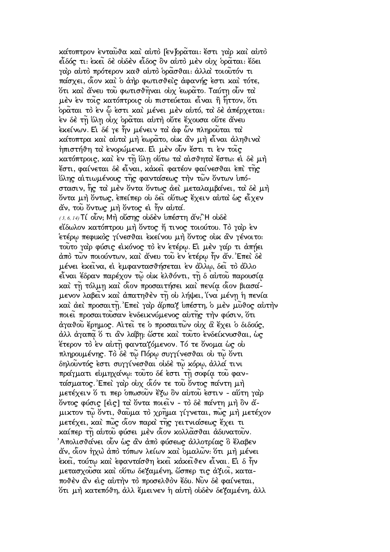κάτοπτρον ενταυθα και αυτό Γεν δραται: έστι γαρ και αυτό είδός τι: εκεί δε ουδεν είδος όν αυτό μεν ουχ δράται: έδει γαρ αυτό πρότερον καθ αυτό δρασθαι: άλλα τοιουτόν τι πάσχει, οίον και ο άηρ φωτισθεις άφανής εστι και τότε, δτι και άνευ του φωτισθηναι ουχ εωρατο. Ταύτη ούν τα μέν έν τοις κατόπτροις ου πιστεύεται είναι ή ηττον, ότι δράται τὸ ἐν ὧ ἐστι και μένει μεν αυτό, τα δε ἀπέρχεται: ζεν δε τη ύλη ουχ δραται αυτη ούτε ζχουσα ούτε άνευ έκείνων. Ει δέ γε ἦν μένειν τα ἀφ ὧν πληροῦται τα` κάτοπτρα και αυτα μη εωράτο, ουκ άν μη είναι άληθινα ήπιστήθη τα ενορώμενα. Ει μεν ούν έστι τι εν τοις κατόπτροις, και έν τη ύλη ούτω τα αισθητα έστω: ει δε μή έστι, φαίνεται δε είναι, κάκει φατέον φαίνεσθαι επι της ύλης αιτιωμένους της φαντάσεως την των όντων υπόστασιν, ής τα μεν όντα όντως άει μεταλαμβανει, τα δε μη όντα μή όντως, επείπερ ου δει ούτως έχειν αυτα ως είχεν άν, του όντως μη όντος ει ήν αυτά.

 $(3, 6, 14)$  Τί οὖν; Μη οὖσης οὐδεν υπέστη άν; Η οὐδε είδωλον κατόπτρου μη όντος ή τινος τοιούτου. Το γαρ έν ετέρω πεφυκός γίνεσθαι εκείνου μή όντος ουκ άν γένοιτο: τούτο γαρ φύσις εικόνος το εν ετέρω. Ει μεν γαρ τι απήει άπο των ποιούντων, και άνευ του εν ετέρω ήν άν. Επει δε μένει εκείνα, εί εμφαντασθήσεται εν άλλω, δεί το άλλο είναι έδραν παρέχον τω ούκ ελθόντι, τη δ αυτού παρουσία και τη τόλμη και οίον προσαιτήσει και πενία οίον βιασάμενον λαβείν και άπατηθεν τη ου λήψει, ίνα μένη η πενία και άει προσαιτη. Επει γαρ άρπαξ υπέστη, ο μεν μύθος αυτην ποιεί προσαιτούσαν ενδεικνύμενος αύτης την φύσιν, ότι άγαθου έρημος. Αιτεί τε ο προσαιτών ουχ α έχει ο διδούς, άλλ άγαπα δ τι άν λαβη: ώστε και τουτο ενδείκνυσθαι, ώς έτερον τὸ 'εν αὐτη φανταζόμενον. Τό τε ὄνομα ώς ου πληρουμένης. Τὸ δὲ τῷ Πόρῳ συγγίνεσθαι οὐ τῷ ὄντι δηλουντός έστι συγγίνεσθαι ουδέ τω κόρω, άλλα τινι πράγματι εύμηχανω: τουτο δέ έστι τη σοφία του φαντάσματος. Επεί γαρ ουχ οίον τε του όντος πάντη μή μετέχειν δ τι περ οπωσουν έξω όν αυτου έστιν - αύτη γαρ ὄντος φύσις [είς] τα ὄντα ποιείν - το δε παντη μη ὂν άμικτον τώ όντι, θαύμα το χρήμα γίγνεται, πώς μη μετέχον μετέχει, και πώς οίον παρα της γειτνιάσεως έχει τι καίπερ τη αύτου φύσει μέν οίον κολλασθαι άδυνατουν. 'Απολισθάνει οὖν ὡς ἀν ἀπὸ φύσεως ἀλλοτρίας ὃ ἔλαβεν άν, δίον ήχω άπο τόπων λείων και δμαλών: ότι μη μένει εκει, τούτω και εφαντάσθη εκει κάκειθεν είναι. Ει δ ήν μετασχούσα και ούτω δεξαμένη, ώσπερ τις άξιοι, καταποθέν άν είς αύτην το προσελθον έδυ. Νύν δε φαίνεται, δτι μή κατεπόθη, άλλ έμεινεν η αύτη ουδεν δεξαμένη, άλλ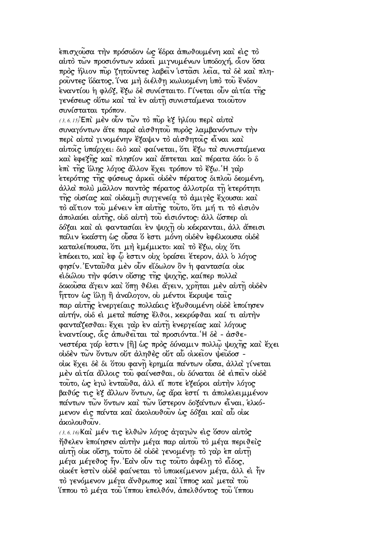επισχουσα την πρόσοδον ώς έδρα απωθουμένη και εις το αύτο των προσιόντων κάκει μιγνυμένων υποδοχή, οιον όσα πρὸς ήλιον πυρ ζητούντες λαβείν ίστασι λεία, τα δέ και πληρουντες ύδατος, ίνα μη διέλθη κωλυομένη υπό του ένδον έναντίου ή φλόζ, έζω δε συνίσταιτο. Γίνεται οὖν αιτία της γενέσεως ούτω και τα εν αυτή συνιστάμενα τοιούτον συνίσταται τρόπον.

 $(3, 6, 15)$  Επί μεν οὖν τὦν τὸ πυρ 'εξ ηλίου περι αυτα συναγόντων άτε παρα αισθητου πυρός λαμβανόντων την περί αύτα γινομένην έξαψιν το αισθητοίς είναι καί αύτοις υπάρχει: διό και φαίνεται, ότι έξω τα συνιστάμενα και εφεξης και πλησίον και άπτεται και πέρατα δύο: ο δ έπι της ύλης λόγος άλλον έχει τρόπον το έξω. Η γαρ ετερότης της φύσεως άρκει ουδεν πέρατος διπλου δεομένη, άλλα πολύ μάλλον παντός πέρατος άλλοτρία τη ετερότητι της ουσίας και ουδαμή συγγενεία το άμιγες έχουσα: και το αίτιον του μένειν επ αύτης τουτο, ότι μή τι το είσιον άπολαύει αυτής, ουδ αυτή του εισιόντος: άλλ ώσπερ αι δό ται και αι φαντασίαι εν ψυχη ου κέκρανται, άλλ άπεισι παλιν εκαστη ως ούσα δ έστι μόνη ουδεν εφέλκουσα ουδε καταλείπουσα, ότι μή εμέμικτο: και το έξω, ούχ ότι 'επέκειτο, και 'εφ ὧ 'εστιν ούχ δρασει 'έτερον, άλλ δ λόγος φησίν. Ενταυθα μεν ούν είδωλον ον η φαντασία ουκ ειδώλου την φύσιν ούσης της ψυχης, καίπερ πολλα δοκούσα άγειν και όπη θέλει άγειν, χρηται μεν αυτη ουδεν <del>ηττ</del>ον ώς ύλη ἢ ἀναλογον, ου μέντοι ἔκρυψε ταις παρ αύτης ενεργείαις πολλακις εξωθουμένη ούδε εποίησεν αύτήν, ούδ εί μετα πάσης έλθοι, κεκρύφθαι καί τι αύτην φαντάζεσθαι: έχει γαρ εν αύτη ενεργείας και λόγους έναντίους, δίς άπωθεϊται τα προσιόντα. Η δέ - άσθενεστέρα γάρ 'εστιν [ἢ] ώς πρὸς δύναμιν πολλῷ ψυχῆς καὶ 'έχει ουδέν των όντων ούτ άληθές ούτ αυ οικείον ψευδοσ ούκ έχει δε δι ότου φανῆ ἐρημία παντων οὖσα, ἀλλα γίνεται μεν αιτία άλλοις του φαίνεσθαι, ου δύναται δε ειπείν ουδε τούτο, ώς εγω ενταύθα, άλλ εί ποτε εξεύροι αυτήν λόγος βαθύς τις εξ άλλων όντων, ως άρα εστί τι απολελειμμένον πάντων των ὄντων και των ὕστερον δοξάντων είναι, ελκόμενον εις πάντα και άκολουθουν ως δόξαι και αυ ούκ άκολουθούν.

 $(3, 6, 16)$ Και μέν τις ελθων λόγος άγαγων εις όσον αυτός ήθελεν εποίησεν αυτήν μέγα παρ αυτού το μέγα περιθείς αύτη ούκ ούση, τουτο δε ουδε γενομένη: το γαρ έπ αύτη μέγα μέγεθος ήν. Εαν ούν τις τουτο άφέλη το είδος, ουκέτ έστιν ουδέ φαίνεται το υποκείμενον μέγα, άλλ ει ήν τὸ γενόμενον μέγα άνθρωπος και ίππος και μετα του ίππου τὸ μέγα του ίππου ἐπελθόν, ἀπελθόντος του ίππου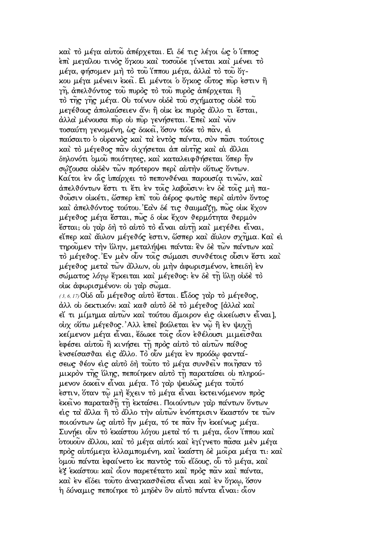και το μέγα αύτου απέρχεται. Ει δέ τις λέγοι ως ο ίππος έπι μεγάλου τινός όγκου και τοσούδε γίνεται και μένει το μέγα, φήσομεν μη το του ίππου μέγα, άλλα το του όγκου μέγα μένειν εκει. Ει μέντοι ο όγκος ούτος πυρ εστιν ή γη, άπελθόντος του πυρός το του πυρός απέρχεται ή τὸ της γης μέγα. Ου τοίνυν ουδε του σχήματος ουδε του μεγέθους άπολαύσειεν άν: ή ούκ έκ πυρός άλλο τι έσται, άλλα μένουσα πυρ ου πυρ γενήσεται. Επει και νυν τοσαύτη γενομένη, ώς δοκει, όσον τόδε το παν, ει παύσαιτο ο ουρανός και τα εντός παντα, συν πάσι τούτοις και το μέγεθος παν οιχήσεται άπ αυτής και αι άλλαι δηλονότι δμού ποιότητες, και καταλειφθήσεται όπερ ήν σώ ζουσα ουδέν των πρότερον περί αυτήν ούτως όντων. Καίτοι έν οίς υπάρχει το πεπονθέναι παρουσία τινών, και άπελθόντων έστι τι έτι εν τοις λαβούσιν: εν δε τοις μή πανούσιν ουκέτι, ώσπερ επι του άέρος φωτός περι αυτόν όντος και άπελθόντος τούτου. Εαν δέ τις θαυμαζη, πως ουκ έχον μέγεθος μέγα έσται, πως δ ούκ έχον θερμότητα θερμον έσται; ου γαρ δη το αυτο το είναι αυτη και μεγέθει είναι, είπερ και άυλον μέγεθός εστιν, ώσπερ και άυλον σχημα. Και ει τηρούμεν την ύλην, μεταλήψει παντα: εν δε των παντων και τὸ μέγεθος. Εν μέν οἶν τοις σώμασι συνθέτοις οἶσιν ἔστι και μέγεθος μετα των άλλων, ου μήν αφωρισμένον, επειδή εν σώματος λόγω έγκειται και μέγεθος: εν δε τη ύλη ουδε το ούκ άφωρισμένον: ου γαρ σώμα.

 $(3, 6, 17)$  Ουδ αύ μέγεθος αυτό έσται. Είδος γαρ το μέγεθος, άλλ ου δεκτικόν: και καθ αυτό δε το μέγεθος [άλλα και και εί τι μίμημα αύτων και τούτου άμοιρον εις οικείωσιν είναι], ούχ ούτω μέγεθος. Αλλ επεί βούλεται εν νω ή εν ψυχη κείμενον μέγα είναι, έδωκε τοις οίον εθέλουσι μιμεισθαι έφέσει αυτοῦ ἢ κινήσει τῆ πρὸς αυτὸ τὸ αυτῶν πανος ένσείσασθαι εις άλλο. Τὸ οὖν μέγα εν προόδω φαντάσεως θέον εις αύτο δη τουτο το μέγα συνθείν ποιήσαν το μικρόν της ύλης, πεποίηκεν αύτό τη παρατάσει ου πληρούμενον δοκείν είναι μέγα. Το γαρ ψευδώς μέγα τουτό έστιν, όταν τώ μή έχειν το μέγα είναι εκτεινόμενον προς εκείνο παραταθη τη εκτάσει. Ποιούντων γαρ πάντων όντων εις τα άλλα ή το άλλο την αυτών ενόπτρισιν έκαστόν τε των ποιούντων ώς αυτό ήν μέγα, τό τε παν ήν εκείνως μέγα. Συνήει οὖν τὸ ἑκάστου λόγου μετα τό τι μέγα, οἶον ἵππου και δτουούν άλλου, και το μέγα αυτό: και εγίγνετο πασα μεν μέγα πρὸς αὐτόμεγα ἐλλαμπομένη, καὶ ἑκάστη δὲ μοῖρα μέγα τι: καὶ <u>δμού πάντα εφαίνετο εκ παντός του είδους, ού το μέγα, και</u> ε εκάστου: και δίον παρετέτατο και προς παν και πάντα, και έν είδει τουτο άναγκασθείσα είναι και εν όγκω, όσον η δύναμις πεποίηκε τὸ μηδεν ὂν αὐτὸ παντα εἶναι: οἶον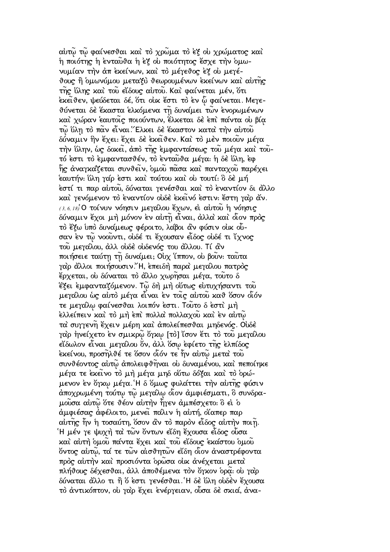αύτω τω φαίνεσθαι και το χρωμα το εξ ου χρώματος και η ποιότης η ενταύθα η έξ ου ποιότητος έσχε την όμωνυμίαν την άπ εκείνων, και το μέγεθος εξ ου μεγέθους ή δμωνύμου μεταξύ θεωρουμένων εκείνων και αυτής της ύλης και του είδους αυτου. Και φαίνεται μέν, ότι εκειθεν, ψεύδεται δέ, ότι ουκ έστι το εν ὧ φαίνεται. Μεγεθύνεται δε έκαστα ελκόμενα τη δυνάμει των ενορωμένων και χώραν εαυτοίς ποιούντων, έλκεται δε επι πάντα ου βία τῷ ὕλη τὸ πᾶν ἐἶναι. Ελκει δε έκαστον κατα την αυτου δύναμιν ην έχει: έχει δε εκείθεν. Και το μεν ποιούν μέγα την ύλην, ώς δοκει, άπό της εμφαντάσεως του μέγα και τουτό έστι το έμφαντασθέν, το ενταύθα μέγα: η δε ύλη, έφ ης αναγκαζεται συνθείν, δμού πασα και πανταχού παρέχει εαυτήν: ύλη γαρ έστι και τούτου και ου τουτί: δ δε μή έστί τι παρ αύτου, δύναται γενέσθαι και το εναντίον δι άλλο και γενόμενον το εναντίον ουδε εκείνό εστιν: έστη γαρ άν.  $(3, 6, 18)$  Ο τοίνυν νόησιν μεγαλου έχων, ει αύτου η νόησις δύναμιν έχοι μη μόνον εν αυτη είναι, άλλα και οίον προς τὸ ἔ ζω υπὸ δυναμεως φέροιτο, λαβοι ἀν φύσιν ουκ ούσαν έν τω νοούντι, ουδέ τι έχουσαν είδος ουδέ τι ίχνος του μεγαλου, άλλ ουδε ουδενός του άλλου. Τί άν ποιήσειε ταύτη τη δυναμει; Ούχ ίππον, ου βούν: ταυτα γαρ άλλοι ποιήσουσιν. Ή, επειδή παρα μεγαλου πατρός έρχεται, ου δύναται το άλλο χωρησαι μέγα, τουτο δ έξει εμφανταζόμενον. Τώ δη μη ούτως ευτυχήσαντι του μεγαλου ως αυτό μέγα είναι εν τοις αυτου καθ όσον οιόν τε μεγάλω φαίνεσθαι λοιπόν έστι. Τούτο δ έστι μή ελλείπειν και το μη επι πολλα πολλαχου και εν αυτώ τα συγγενη έχειν μέρη και απολείπεσθαι μηδενός. Ουδε γαρ ηνείχετο εν σμικρώ όγκω [το] ίσον έτι το του μεγαλου είδωλον είναι μεγαλου όν, άλλ όσω εφίετο της ελπίδος εκείνου, προσηλθέ τε όσον οιόν τε ήν αυτώ μετα του συνθέοντος αυτώ άπολειφθηναι ου δυναμένου, και πεποίηκε μέγα τε εκείνο το μη μέγα μηδ ούτω δόξαι και το δρώμενον εν όγκω μέγα. Η δ όμως φυλαττει την αυτής φύσιν άποχρωμένη τούτω τω μεγάλω οίον άμφιέσματι, δ συνδραμούσα αυτώ ότε θέον αυτήν ήγεν άμπέσχετο: δ εί δ άμφιέσας άφέλοιτο, μενει πάλιν η αυτή, οίαπερ παρ αύτης ήν η τοσαύτη, όσον άν το παρον είδος αύτην ποιη. 'Η μέν γε ψυχη τα των ὄντων είδη ἔχουσα εἶδος οὖσα και αυτή όμου πάντα έχει και του είδους εκάστου όμου όντος αυτώ, τα τε τών αισθητών είδη οίον αναστρέφοντα πρὸς αὐτὴν καὶ προσιόντα ὁρῶσα οὐκ ἀνέχεται μετα πλήθους δέχεσθαι, άλλ άποθέμενα τον όγκον δρα: ου γαρ δύναται άλλο τι ή δ έστι γενέσθαι. Η δε ύλη ουδεν έχουσα τὸ ἀντικόπτον, οὐ γαρ ἔχει ἐνέργειαν, οὖσα δὲ σκια, ἀνα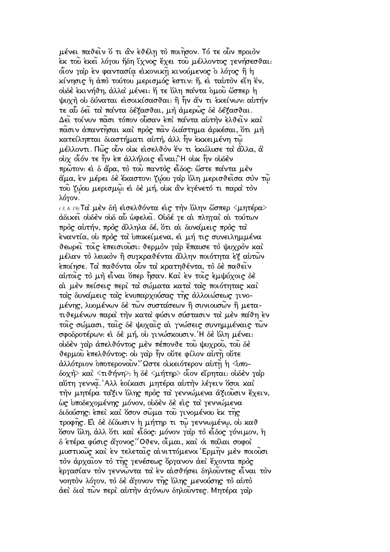μένει παθείν δ τι άν εθέλη το ποιήσον. Τό τε ούν προιον έκ του εκει λόγου ήδη ίχνος έχει του μέλλοντος γενήσεσθαι: οίον γαρ έν φαντασία εικονική κινούμενος ο λόγος ή η κίνησις η άπό τούτου μερισμός 'εστιν: ή, ει ταυτόν είη έν, ούδε εκινήθη, άλλα μένει: ή τε ύλη παντα δμού ώσπερ η ψυχή ου δύναται εισοικίσασθαι: ή ήν άν τι εκείνων: αυτήν τε αὖ δεἶ τα πάντα δέξασθαι, μη άμερὦς δε δέξασθαι. Δεί τοίνυν πάσι τόπον ούσαν επι παντα αυτην ελθείν και πάσιν άπαντήσαι και πρός πάν διάστημα άρκέσαι, ότι μή κατείληπται διαστήματι αύτή, άλλ ήν εκκειμένη τώ μέλλοντι. Πῶς οὖν οὐκ ἐισελθὸν ἕν τι ἐκώλυσε τα ἀλλα, ἁ ούχ οίδν τε ήν επ άλλήλοις είναι; Η ούκ ήν ουδεν πρώτον: εί δ άρα, το του παντος είδος: ώστε παντα μεν άμα, εν μέρει δε έκαστον: ζώου γαρ ύλη μερισθείσα συν τω του ζώου μερισμώ: ει δε μή, ουκ άν εγένετό τι παρα τον λόγον.

(3, 6, 19) Τα μέν δη εισελθόντα εις την ύλην ώσπερ  $\langle \mu \eta \tau \epsilon \rho \alpha \rangle$ άδικει ουδέν ουδ αυ ώφελει. Ουδέ γε αι πληγαι αι τούτων πρός αύτήν, πρός άλληλα δέ, ότι αι δυναμεις πρός τα έναντία, ου πρός τα υποκείμενα, ει μή τις συνειλημμένα θεωρεί τοις επεισιούσι: θερμόν γαρ έπαυσε το ψυχρον και μέλαν το λευκον ή συγκραθέντα άλλην ποιότητα εξ αυτών εποίησε. Τα παθόντα ούν τα κρατηθέντα, το δε παθείν αύτοις το μη είναι όπερ ήσαν. Και εν τοις εμψύχοις δε αι μέν πείσεις περί τα σώματα κατα τας ποιότητας και τας δυναμεις τας ενυπαρχούσας της αλλοιώσεως γινομένης, λυομένων δε των συστάσεων ή συνιουσων ή μετατιθεμένων παρα την κατα φύσιν σύστασιν τα μέν πάθη έν τοις σώμασι, ταις δε ψυχαις αι γνώσεις συνημμέναις των σφοδροτέρων: ει δε μή, ου γινώσκουσιν. Η δε ύλη μένει: ούδεν γαρ άπελθόντος μεν πέπονθε του ψυχρου, του δε θερμού επελθόντος: ου γαρ ήν ούτε φίλον αυτή ούτε άλλότριον δποτερονούν. Ωστε οικειότερον αυτη η <υποδοχή> και <τιθήνη>: η δε <μήτηρ> δίον είρηται: ουδεν γαρ αύτη γεννα. Αλλ εοίκασι μητέρα αυτήν λέγειν όσοι και την μητέρα ταξιν ύλης προς τα γεννώμενα αξιούσιν έχειν, ώς υποδεχομένης μόνον, ουδεν δε είς τα γεννώμενα διδούσης: επεί και δσον σώμα του γινομένου εκ της τροφης. Ει δε δίδωσιν η μήτηρ τι τω γεννωμένω, ου καθ δσον ύλη, άλλ ότι και είδος: μόνον γαρ το είδος γόνιμον, η δ ετέρα φύσις άγονος. Όθεν, δίμαι, και οι πάλαι σοφοι μυστικώς και έν τελεταίς αινιττόμενοι Ερμήν μεν ποιούσι τον άρχαιον το της γενέσεως όργανον άει έχοντα προς έργασίαν τον γεννώντα τα έν αισθήσει δηλούντες είναι τον νοητον λόγον, το δε άγονον της ύλης μενούσης το αύτο άει δια των περι αυτήν άγόνων δηλούντες. Μητέρα γαρ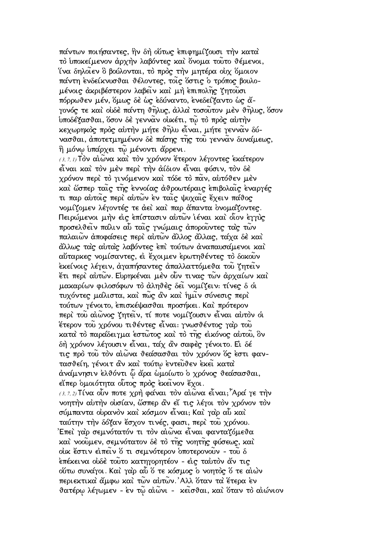πάντων ποιήσαντες, ην δη ούτως επιφημίζουσι την κατα τὸ υποκείμενον ἀρχήν λαβόντες και ὄνομα τούτο θέμενοι, ίνα δηλοίεν δ βούλονται, το προς την μητέρα ουχ δμοιον πάντη ενδείκνυσθαι θέλοντες, τοις όστις ο τρόπος βουλομένοις άκριβέστερον λαβείν και μή επιπολής ζητούσι πόρρωθεν μέν, όμως δε ως εδύναντο, ενεδεί ξαντο ως άγονός τε και ούδε πάντη θηλυς, άλλα τοσούτον μεν θηλυς, όσον υποδέζασθαι, όσον δε γενναν ουκέτι, τω το προς αυτην κεχωρηκός πρός αύτην μήτε θηλυ είναι, μήτε γεννάν δύνασθαι, άποτετμημένον δε πάσης της του γενναν δυνάμεως, η μόνω υπάρχει τω μένοντι άρρενι.

(3, 7, 1) Τον αιώνα και τον χρόνον έτερον λέγοντες εκάτερον είναι και τον μέν περι την αίδιον είναι φύσιν, τον δέ γρόνον περί το γινόμενον και τόδε το παν, αυτόθεν μέν και ώσπερ ταις της εννοίας άθροωτέραις επιβολαις εναργές τι παρ αυτοίς περί αυτών έν ταις ψυγαις έγειν πάθος νομίζομεν λέγοντές τε άει και παρ άπαντα ονομάζοντες. Πειρώμενοι μην εις επίστασιν αυτών ιέναι και δίον εγγύς προσελθείν παλιν αύ ταις γνώμαις απορούντες τας των παλαιών άποφάσεις περί αυτών άλλος άλλας, τάχα δέ καί άλλως τας αυτας λαβόντες έπι τούτων αναπαυσάμενοι και αύταρκες νομίσαντες, ει έχοιμεν ερωτηθέντες το δοκούν έκείνοις λέγειν, άγαπήσαντες άπαλλαττόμεθα του ζητειν έτι περι αυτών. Ευρηκέναι μεν ούν τινας των αρχαίων και μακαρίων φιλοσόφων το άληθες δει νομίζειν: τίνες δ οι τυχόντες μαλιστα, και πώς άν και ημίν σύνεσις περι τούτων γένοιτο, επισκέψασθαι προσήκει. Και πρότερον περί του αιώνος ζητείν, τί ποτε νομίζουσιν είναι αυτόν οι έτερον του χρόνου τιθέντες είναι: γνωσθέντος γαρ του κατα το παραδειγμα εστώτος και το της εικόνος αυτού, δν δη χρόνον λέγουσιν είναι, τάχ άν σαφές γένοιτο. Ει δέ τις πρὸ του τὸν αι ωνα θεάσασθαι τὸν χρόνον ὅς ἐστι φαντασθείη, γένοιτ άν και τούτω εντευθεν εκει κατα άναμνησιν ελθόντι ὧ άρα ωμοίωτο ο χρόνος θεάσασθαι, είπερ δμοιότητα ούτος πρός εκείνον έχοι.  $(3, 7, 2)$  Τίνα οὖν ποτε χρή φαναι τον αι ώνα εἶναι; Άρα γε την νοητήν αύτην ουσίαν, ώσπερ άν εί τις λέγοι τον χρόνον τον σύμπαντα ουρανόν και κόσμον είναι; Και γαρ αύ και ταύτην την δόξαν έσχον τινές, φασι, περι του χρόνου. 'Επεὶ γαρ σεμνότατόν τι τὸν αἰῶνα ἐἶναι φανταζόμεθα και νοούμεν, σεμνότατον δε το της νοητης φύσεως, και ούκ έστιν ειπείν δ τι σεμνότερον οποτερονούν - του δ έπέκεινα ουδέ τουτο κατηγορητέον - εις ταυτόν άν τις ούτω συναγοι. Και γαρ αύ δ τε κόσμος ο νοητός δ τε αιων περιεκτικα άμφω και τῶν αυτῶν. Αλλ ὅταν τα έτερα εν θατέρω λέγωμεν - εν τῷ αιῶνι - κεισθαι, και ὅταν τὸ αιώνιον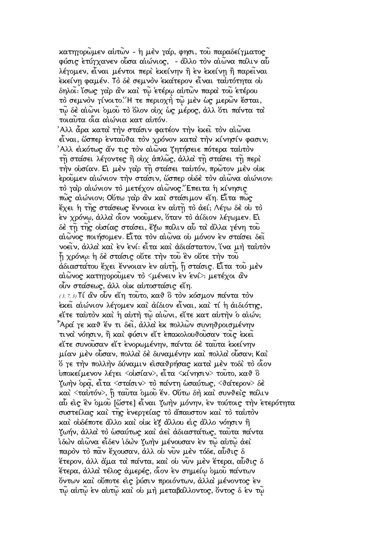κατηγορώμεν αύτών - η μέν γάρ, φησι, του παραδείγματος φύσις ετύγχανεν ούσα αιώνιος, - άλλο τον αιώνα παλιν αύ λέγομεν, είναι μέντοι περι εκείνην ή εν εκείνη ή παρείναι εκείνη φαμέν. Τὸ δὲ σεμνὸν εκάτερον εἶναι ταὐτότητα οὐ δηλοι: ίσως γαρ άν και τω ετέρω αυτών παρα του ετέρου τὸ σεμνὸν γίνοιτο. Ή τε περιοχή τῷ μεν ὡς μερῶν ἔσται, τω δε αιώνι δμού το δλον ουχ ως μέρος, άλλ ότι παντα τα τοιαυτα οία αιώνια κατ αυτόν.

'Αλλ ἆρα κατα την στάσιν φατέον την 'εκεῖ τον αἰῶνα εἶναι, ὥσπερ ἐνταῦθα τὸν χρόνον κατα την κίνησίν φασιν; 'Αλλ εικότως άν τις τον αιῶνα ζητήσειε πότερα ταὐτον τη στάσει λέγοντες ή ουχ άπλως, άλλα τη στάσει τη περί την ουσίαν. Ει μέν γαρ τη στάσει ταυτόν, πρώτον μέν ουκ έρουμεν αιώνιον την στασιν, ώσπερ ουδέ τον αιώνα αιώνιον: τὸ γαρ αιώνιον τὸ μετέχον αιώνος. Επειτα η κίνησις πώς αιώνιον; Ούτω γαρ άν και στασιμον είη. Είτα πώς έχει η της στάσεως έννοια εν αύτη το άεί; Λέγω δε ου το 'εν χρόνω, άλλα οἷον νοοῦμεν, ὅταν τὸ ἀίδιον λέγωμεν. Ει δέ τη της ουσίας στάσει, έξω πάλιν αύ τα άλλα γένη του αιώνος ποιήσομεν. Είτα τον αιώνα ου μόνον εν στάσει δεί νοείν, άλλα και εν ενί: είτα και άδιαστατον, ίνα μη ταυτον  $\tilde{\hat{\eta}}$  χρόνω: ἡ δὲ στάσις οὔτε τὴν τοῦ ἓν οὔτε τὴν τοῦ άδιαστάτου έχει έννοιαν εν αύτη, η στάσις. Είτα του μεν αιώνος κατηγορούμεν το <μένειν εν ενί>: μετέχοι άν ούν στάσεως, άλλ ουκ αυτοστάσις είη.

 $(3, 7, 3)$  Τί άν ούν είη τούτο, καθ δ τον κόσμον πάντα τον έκει αιώνιον λέγομεν και αίδιον είναι, και τί η αιδιότης, είτε ταυτον και η αυτη τω αιώνι, είτε κατ αυτην ο αιών; <sup>γ</sup>Άρα γε καθ έν τι δεῖ, ἀλλα ἐκ πολλῶν συνηθροισμένην τινα νόησιν, ή και φύσιν είτ επακολουθούσαν τοις εκει είτε συνουσαν είτ ενορωμένην, πάντα δε ταυτα εκείνην μίαν μέν ούσαν, πολλα δέ δυναμένην και πολλα ούσαν; Και δ γε την πολλην δύναμιν εισαθρήσας κατα μεν τοδι το οίον υποκείμενον λέγει <ουσίαν>, είτα <κίνησιν> τούτο, καθ δ " ζωήν δρα, είτα < στάσιν> το πάντη ώσαύτως, < θάτερον> δε και <ταυτόν>, η ταυτα δμου έν. Ούτω δη και συνθεις πάλιν αὖ εις εν δμοὖ [ὥστε] εἶναι ζωην μόνην, εν τούτοις την ετερότητα συστείλας και της ενεργείας το άπαυστον και το ταυτον και ουδέποτε άλλο και ουκ εξ άλλου εις άλλο νόησιν ή ζωήν, άλλα τὸ ὡσαύτως καὶ ἀεὶ ἀδιαστάτως, ταυτα πάντα ιδων αιῶνα ἐἶδεν ιδων ζωὴν μένουσαν ἐν τῷ αὐτῷ ἀεὶ παρὸν τὸ παν ἔχουσαν, ἀλλ οὐ νῦν μεν τόδε, αὖθις δ έτερον, άλλ άμα τα πάντα, καὶ οὐ νυν μὲν ἕτερα, αὐθις δ έτερα, άλλα τέλος άμερές, δίον εν σημείω δμού πάντων όντων και ούποτε εις ρύσιν προιόντων, άλλα μένοντος εν τῷ αὐτῷ ἐν αύτῷ καὶ οὐ μὴ μεταβαλλοντος, ὄντος δ ἐν τῷ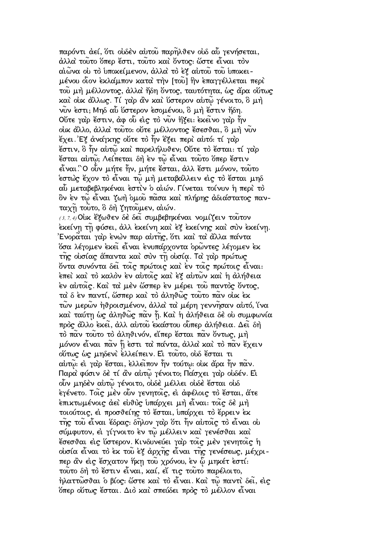παρόντι άεί, ότι ουδέν αυτου παρήλθεν ουδ αύ γενήσεται, άλλα τούτο όπερ έστι, τούτο και όντος: ώστε είναι τον αι ώνα ου το υποκείμενον, άλλα το έξ αυτου του υποκειμένου οίον εκλαμπον κατα την [του] ην επαγγέλλεται περι του μή μέλλοντος, άλλα ήδη όντος, ταυτότητα, ως άρα ούτως και ούκ άλλως. Τί γαρ άν και ύστερον αυτώ γένοιτο, δ μή νυν έστι; Μηδ αύ ύστερον εσομένου, δ μη έστιν ήδη. Ούτε γαρ έστιν, άφ ού είς το νυν ήξει: εκείνο γαρ ήν ούκ άλλο, άλλα τουτο: ούτε μέλλοντος έσεσθαι, δ μη νυν έχει. Έξ αναγκης ούτε το ἦν έξει περι αυτό: τί γαρ ἔστιν, ὃ ἦν αὐτῷ καὶ παρελήλυθεν; Οὔτε τὸ ἔσται: τί γαρ έσται αυτώ; Λείπεται δη έν τω είναι τουτο όπερ έστιν εἶναι. Ο οἶν μήτε ἦν, μήτε ἔσται, άλλ ἔστι μόνον, τουτο εστως έχον το είναι τω μη μεταβαλλειν εις το έσται μηδ αὖ μεταβεβληκέναι 'εστι'ν ο αιών. Γίνεται τοίνυν η περι το ον έν τῷ εἶναι ζωή δμοῦ πᾶσα και πλήρης ἀδιάστατος πανταχη τουτο, δ δη ζητούμεν, αιών.

(3, 7, 4) Ούκ έξωθεν δε δεί συμβεβηκέναι νομίζειν τουτον εκείνη τη φύσει, άλλ εκείνη και εξ εκείνης και συν εκείνη. 'Ενοράται γαρ ένων παρ αύτης, ότι και τα άλλα πάντα δσα λέγομεν εκει είναι ενυπάρχοντα δρώντες λέγομεν εκ της ουσίας άπαντα και συν τη ουσία. Τα γαρ πρώτως όντα συνόντα δεί τοις πρώτοις και εν τοις πρώτοις είναι: έπει και το καλον εν αυτοίς και εξ αυτών και η άλήθεια έν αύτοις. Και τα μέν ώσπερ έν μέρει του παντός όντος, τα δέν παντί, ώσπερ και το άληθως τουτο παν ουκ έκ τών μερών ηθροισμένον, άλλα τα μέρη γεννήσαν αυτό, ίνα και ταύτη ως άληθως παν ή. Και η άλήθεια δε ου συμφωνία πρὸς ἄλλο ἐκει, ἀλλ αὐτου ἑκαστου ούπερ ἀλήθεια. Δει δή τὸ παν τούτο τὸ ἀληθινόν, είπερ ἔσται παν ὄντως, μή μόνον είναι παν η έστι τα παντα, άλλα και το παν έχειν ούτως ως μηδενι ελλείπειν. Ει τουτο, ουδ έσται τι αύτω: ει γαρ έσται, ελλείπον ήν τούτω: ούκ άρα ήν παν. Παρα φύσιν δε τί άν αυτώ γένοιτο; Πασχει γαρ ουδέν. Ει ούν μηδέν αυτώ γένοιτο, ουδέ μέλλει ουδέ έσται ουδ έγένετο. Τοις μεν ούν γενητοις, ει άφέλοις το έσται, άτε επικτωμένοις άει εύθυς υπάρχει μη είναι: τοις δε μη τοιούτοις, εί προσθείης το έσται, υπάρχει το έρρειν εκ της του είναι έδρας: δηλον γαρ ότι ήν αυτοις το είναι ου σύμφυτον, ει γίγνοιτο έν τω μέλλειν και γενέσθαι και έσεσθαι είς ύστερον. Κινδυνεύει γαρ τοις μεν γενητοις ή ουσία είναι το έκ του εξ άρχης είναι της γενέσεως, μέχριπερ άν εις έσχατον ήκη του χρόνου, εν ω μηκέτ εστί: τούτο δη το έστιν είναι, καί, εί τις τούτο παρέλοιτο, ήλαττὦσθαι ο βίος: ὥστε και το εἶναι. Και τὦ παντι δεϊ, εις δπερ ούτως έσται. Διὸ και σπεύδει προς το μέλλον εἶναι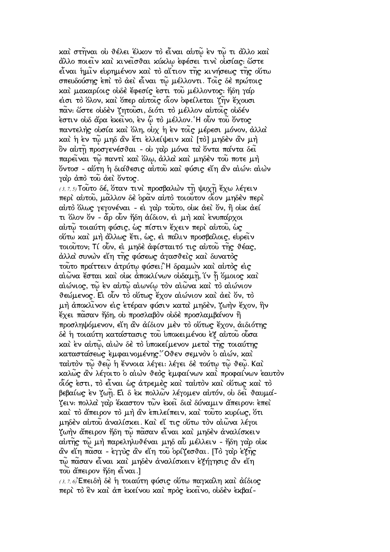και στηναι ου θέλει έλκον το είναι αυτώ εν τω τι άλλο και άλλο ποιείν και κινείσθαι κύκλω εφέσει τινι ουσίας: ώστε εἶναι ἡμἶν ευρημένον και το αίτιον της κινήσεως της ούτω σπευδούσης επι το άει είναι τω μέλλοντι. Τοις δε πρώτοις και μακαρίοις ουδε έφεσίς εστι του μέλλοντος: ήδη γαρ είσι τὸ ὅλον, και ὅπερ αυτοις οίον ὀφείλεται ζην ἔχουσι παν: ώστε ουδέν ζητουσι, διότι το μέλλον αυτοίς ουδέν 'εστιν ουδ άρα 'εκεινο, εν ὧ το μέλλον. Η οὖν τοῦ ὄντος παντελής ουσία και δλη, ουχ η εν τοις μέρεσι μόνον, άλλα και η εν τῷ μηδ ἀν ἔτι ελλείψειν και [το μηδεν ἀν μη όν αυτη προσγενέσθαι - ου γαρ μόνα τα όντα πάντα δεί παρείναι τω παντι και δλω, άλλα και μηδεν του ποτε μη όντοσ - αύτη η διάθεσις αυτού και φύσις είη άν αιών: αιων γαρ άπό του άει όντος.

(3, 7, 5) Τουτο δέ, όταν τινι προσβαλων τη ψυχη έχω λέγειν περι αυτου, μαλλον δε δράν αυτό τοιούτον οίον μηδεν περι αύτὸ ὅλως γεγονέναι - ἐι γαρ τουτο, οὐκ ἀεὶ ὄν, ἢ οὐκ ἀεί τι όλον όν - ἆρ οὖν ἤδη ἀίδιον, εί μή καὶ ενυπάρχοι αύτω τοιαύτη φύσις, ώς πίστιν έχειν περι αύτου, ώς ούτω και μη άλλως έτι, ως, ει παλιν προσβαλοις, ευρειν τοιούτον; Τί ούν, ει μηδε αφίσταιτό τις αύτου της θέας, άλλα συνων είη της φύσεως άγασθείς και δυνατός τούτο πράττειν άτρύτω φύσει; Η δραμων και αυτός εις αιώνα έσται και ούκ αποκλίνων ουδαμη, ίν η δμοιος και αιώνιος, τω εν αυτώ αιωνίω τον αιώνα και το αιώνιον θεώμενος. Ει ούν το ούτως έχον αιώνιον και άει όν, το μη άποκλίνον εις ετέραν φύσιν κατα μηδεν, ζωην έχον, ην έχει πασαν ήδη, ου προσλαβον ουδε προσλαμβανον ή προσληψόμενον, είη άν άίδιον μεν το ούτως έχον, αιδιότης δε η τοιαύτη κατάστασις του υποκειμένου εξ αυτου ούσα και εν αυτώ, αιων δε το υποκείμενον μετα της τοιαύτης καταστάσεως εμφαινομένης. Όθεν σεμνόν ο αιών, και ταύτον τω θεω η έννοια λέγει: λέγει δε τούτω τω θεω. Και καλώς άν λέγοιτο ο αιών θεός εμφαίνων και προφαίνων εαυτόν δίός έστι, τὸ ἐἶναι ὡς ἀτρεμὲς καὶ ταὐτὸν καὶ οὕτως καὶ τὸ βεβαίως έν ζωη. Ει δ εκ πολλών λέγομεν αυτόν, ου δει θαυμάζειν: πολλα γαρ έκαστον των εκει δια δύναμιν άπειρον: επει και το άπειρον το μη άν επιλείπειν, και τουτο κυρίως, ότι μηδέν αυτου αναλίσκει. Και εί τις ούτω τον αιώνα λέγοι ζωήν άπειρον ήδη τω πασαν είναι και μηδεν αναλίσκειν αύτης τώ μη παρεληλυθέναι μηδ αύ μέλλειν - ήδη γαρ ούκ άν είη πασα - εγγύς άν είη του δρίζεσθαι. [Τὸ γαρ εξης τω πασαν είναι και μηδεν αναλίσκειν εζήγησις αν είη του άπειρον ήδη είναι.]

(3, 7, 6) Επειδή δε η τοιαύτη φύσις ούτω παγκαλη και αίδιος περι το εν και άπ εκείνου και προς εκείνο, ουδεν εκβαί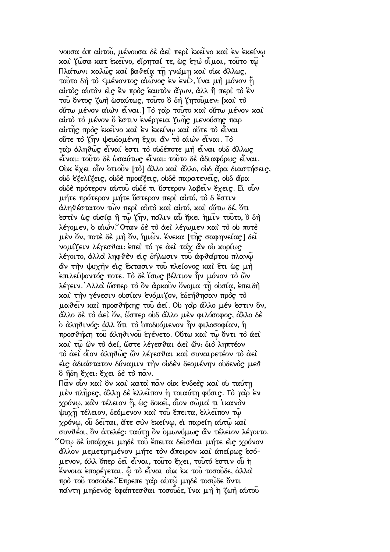νουσα άπ αύτου, μένουσα δε άει περι εκείνο και εν εκείνω και ζώσα κατ εκείνο, είρηταί τε, ως εγω οίμαι, τουτο τω Πλατωνι καλώς και βαθεία τη γνώμη και ουκ άλλως, τούτο δη το <μένοντος αιώνος εν ενί>, ίνα μη μόνον ή αύτος αύτον είς εν προς εαυτον άγων, άλλ ή περί το εν του όντος ζωή ώσαύτως, τουτο δ δη ζητούμεν: [και το ούτω μένον αιων είναι.] Το γαρ τουτο και ούτω μένον και αύτο το μένον δ έστιν ενέργεια ζωής μενούσης παρ αύτης πρός εκείνο και εν εκείνω και ούτε το είναι ούτε τὸ ζῆν ψευδομένη έχοι ἀν τὸ αιων εἶναι. Τὸ γαρ άληθως είναι εστι το ουδέποτε μη είναι ουδ άλλως είναι: τούτο δε ώσαύτως είναι: τούτο δε άδιαφόρως είναι. Ουκ έχει ούν ότιουν [το ] άλλο και άλλο, ουδ άρα διαστήσεις, ουδ εξελίξεις, ουδε προαξεις, ουδε παρατενεις, ουδ άρα ούδε πρότερον αύτου ούδέ τι ύστερον λαβείν έχεις. Ει ούν μήτε πρότερον μήτε ύστερον περι αυτό, το δ έστιν άληθέστατον των περὶ αὐτὸ καὶ αὐτό, καὶ οὕτω δέ, ὅτι έστιν ως ουσία ή τῷ ζῆν, παλιν αὖ ἥκει ἡμῖν τοῦτο, ὃ δὴ λέγομεν, ο αιών. Όταν δε το άει λέγωμεν και το ου ποτε μέν όν, ποτέ δέ μη όν, ημών, ένεκα [της σαφηνείας] δει νομίζειν λέγεσθαι: επει τό γε άει τάχ άν ου κυρίως λέγοιτο, άλλα ληφθέν εις δήλωσιν του άφθαρτου πλανω άν την ψυχην εις έκτασιν του πλείονος και έτι ώς μη επιλείψοντός ποτε. Τὸ δὲ ἴσως βέλτιον ἦν μόνον τὸ ὢν λέγειν. Αλλα ώσπερ το όν άρκουν όνομα τη ουσία, επειδή και την γένεσιν ουσίαν ενόμιζον, εδεήθησαν προς το μαθείν και προσθήκης του άεί. Ου γαρ άλλο μέν έστιν όν, άλλο δὲ τὸ ἀεὶ ὄν, ὥσπερ οὐδ ἀλλο μὲν φιλόσοφος, ἀλλο δὲ δ άληθινός: άλλ ότι το υποδυόμενον ήν φιλοσοφίαν, η προσθήκη του άληθινου εγένετο. Ούτω και τω όντι το άει και τω ών το άεί, ώστε λέγεσθαι άει ών: διο ληπτέον τὸ ἀεὶ οἶον ἀληθώς ὢν λέγεσθαι καὶ συναιρετέον τὸ ἀεὶ εις αδιαστατον δύναμιν την ουδεν δεομένην ουδενός μεθ δ ήδη έχει: έχει δε το παν.

Παν ούν και όν και κατα παν ουκ ενδεές και ου ταύτη μὲν πλήρες, ἄλλη δὲ ἐλλείπον ἡ τοιαύτη φύσις. Τὸ γαρ ἐν χρόνω, κάν τέλειον ή, ώς δοκει, οίον σωμά τι ίκανον ψυχη τέλειον, δεόμενον και του έπειτα, ελλειπον τω χρόνω, ού δείται, άτε σύν εκείνω, ει παρείη αυτώ και συνθέοι, ὂν ἀτελές: ταύτη ὂν ὁμωνύμως ἀν τέλειον λέγοιτο. Ότω δε υπάρχει μηδε του έπειτα δεισθαι μήτε εις χρόνον άλλον μεμετρημένον μήτε τον άπειρον και απείρως εσόμενον, άλλ όπερ δει είναι, τουτο έχει, τουτό εστιν ου η έννοια επορέγεται, ὧ τὸ εἶναι οὐκ εκ του τοσουδε, ἀλλα πρὸ του τοσουδε. Επρεπε γαρ αυτώ μηδε τοσώδε όντι πάντη μηδενός εφάπτεσθαι τοσούδε, ίνα μή η ζωή αυτού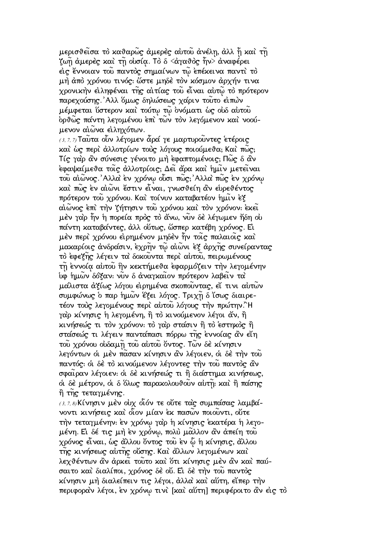μερισθείσα το καθαρώς άμερες αύτου άνέλη, άλλ ή και τη ζωη άμερες και τη συσία. Το δ <άγαθος ήν> αναφέρει εις έννοιαν του παντός σημαίνων τω επέκεινα παντι τό μὴ ἀπὸ χρόνου τινός: ὥστε μηδὲ τὸν κόσμον ἀρχήν τινα χρονικήν ειληφέναι της αιτίας του είναι αυτώ το πρότερον παρεχούσης. Αλλ δμως δηλώσεως χαριν τουτο ειπών μέμφεται ύστερον και τούτω τω ονόματι ως ουδ αυτου όρθως πάντη λεγομένου επι των τον λεγόμενον και νοούμενον αιώνα ειληχότων.

(3, 7, 7) Ταυτα ούν λέγομεν άρα γε μαρτυρουντες ετέροις και ώς περι άλλοτρίων τους λόγους ποιούμεθα; Και πώς; Τίς γαρ άν σύνεσις γένοιτο μη εφαπτομένοις; Πως δ άν έφαψαίμεθα τοις άλλοτρίοις; Δει άρα και ημιν μετειναι του αι ώνος. Αλλα εν χρόνω ούσι πώς; Αλλα πώς εν χρόνω και πως εν αιώνι έστιν είναι, γνωσθείη άν ευρεθέντος πρότερον του χρόνου. Και τοίνυν καταβατέον ημίν έξ αιώνος επι την ζήτησιν του χρόνου και τον χρόνον: εκει μὲν γαρ ἦν ἡ πορεία πρὸς τὸ ἄνω, νῦν δὲ λέγωμεν ἤδη οὐ πάντη καταβάντες, άλλ ούτως, ώσπερ κατέβη χρόνος. Ει μέν περί χρόνου ειρημένον μηδέν ήν τοις παλαιοις και μακαρίοις άνδρασιν, εχρην τω αιώνι εξ άρχης συνείραντας το εφεξης λέγειν τα δοκούντα περι αυτού, πειρωμένους τη εννοία αυτου ην κεκτήμεθα εφαρμόζειν την λεγομένην ύφ ημών δόξαν: νύν δ άναγκαΐον πρότερον λαβεΐν τα μαλιστα άξίως λόγου ειρημένα σκοπούντας, εί τινι αύτων συμφώνως ο παρ ημών έξει λόγος. Τριχη δ ίσως διαιρετέον τούς λεγομένους περί αύτου λόγους την πρώτην."Η γαρ κίνησις η λεγομένη, ή το κινούμενον λέγοι άν, ή κινήσεώς τι τον χρόνον: το γαρ στάσιν ή το εστηκός ή στάσεώς τι λέγειν παντάπασι πόρρω της εννοίας άν είη του χρόνου ουδαμη του αυτου όντος. Των δε κίνησιν λεγόντων οι μέν πασαν κίνησιν άν λέγοιεν, οι δέ την του παντός: οι δέ το κινούμενον λέγοντες την του παντός άν σφαίραν λέγοιεν: οι δε κινήσεώς τι ή διαστημα κινήσεως, οι δε μέτρον, οι δ όλως παρακολουθούν αυτή: και ή πάσης ή της τεταγμένης.

(3, 7, 8) Κίνησιν μεν ούχ οίόν τε ούτε τας συμπάσας λαμβάνοντι κινήσεις και δίον μίαν έκ πασών ποιούντι, ούτε την τεταγμένην: εν χρόνω γαρ η κίνησις εκατέρα η λεγομένη. Ει δέ τις μη εν χρόνω, πολύ μαλλον άν απείη του χρόνος είναι, ώς άλλου όντος του εν ω ή κίνησις, άλλου της κινήσεως αύτης ούσης. Και άλλων λεγομένων και λεχθέντων άν άρκει τουτο και ότι κίνησις μεν άν και παύσαιτο και διαλίποι, χρόνος δε ού. Ει δε την του παντός κίνησιν μή διαλείπειν τις λέγοι, άλλα και αύτη, είπερ την περιφοραν λέγοι, εν χρόνω τινι [και αύτη] περιφέροιτο άν εις το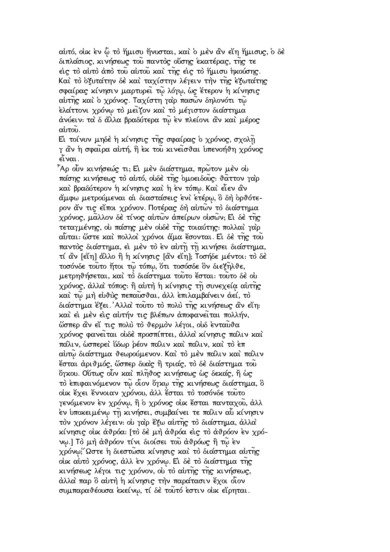αύτό, ουκ 'εν ὧ τὸ ἥμισυ ἤνυσται, καὶ ὁ μὲν ἀν ἐίη ἥμισυς, ὁ δὲ διπλασιος, κινήσεως του παντός ούσης εκατέρας, της τε εις το αυτο άπο του αυτού και της εις το ήμισυ ηκούσης. Καὶ τὸ ὀξυτάτην δὲ καὶ ταχίστην λέγειν την της ἐξωτάτης σφαίρας κίνησιν μαρτυρεί τώ λόγω, ως έτερον η κίνησις αύτης και ο χρόνος. Ταχίστη γαρ πασών δηλονότι τω ελάττονι χρόνω τὸ μείζον καὶ τὸ μέγιστον διάστημα άνύειν: τα δ άλλα βραδύτερα τῷ έν πλείονι άν και μέρος αύτου.

Ει τοίνυν μηδέ η κίνησις της σφαίρας ο χρόνος, σχολη γ άν η σφαίρα αυτή, η εκ του κινείσθαι υπενοήθη χρόνος εἶναι.

 $\tilde{}$ Άρ οὖν κινήσεώς τι; Ει μὲν διάστημα, πρῶτον μὲν οὐ πάσης κινήσεως το αύτό, ούδε της δμοειδούς: θάττον γαρ και βραδύτερον η κίνησις και η εν τόπω. Και είεν άν άμφω μετρούμεναι αι διαστάσεις ενι ετέρω, δ δη ορθότερον άν τις είποι χρόνον. Ποτέρας δη αυτών το διάστημα χρόνος, μάλλον δε τίνος αυτών άπείρων ουσών; Ει δε της τεταγμένης, ου πάσης μέν ουδέ της τοιαύτης: πολλαί γαρ αύται: ώστε και πολλοι χρόνοι άμα έσονται. Ει δε της του παντός διάστημα, εί μέν το έν αύτη τη κινήσει διάστημα, τί ἀν [είη] άλλο ἢ ἡ κίνησις [ἀν είη]; Τοσήδε μέντοι: τὸ δὲ τοσόνδε τουτο ήτοι τω τόπω, ότι τοσόσδε δν διεξηλθε, μετρηθήσεται, και το διάστημα τουτο έσται: τουτο δε ου χρόνος, άλλα τόπος: ή αυτή η κίνησις τη συνεχεία αυτής και τω μή εύθυς πεπαυσθαι, άλλ επιλαμβάνειν άεί, το διάστημα έξει. Αλλα τούτο το πολύ της κινήσεως άν είη: και ει μεν εις αυτήν τις βλέπων αποφανειται πολλήν, ώσπερ άν εί τις πολύ το θερμον λέγοι, ουδ ενταυθα χρόνος φανείται ουδέ προσπίπτει, άλλα κίνησις πάλιν και πάλιν, ώσπερεί ύδωρ ρέον πάλιν και πάλιν, και το έπ αύτω διάστημα θεωρούμενον. Και το μεν πάλιν και πάλιν ἔσται ἀριθμός, ὥσπερ δυας ἢ τριας, τὸ δὲ διαστημα τοῦ όγκου. Ούτως οὖν και πλῆθος κινήσεως ως δεκας, ἢ ως τὸ ἐπιφαινόμενον τῷ οἶον ὄγκῳ της κινήσεως διάστημα, ὃ ούκ έχει έννοιαν χρόνου, άλλ έσται το τοσόνδε τουτο γενόμενον 'εν χρόνω, ή ο χρόνος ουκ 'έσται πανταχου, άλλ έν υποκειμένω τη κινήσει, συμβαίνει τε παλιν αύ κίνησιν τον χρόνον λέγειν: ου γαρ έξω αυτής το διαστημα, άλλα κίνησις ουκ άθρόα: [τὸ δὲ μὴ ἀθρόα ἐις τὸ ἀθρόον ἐν χρόνω.] Τὸ μὴ ἀθρόον τίνι διοίσει του ἀθρόως ἢ τῷ ἐν χρόνω; Ωστε η διεστώσα κίνησις και το διαστημα αυτής ούκ αυτό χρόνος, άλλ εν χρόνω. Ει δε το διαστημα της κινήσεως λέγοι τις χρόνον, ου το αυτής της κινήσεως, άλλα παρ δ αύτη η κίνησις την παράτασιν έχοι οίον συμπαραθέουσα εκείνω, τί δε τουτό εστιν ούκ είρηται.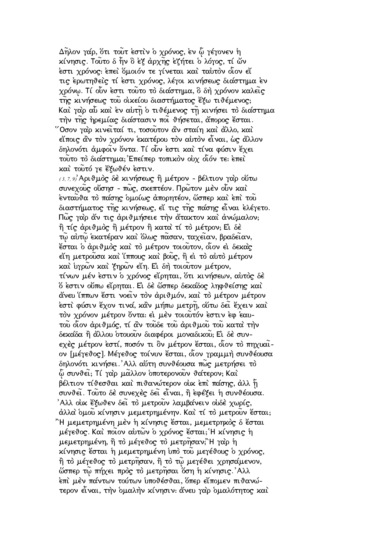Δηλον γαρ, ότι τουτ εστιν ο χρόνος, εν ω γέγονεν η κίνησις. Τούτο δ ήν δ εξ άρχης εζήτει δ λόγος, τί ών έστι χρόνος: έπει δμοιόν τε γίνεται και ταυτον οίον εί τις ερωτηθείς τί εστι χρόνος, λέγοι κινήσεως διάστημα εν χρόνω. Τί ούν έστι τούτο το διαστημα, δ δη χρόνον καλείς της κινήσεως του οικείου διαστήματος έξω τιθέμενος; Και γαρ αύ και εν αυτή ο τιθέμενος τη κινήσει το διαστημα την της ηρεμίας διάστασιν ποι θήσεται, άπορος έσται. Όσον γαρ κινειταί τι, τοσούτον άν σταίη και άλλο, και είποις άν τον χρόνον εκατέρου τον αυτον είναι, ως άλλον δηλονότι άμφοιν όντα. Τί ούν έστι και τίνα φύσιν έχει τούτο τὸ διαστημα; Επείπερ τοπικὸν ουχ οίον τε: επει και τουτό γε έξωθέν έστιν.

(3, 7, 9) Αριθμός δε κινήσεως ή μέτρον - βέλτιον γαρ ούτω συνεχούς ούσησ - πώς, σκεπτέον. Πρώτον μεν ούν και ένταυθα το πάσης δμοίως απορητέον, ώσπερ και επι του διαστήματος της κινήσεως, εί τις της πάσης είναι ελέγετο. Πώς γαρ άν τις άριθμήσειε την άτακτον και ανώμαλον; ή τίς άριθμος ή μέτρον ή κατα τί το μέτρον; Ει δε τώ αυτώ εκατέραν και δλως πάσαν, ταχείαν, βραδείαν, έσται ο άριθμος και το μέτρον τοιούτον, οίον ει δεκας είη μετρούσα και ίππους και βούς, ή ει το αυτό μέτρον και υγρών και ξηρών είη. Ει δη τοιούτον μέτρον, τίνων μέν έστιν ο χρόνος είρηται, ότι κινήσεων, αυτός δέ δ εστιν ούπω είρηται. Ει δε ώσπερ δεκάδος ληφθείσης και άνευ ίππων έστι νοείν τον αριθμόν, και το μέτρον μέτρον έστι φύσιν έχον τινά, κάν μήπω μετρη, ούτω δει έχειν και τον χρόνον μέτρον όντα: εί μεν τοιούτόν εστιν εφ εαυτου οίον άριθμός, τί άν τουδε του άριθμου του κατα την δεκάδα ή άλλου στουούν διαφέροι μοναδικού; Ει δε συνεχές μέτρον έστί, ποσόν τι όν μέτρον έσται, οίον το πηχυαιον [μέγεθος]. Μέγεθος τοίνυν έσται, οίον γραμμή συνθέουσα δηλονότι κινήσει. Αλλ αύτη συνθέουσα πως μετρήσει το ὧ συνθεί; Τί γαρ μαλλον δποτερονούν θατερον; Και βέλτιον τίθεσθαι και πιθανώτερον ούκ επι πάσης, άλλ η συνθεί. Τούτο δε συνεχες δει είναι, ή εφέζει η συνθέουσα. `Αλλ οὐκ ἔξωθεν δεῖ τὸ μετροῦν λαμβανειν οὐδὲ χωρίς, άλλα δμού κίνησιν μεμετρημένην. Και τί το μετρούν έσται; "Η μεμετρημένη μèν ἡ κίνησις ἔσται, μεμετρηκὸς δ ἔσται μέγεθος. Και ποιον αυτών ο χρόνος έσται; Η κίνησις η μεμετρημένη, ή το μέγεθος το μετρήσαν; Η γαρ η κίνησις έσται η μεμετρημένη υπό του μεγέθους ο χρόνος, ή το μέγεθος το μετρήσαν, ή το τω μεγέθει χρησάμενον, ώσπερ τω πήχει πρός το μετρήσαι όση η κίνησις. Αλλ έπι μέν πάντων τούτων υποθέσθαι, όπερ είπομεν πιθανώτερον είναι, την δμαλην κίνησιν: άνευ γαρ δμαλότητος και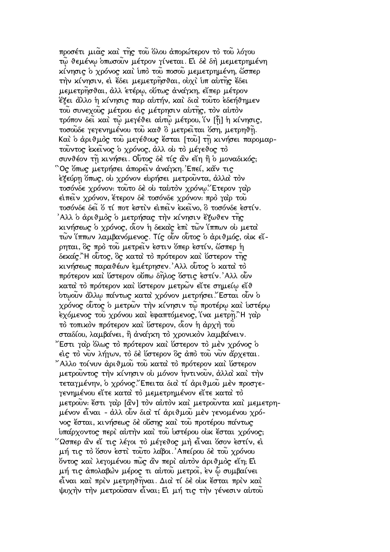προσέτι μιας και της του όλου απορώτερον το του λόγου τῷ θεμένω δπωσοῦν μέτρον γίνεται. Ει δὲ δη μεμετρημένη κίνησις ο χρόνος και υπό του ποσού μεμετρημένη, ώσπερ την κίνησιν, ει έδει μεμετρησθαι, ουχι υπ αυτης έδει μεμετρησθαι, άλλ ετέρω, ούτως άναγκη, είπερ μέτρον έξει άλλο η κίνησις παρ αυτήν, και δια τουτο εδεήθημεν του συνεχους μέτρου είς μέτρησιν αύτης, τον αύτον τρόπον δει και τώ μεγέθει αυτώ μέτρου, ίν [ή] η κίνησις, τοσούδε γεγενημένου του καθ δ μετρείται όση, μετρηθη. Και ο άριθμος του μεγέθους έσται [του] τη κινήσει παρομαρτούντος έκεινος ο χρόνος, άλλ ου το μέγεθος το συνθέον τη κινήσει. Ο ύτος δε τίς άν είη ή ο μοναδικός; Ός δπως μετρήσει άπορείν άναγκη. Επεί, κάν τις εξεύρη όπως, ου χρόνον ευρήσει μετρούντα, άλλα τον τοσόνδε χρόνον: τουτο δε ου ταυτον χρόνω. Έτερον γαρ ειπείν χρόνον, έτερον δε τοσόνδε χρόνον: πρὸ γαρ του τοσόνδε δει δ τί ποτ εστιν ειπειν εκεινο, δ τοσόνδε εστίν. Αλλ ο άριθμος ο μετρήσας την κίνησιν έξωθεν της κινήσεως ο χρόνος, οίον η δεκας επι των ίππων ου μετα τῶν Υππων λαμβανόμενος. Τίς οὖν οὗτος ὁ ἀριθμός, οὐκ εἴρηται, δς πρό του μετρείν έστιν όπερ έστίν, ώσπερ η δεκάς. Η ούτος, δς κατα το πρότερον και ύστερον της κινήσεως παραθέων εμέτρησεν. Αλλ ούτος ο κατα το πρότερον και ύστερον ούπω δηλος όστις εστίν. Αλλ ούν κατα το πρότερον και ύστερον μετρών είτε σημείω είθ δτωούν άλλω παντως κατα χρόνον μετρήσει. Έσται ούν δ χρόνος ούτος ο μετρών την κίνησιν τω προτέρω και υστέρω 'εχόμενος τοῦ χρόνου καὶ 'εφαπτόμενος, ἵνα μετρῇ."Η γαρ το τοπικόν πρότερον και ύστερον, οίον η άρχη του σταδίου, λαμβάνει, ή άναγκη το χρονικον λαμβάνειν. "Εστι γαρ δλως το πρότερον και ύστερον το μεν χρόνος δ είς το νύν λήγων, το δε ύστερον δς άπο του νύν άρχεται. "Αλλο τοίνυν άριθμού του κατα το πρότερον και ύστερον μετρούντος την κίνησιν ου μόνον ηντινούν, άλλα και την τεταγμένην, ο χρόνος. Έπειτα δια τί αριθμού μεν προσγεγενημένου είτε κατα το μεμετρημένον είτε κατα το μετρούν: έστι γαρ [άν] τον αύτον και μετρούντα και μεμετρημένον εἶναι - ἀλλ οἶν δια τί ἀριθμοῦ μεν γενομένου χρόνος έσται, κινήσεως δε ούσης και του προτέρου πάντως υπάρχοντος περί αυτήν και του υστέρου ουκ έσται χρόνος; ΄΄Ωσπερ ἀν ἐί τις λέγοι τὸ μέγεθος μὴ ἐἶναι ὅσον ἐστίν, ἐι μή τις τὸ ὅσον ἐστι τοῦτο λαβοι. Απείρου δε τοῦ χρόνου όντος και λεγομένου πως άν περι αυτον αριθμος είη; Ει μή τις άπολαβων μέρος τι αυτού μετροί, εν ω συμβαίνει εἶναι καὶ πρὶν μετρηθῆναι. Δια τί δὲ οὐκ ἔσται πρὶν καὶ ψυχήν την μετρούσαν είναι; Ει μή τις την γένεσιν αύτου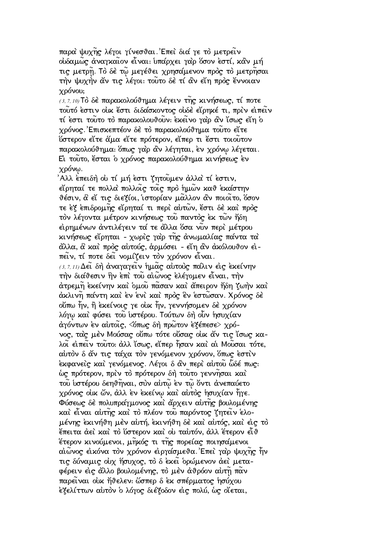παρα ψυχης λέγοι γίνεσθαι. Επει δια γε το μετρείν ούδαμώς άναγκαίον είναι: υπάρχει γαρ όσον 'εστί, κάν μή τις μετρη. Τὸ δὲ τῷ μεγέθει χρησαμενον πρὸς τὸ μετρησαι την ψυχην άν τις λέγοι: τουτο δε τί άν είη προς έννοιαν γρόνου:

(3, 7, 10) Τὸ δὲ παρακολούθημα λέγειν της κινήσεως, τί ποτε τουτό εστιν ουκ έστι διδασκοντος ουδε είρηκε τι, πριν ειπείν τί έστι τούτο το παρακολουθούν: έκεινο γαρ άν Ίσως είη ο χρόνος. Επισκεπτέον δε το παρακολούθημα τουτο είτε ύστερον είτε άμα είτε πρότερον, είπερ τι έστι τοιούτον παρακολούθημα: όπως γαρ άν λέγηται, εν χρόνω λέγεται. Ει τούτο, έσται ο χρόνος παρακολούθημα κινήσεως έν γρόνω.

'Αλλ ἐπειδὴ οὐ τί μή ἐστι ζητοῦμεν ἀλλα τί ἐστιν, είρηταί τε πολλα πολλοις τοις προ ημών καθ εκάστην θέσιν, α εί τις διεξίοι, ιστορίαν μαλλον άν ποιοίτο, όσον τε εξ επιδρομής είρηταί τι περι αυτών, έστι δε και προς τον λέγοντα μέτρον κινήσεως του παντος εκ των ήδη ειρημένων αντιλέγειν τα τε άλλα όσα νύν περι μέτρου κινήσεως είρηται - χωρις γαρ της ανωμαλίας παντα τα άλλα, α και προς αυτούς, άρμόσει - είη άν ακόλουθον ειπείν, τί ποτε δει νομίζειν τον χρόνον είναι.  $(3, 7, 11)$  Δεί δη άναγαγείν ημάς αύτους πάλιν είς εκείνην την διάθεσιν ην επι του αιώνος ελέγομεν είναι, την άτρεμη εκείνην και δμού πάσαν και άπειρον ήδη ζωήν και άκλινη πάντη και έν ενι και προς εν εστώσαν. Χρόνος δε ούπω ήν, ή έκείνοις γε ούκ ήν, γεννήσομεν δέ χρόνον λόγω και φύσει του υστέρου. Τούτων δη ούν ησυχίαν άγόντων έν αύτοις, < όπως δη πρώτον εξέπεσε> χρόνος, τας μέν Μούσας ούπω τότε ούσας ουκ άν τις Ίσως καλοι είπειν τούτο: άλλ Ίσως, είπερ ήσαν και αί Μούσαι τότε, αύτον δ άν τις τάχα τον γενόμενον χρόνον, όπως εστιν έκφανείς και γενόμενος. Λέγοι δ άν περι αυτου ώδέ πως: ώς πρότερον, πριν το πρότερον δη τουτο γεννήσαι και του υστέρου δεηθηναι, συν αυτώ εν τω όντι ανεπαύετο χρόνος ουκ ών, άλλ εν εκείνω και αυτος ησυχίαν ήγε. Φύσεως δε πολυπράγμονος και άρχειν αυτής βουλομένης και είναι αυτής και το πλέον του παρόντος ζητείν έλομένης εκινήθη μέν αυτή, εκινήθη δέ και αυτός, και είς το ἔπειτα ἀεὶ καὶ τὸ ὕστερον καὶ οὐ ταὐτόν, ἀλλ ἕτερον εἶθ έτερον κινούμενοι, μηκός τι της πορείας ποιησάμενοι αιώνος εικόνα τον χρόνον ειργασμεθα. Επει γαρ ψυχης ήν τις δύναμις ουχ ήσυχος, τὸ δ ἐκει ὁρώμενον ἀεὶ μεταφέρειν εις άλλο βουλομένης, το μεν άθρόον αυτή παν παρείναι ούκ ήθελεν: ώσπερ δ εκ σπέρματος ησύχου εξελίττων αυτον ο λόγος διέξοδον εις πολύ, ως οίεται,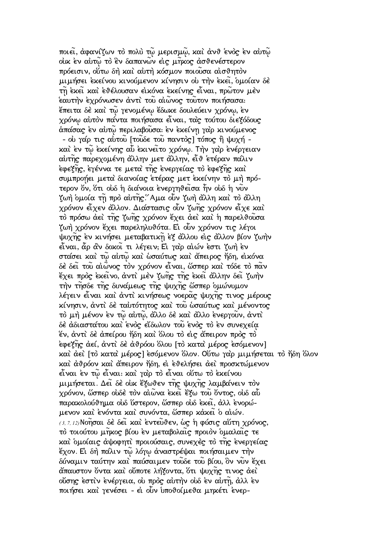ποιεί, άφανίζων το πολύ τω μερισμώ, και άνθ ενός εν αύτω ούκ έν αυτώ το εν δαπανών είς μήκος ασθενέστερον πρόεισιν, ούτω δη και αυτή κόσμον ποιουσα αισθητον μιμήσει εκείνου κινούμενον κίνησιν ου την εκει, ομοίαν δε τη έκει και εθέλουσαν εικόνα εκείνης είναι, πρώτον μεν εαυτήν εχρόνωσεν άντι του αιώνος τουτον ποιήσασα: έπειτα δε και τω γενομένω έδωκε δουλεύειν χρόνω, εν χρόνω αυτόν παντα ποιήσασα είναι, τας τούτου διεξόδους άπάσας έν αυτώ περιλαβούσα: εν εκείνη γαρ κινούμενος - ου γαρ τις αυτου [τουδε του παντος] τόπος ή ψυχή και εν τῷ εκείνης αὖ εκινείτο χρόνω. Την γαρ ενέργειαν αύτης παρεχομένη άλλην μετ άλλην, είθ ετέραν πάλιν έφεξης, εγέννα τε μετα της ενεργείας το εφεξης και συμπροήει μετα διανοίας ετέρας μετ εκείνην το μη πρότερον ὄν, ὅτι οὐδ ἡ διανοια ενεργηθεῖσα ἦν οὐδ ἡ νῦν ζωή δμοία τη πρὸ αυτης. Αμα οὖν ζωή ἀλλη και τὸ ἀλλη χρόνον είχεν άλλον. Διαστασις ούν ζωης χρόνον είχε και το πρόσω άει της ζωής χρόνον έχει άει και η παρελθούσα ζωή χρόνον έχει παρεληλυθότα. Ει ούν χρόνον τις λέγοι ψυχής εν κινήσει μεταβατική εξ άλλου εις άλλον βίον ζωήν εἶναι, ἆρ ἀν δοκοἶ τι λέγειν; Ει γαρ αιών εστι ζωή εν στάσει και τω αυτώ και ωσαύτως και άπειρος ήδη, εικόνα δε δεί του αιώνος τον χρόνον είναι, ώσπερ και τόδε το παν έχει προς εκείνο, άντι μεν ζωής της εκει άλλην δει ζωην την τησδε της δυναμεως της ψυχης ώσπερ δμώνυμον λέγειν είναι και άντι κινήσεως νοεράς ψυχης τινος μέρους κίνησιν, άντι δε ταύτότητος και του ώσαύτως και μένοντος τὸ μὴ μένον 'εν τῷ αὐτῷ, ἄλλο δὲ καὶ ἄλλο 'ενεργοῦν, ἀντὶ δε άδιαστάτου και ενός είδωλον του ενός το εν συνεχεία έν, άντι δε άπείρου ήδη και δλου το είς άπειρον προς το έφεζης άεί, άντι δε άθρόου όλου [το κατα μέρος εσόμενον] και άει [το κατα μέρος] εσόμενον δλον. Ούτω γαρ μιμήσεται το ήδη δλον και άθρόον και άπειρον ήδη, εί εθελήσει άει προσκτώμενον είναι εν τω είναι: και γαρ το είναι ούτω το εκείνου μιμήσεται. Δει δε ούκ έξωθεν της ψυχης λαμβάνειν τον χρόνον, ώσπερ ουδε τον αιώνα εκει έξω του όντος, ουδ αύ παρακολούθημα ουδ ύστερον, ὥσπερ ουδ 'εκει, άλλ 'ενορώμενον και ενόντα και συνόντα, ώσπερ κάκει ο αιών.  $(3, 7, 12)$ Νοήσαι δέ δει και εντεύθεν, ως η φύσις αύτη χρόνος, τὸ τοιούτου μήκος βίου εν μεταβολαις προιὸν δμαλαις τε και δμοίαις άψοφητι προιούσαις, συνεχές το της ενεργείας έχον. Ει δη παλιν τω λόγω αναστρέψαι ποιήσαιμεν την δύναμιν ταύτην και παύσαιμεν τουδε του βίου, δν νυν έχει άπαυστον όντα και ούποτε λήξοντα, ότι ψυχης τινος άει ούσης εστιν ενέργεια, ου πρός αυτήν ουδ εν αυτή, άλλ εν ποιήσει και γενέσει - ει ούν υποθοίμεθα μηκέτι ενερ-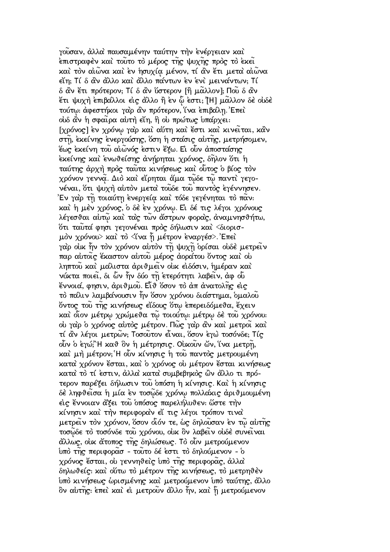γουσαν, άλλα παυσαμένην ταύτην την ενέργειαν και έπιστραφέν και τούτο το μέρος της ψυχης προς το εκεί και τον αιώνα και εν ησυχία μένον, τί άν έτι μετα αιώνα είη; Τί δ ἀν ἄλλο καὶ ἄλλο πάντων ἐν ενὶ μεινάντων; Τί δ άν έτι πρότερον; Τί δ άν ύστερον [ή μαλλον]; Που δ άν ἔτι ψυχὴ ἐπιβαλλοι εἰς ἄλλο ἢ ἐν ὧ ἐστι; ἘΗ] μᾶλλον δὲ οὐδὲ τούτω: άφεστήκοι γαρ άν πρότερον, ίνα επιβαλη. Επει ούδ άν η σφαίρα αύτη είη, η ου πρώτως υπάρχει: [χρόνος] έν χρόνω γαρ και αύτη και έστι και κινειται, κάν στη, εκείνης ενεργούσης, όση η στασις αυτής, μετρήσομεν, έως έκείνη του αιώνός έστιν έξω. Ει ούν αποστάσης έκείνης και ενωθείσης ανήρηται χρόνος, δηλον ότι η ταύτης άρχη πρός ταυτα κινήσεως και ούτος ο βίος τον χρόνον γεννα. Διὸ και είρηται άμα τώδε τώ παντι γεγονέναι, ότι ψυχή αυτόν μετα τουδε του παντός εγέννησεν. 'Εν γαρ τη τοιαύτη ενεργεία και τόδε γεγένηται το παν: και η μεν χρόνος, ο δε εν χρόνω. Ει δε τις λέγοι χρόνους λέγεσθαι αυτώ και τας των άστρων φορας, αναμνησθήτω, ότι ταυτά φησι γεγονέναι προς δήλωσιν και <διορισμὸν χρόνου> και τὸ «Ύνα ἦ μέτρον 'εναργέσ>. Επει γαρ ούκ ήν τον χρόνον αυτον τη ψυχη δρίσαι ουδε μετρείν παρ αυτοίς έκαστον αυτού μέρος άορατου όντος και ου ληπτου και μαλιστα αριθμείν ουκ ειδόσιν, ημέραν και νύκτα ποιεί, δι ὧν ἦν δύο τη ετερότητι λαβείν, άφ οὗ έννοιά, φησιν, άριθμοῦ. Εἶθ ὅσον τὸ ἀπ ἀνατολης είς τό παλιν λαμβανουσιν ήν όσον χρόνου διαστημα, δμαλού όντος του της κινήσεως είδους ότω επερειδόμεθα, έχειν και δίον μέτρω χρώμεθα τω τοιούτω: μέτρω δε του χρόνου: ού γαρ ο χρόνος αύτος μέτρον. Πώς γαρ άν και μετροί και τί άν λέγοι μετρών; Τοσούτον είναι, όσον εγω τοσόνδε; Τίς οὖν ο εγώ; Η καθ δν η μέτρησις. Οὐκοῦν ὤν, ἵνα μετρη, και μη μέτρον; Η ούν κίνησις η του παντος μετρουμένη κατα χρόνον έσται, και ο χρόνος ου μέτρον έσται κινήσεως κατα το τί έστιν, άλλα κατα συμβεβηκός ών άλλο τι πρότερον παρέξει δήλωσιν του δπόση η κίνησις. Και η κίνησις δέ ληφθείσα η μία έν τοσώδε χρόνω πολλακις αριθμουμένη εις έννοιαν άξει του οπόσος παρελήλυθεν: ώστε την κίνησιν και την περιφοραν εί τις λέγοι τρόπον τινα μετρείν τον χρόνον, όσον οίον τε, ως δηλούσαν εν τω αυτής τοσωδε το τοσόνδε του χρόνου, ουκ όν λαβείν ουδε συνείναι άλλως, ούκ άτοπος της δηλώσεως. Τὸ οὖν μετρούμενον υπό της περιφοράσ - τουτο δέ έστι το δηλούμενον - δ χρόνος έσται, ου γεννηθείς υπό της περιφοράς, άλλα δηλωθείς: και ούτω το μέτρον της κινήσεως, το μετρηθεν υπό κινήσεως ώρισμένης και μετρούμενον υπό ταύτης, άλλο ὂν αὐτῆς: ἐπεὶ καὶ ἐι μετροῦν ἄλλο ἦν, καὶ ῇ μετρούμενον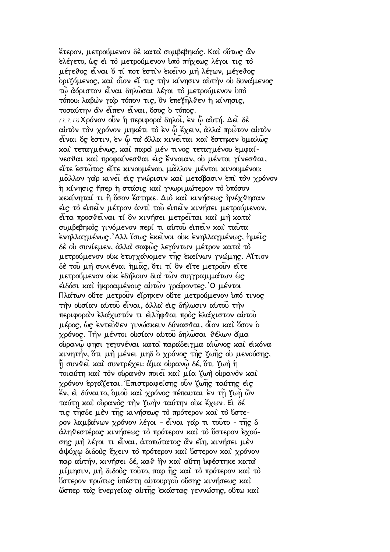έτερον, μετρούμενον δε κατα συμβεβηκός. Και ούτως άν έλέγετο, ώς εί το μετρούμενον υπό πήχεως λέγοι τις το μέγεθος είναι δ τί ποτ εστιν εκείνο μη λέγων, μέγεθος δριζόμενος, και δίον εί τις την κίνησιν αυτην ου δυνάμενος τω αόριστον είναι δηλωσαι λέγοι το μετρούμενον υπο τόπου: λαβων γαρ τόπον τις, δν επεξηλθεν η κίνησις, τοσαύτην άν είπεν είναι, όσος ο τόπος.  $(3, 7, 13)$  Χρόνον οὖν η περιφορα δηλοί, εν ὧ αυτή. Δεί δε αύτον τον χρόνον μηκέτι το εν ὧ έχειν, άλλα πρώτον αυτον εἶναι ὅς ἐστιν, ἐν ὧ τα ἄλλα κινεῖται και ἕστηκεν ὁμαλῶς και τεταγμένως, και παρα μέν τινος τεταγμένου εμφαίνεσθαι και προφαίνεσθαι είς έννοιαν, ου μέντοι γίνεσθαι, είτε εστώτος είτε κινουμένου, μάλλον μέντοι κινουμένου: μαλλον γαρ κινει είς γνώρισιν και μετάβασιν επι τον χρόνον η κίνησις ήπερ η στάσις και γνωριμώτερον το οπόσον κεκίνηταί τι ή όσον έστηκε. Διὸ και κινήσεως ηνέχθησαν είς το είπειν μέτρον άντι του είπειν κινήσει μετρούμενον, είτα προσθείναι τί όν κινήσει μετρείται και μή κατα συμβεβηκός γινόμενον περί τι αύτου είπειν και ταυτα ενηλλαγμένως. Αλλ Ίσως εκείνοι ούκ ενηλλαγμένως, ημείς δέ ου συνίεμεν, άλλα σαφώς λεγόντων μέτρον κατα το μετρούμενον ούκ ετυγχανομεν της εκείνων γνώμης. Αίτιον δέ του μη συνιέναι ημάς, ότι τί όν είτε μετρούν είτε μετρούμενον ούκ εδήλουν δια των συγγραμμάτων ώς ειδόσι και ηκροαμένοις αυτών γράφοντες. Ο μέντοι Πλάτων ούτε μετρούν είρηκεν ούτε μετρούμενον υπό τινος την ουσίαν αυτου είναι, άλλα εις δήλωσιν αυτου την περιφοραν ελαχιστόν τι ειληφθαι προς ελαχιστον αυτου μέρος, ως εντεύθεν γινώσκειν δύνασθαι, οίον και όσον ο χρόνος. Την μέντοι ουσίαν αυτου δηλώσαι θέλων άμα ούρανω φησι γεγονέναι κατα παραδειγμα αιώνος και εικόνα κινητήν, ότι μη μένει μηδ ο χρόνος της ζωης ου μενούσης, ή συνθεί και συντρέχει: άμα ουρανω δέ, ότι ζωη η τοιαύτη και τον ουρανον ποιεί και μία ζωη ουρανον και χρόνον 'εργαζεται. Επιστραφείσης ούν ζωης ταύτης εις έν, ει δύναιτο, δμού και χρόνος πέπαυται εν τη ζωη ών ταύτη και ουρανός την ζωήν ταύτην ούκ έχων. Ει δέ τις τησδε μέν της κινήσεως το πρότερον και το ύστερον λαμβανων χρόνον λέγοι - εἶναι γαρ τι τοῦτο - της δ άληθεστέρας κινήσεως το πρότερον και το ύστερον εχούσης μή λέγοι τι είναι, άτοπώτατος άν είη, κινήσει μέν άψύχω διδούς έχειν το πρότερον και ύστερον και χρόνον παρ αυτήν, κινήσει δέ, καθ ήν και αύτη υφέστηκε κατα μίμησιν, μή διδούς τούτο, παρ ής και το πρότερον και το ύστερον πρώτως υπέστη αυτουργού ούσης κινήσεως και ώσπερ τας ενεργείας αυτής εκάστας γεννώσης, ούτω και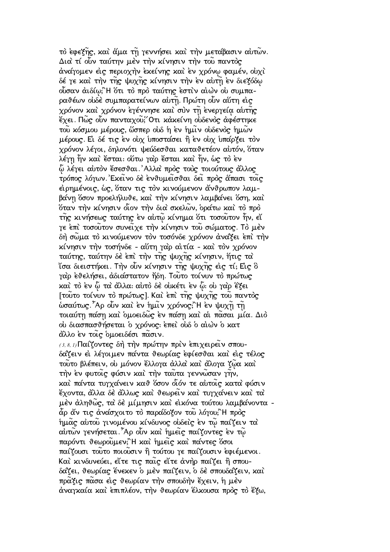το εφεξής, και άμα τη γεννήσει και την μετάβασιν αυτών. Δια τί ούν ταύτην μέν την κίνησιν την του παντός άναγομεν είς περιοχήν εκείνης και εν χρόνω φαμέν, ούχι δέ γε και την της ψυχης κίνησιν την εν αυτη εν διεζόδω ούσαν αιδίω; Η ότι το προ ταύτης εστιν αιων ου συμπαραθέων ουδε συμπαρατείνων αυτη. Πρώτη ούν αύτη είς χρόνον και χρόνον εγέννησε και συν τη ενεργεία αυτής έχει. Πως ούν πανταχου; Οτι κάκείνη ουδενος αφέστηκε του κόσμου μέρους, ώσπερ ουδ η εν ημίν ουδενός ημών μέρους. Ει δέ τις έν ουχ υποστάσει ή έν ουχ υπάρξει τον χρόνον λέγοι, δηλονότι ψεύδεσθαι καταθετέον αυτόν, όταν λέγη ἦν καὶ ἔσται: οὕτω γαρ ἔσται καὶ ἦν, ὡς τὸ ἐν ὧ λέγει αυτον έσεσθαι. Αλλα προς τους τοιούτους άλλος τρόπος λόγων. Εκείνο δε ενθυμείσθαι δεί προς άπασι τοις ειρημένοις, ώς, όταν τις τον κινούμενον άνθρωπον λαμβανη όσον προελήλυθε, και την κίνησιν λαμβανει όση, και δταν την κίνησιν οίον την δια σκελών, δράτω και το προ της κινήσεως ταύτης εν αυτώ κίνημα ότι τοσούτον ήν, εί γε έπι τοσούτον συνείχε την κίνησιν του σώματος. Το μέν δη σωμα το κινούμενον τον τοσόνδε χρόνον αναξει επι την κίνησιν την τοσήνδε - αύτη γαρ αιτία - και τον χρόνον ταύτης, ταύτην δε επι την της ψυχης κίνησιν, ήτις τα ἴσα διειστήκει. Τὴν οὗν κίνησιν τὴς ψυχὴς ἐις τί; Εις ὃ γαρ εθελήσει, αδιαστατον ήδη. Τούτο τοίνυν το πρώτως και το εν ω τα άλλα: αυτο δε ουκέτι εν ω ου γαρ έξει [τούτο τοίνυν το πρώτως]. Και επι της ψυχης του παντος ώσαύτως. Αρ ούν και εν ημίν χρόνος, Η εν ψυχη τη τοιαύτη πάση και δμοειδώς εν πάση και αι πασαι μία. Διδ ού διασπασθήσεται ο χρόνος: επει ούδ ο αιων ο κατ άλλο έν τοις δμοειδέσι πασιν.

 $(3, 8, 1)$ Παίζοντες δη την πρώτην πριν επιχειρείν σπουδαζειν ει λέγοιμεν παντα θεωρίας εφίεσθαι και εις τέλος τούτο βλέπειν, ου μόνον έλλογα άλλα και άλογα ζώα και την έν φυτοις φύσιν και την ταυτα γεννώσαν γην, και πάντα τυγχάνειν καθ όσον οιόν τε αυτοις κατα φύσιν έχοντα, άλλα δε άλλως και θεωρείν και τυγχάνειν και τα μέν άληθώς, τα δέ μίμησιν και εικόνα τούτου λαμβανοντα αρ άν τις ανασχοιτο το παραδο τον του λόγου; Η προς ημάς αύτου γινομένου κίνδυνος ούδεις εν τω παίζειν τα αύτων γενήσεται. Άρ ούν και ημείς παίζοντες εν τω παρόντι θεωρούμεν; Η και ημείς και πάντες όσοι παίζουσι τουτο ποιουσιν ή τούτου γε παίζουσιν εφιέμενοι. Και κινδυνεύει, είτε τις παις είτε άνηρ παίζει ή σπουδαζει, θεωρίας ένεκεν ο μεν παίζειν, ο δε σπουδαζειν, και πραξις πασα είς θεωρίαν την σπουδην έχειν, η μέν άναγκαία και επιπλέον, την θεωρίαν έλκουσα προς το έξω,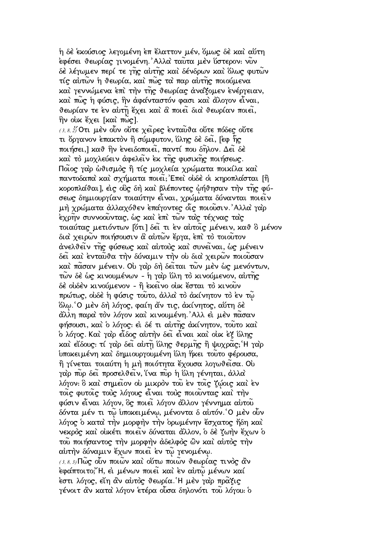η δε εκούσιος λεγομένη επ έλαττον μέν, όμως δε και αύτη έφέσει θεωρίας γινομένη. Αλλα ταυτα μεν ύστερον: νυν δε λέγωμεν περί τε γης αύτης και δένδρων και δλως φυτών τίς αυτών η θεωρία, και πώς τα παρ αυτής ποιούμενα και γεννώμενα επι την της θεωρίας αναξομεν ενέργειαν, και πως η φύσις, ην αφανταστόν φασι και άλογον είναι, θεωρίαν τε έν αύτη έχει και α ποιεί δια θεωρίαν ποιεί, ην ούκ έχει [και πώς].

 $(3, 8, 2)$  Οτι μέν ούν ούτε χείρες ενταυθα ούτε πόδες ούτε τι ὄργανον 'επακτον ή σύμφυτον, ύλης δε δει, Γεφ ής ποιήσει, καθ ην ενειδοποιεί, παντί που δηλον. Δεί δέ και το μοχλεύειν άφελεϊν εκ της φυσικής ποιήσεως. Ποίος γαρ ώθισμος ή τίς μοχλεία χρώματα ποικίλα και παντοδαπα και σχήματα ποιει; Επει ούδε οι κηροπλασται [ή κοροπλάθαι], είς ούς δη και βλέποντες ψήθησαν την της φύσεως δημιουργίαν τοιαύτην είναι, χρώματα δύνανται ποιείν μή χρώματα άλλαχόθεν επάγοντες δίς ποιούσιν. Αλλα γαρ έχρην συννοούντας, ώς και έπι των τας τέχνας τας τοιαύτας μετιόντων [ότι] δει τι εν αυτοις μένειν, καθ δ μένον δια χειρών ποιήσουσιν α αυτών έργα, επι το τοιούτον άνελθεϊν της φύσεως και αυτούς και συνεϊναι, ως μένειν δει και ενταύθα την δύναμιν την ου δια χειρών ποιουσαν και πασαν μένειν. Ου γαρ δη δείται των μεν ώς μενόντων, τών δε ώς κινουμένων - η γαρ ύλη το κινούμενον, αυτής δε ουδεν κινούμενον - ή εκείνο ουκ έσται το κινούν πρώτως, ουδέ η φύσις τουτο, άλλα το άκίνητον το έν τω δλω. Ο μέν δη λόγος, φαίη άν τις, ακίνητος, αύτη δέ άλλη παρα τον λόγον και κινουμένη. Αλλ ει μεν πασαν φήσουσι, και ο λόγος: ει δέ τι αυτής ακίνητον, τουτο και δ λόγος. Καὶ γαρ εἶδος αὐτὴν δει εἶναι καὶ οὐκ εξ ὕλης και είδους: τί γαρ δει αυτη ύλης θερμής ή ψυχράς; Η γαρ υποκειμένη και δημιουργουμένη ύλη ήκει τουτο φέρουσα, ή γίνεται τοιαύτη ή μή ποιότητα έχουσα λογωθείσα. Ου γαρ πυρ δει προσελθείν, ίνα πυρ η ύλη γένηται, άλλα λόγον: δ και σημείον ου μικρον του εν τοις ζώοις και εν τοις φυτοις τους λόγους είναι τους ποιουντας και την φύσιν είναι λόγον, δς ποιεί λόγον άλλον γέννημα αυτου δόντα μέν τι τὦ υποκειμένω, μένοντα δ αυτόν. Ο μεν ούν λόγος ο κατα την μορφην την ορωμένην έσχατος ήδη και νεκρός και ουκέτι ποιείν δύναται άλλον, ο δε ζωην έχων ο του ποιήσαντος την μορφην άδελφος ών και αυτός την αύτην δύναμιν έχων ποιεί εν τω γενομένω.  $(3, 8, 3)$ Πώς ούν ποιών και ούτω ποιών θεωρίας τινός άν 'εφάπτοιτο;''Η, ει μένων ποιει και εν αυτώ μένων καί , έστι λόγος, είη άν αυτος θεωρία. Η μεν γαρ πραξις γένοιτ άν κατα λόγον ετέρα ούσα δηλονότι του λόγου: δ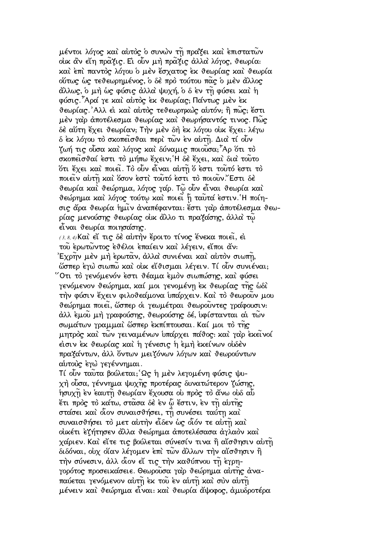μέντοι λόγος και αύτος ο συνων τη πράξει και επιστατών ούκ άν είη πραξις. Ει ούν μη πραξις άλλα λόγος, θεωρία: και επι παντός λόγου ο μεν έσχατος εκ θεωρίας και θεωρία ούτως ως τεθεωρημένος, ο δε προ τούτου πάς ο μεν άλλος άλλως, ο μη ώς φύσις άλλα ψυχή, ο δ εν τη φύσει και η φύσις. Αρά γε και αυτός εκ θεωρίας; Πάντως μεν εκ θεωρίας. Αλλ εί και αύτος τεθεωρηκώς αυτόν; ή πως; έστι μέν γαρ άποτέλεσμα θεωρίας και θεωρήσαντός τινος. Πως δε αύτη έχει θεωρίαν; Την μεν δη εκ λόγου ουκ έχει: λέγω δ έκ λόγου το σκοπείσθαι περί των έν αυτη. Δια τί ούν ζωή τις οὖσα καὶ λόγος καὶ δύναμις ποιοὖσα; Αρ ὅτι τὸ σκοπείσθαί έστι το μήπω έχειν; Η δε έχει, και δια τούτο δτι έχει και ποιεί. Το ούν είναι αυτή δ εστι τουτό έστι το ποιείν αυτή και δσον εστι τουτό εστι το ποιουν. Έστι δε θεωρία και θεώρημα, λόγος γάρ. Τῷ οὖν εἶναι θεωρία και θεώρημα και λόγος τούτω και ποιεί ή ταυτά εστιν. Η ποίησις άρα θεωρία ημίν άναπέφανται: έστι γαρ αποτέλεσμα θεωρίας μενούσης θεωρίας ούκ άλλο τι πραξασης, άλλα τω είναι θεωρία ποιησάσης.

 $(3, 8, 4)$ Και εί τις δε αυτήν έροιτο τίνος ένεκα ποιεί, ει του ερωτώντος εθέλοι επαίειν και λέγειν, είποι άν: 'Εχρῆν μὲν μὴ ἐρωταν, ἀλλα συνιέναι καὶ αὐτὸν σιωπῆ, ώσπερ εγώ σιωπώ και ούκ είθισμαι λέγειν. Τί ούν συνιέναι; Ότι τὸ γενόμενόν ἐστι θέαμα ἐμὸν σιωπώσης, καὶ φύσει γενόμενον θεώρημα, καί μοι γενομένη εκ θεωρίας της ωδι την φύσιν έχειν φιλοθεάμονα υπάρχειν. Και το θεωρούν μου θεώρημα ποιεί, ώσπερ οι γεωμέτραι θεωρούντες γράφουσιν: άλλ έμου μή γραφούσης, θεωρούσης δέ, υφίστανται αι των σωμάτων γραμμαί ώσπερ εκπίπτουσαι. Καί μοι τὸ της μητρός και των γειναμένων υπάρχει πάθος: και γαρ εκεινοί είσιν εκ θεωρίας και η γένεσις η εμη εκείνων ουδεν πραξάντων, άλλ όντων μειζόνων λόγων και θεωρούντων αυτούς έγω γεγέννημαι.

Τί ούν ταυτα βούλεται; Ως η μεν λεγομένη φύσις ψυχη ούσα, γέννημα ψυχης προτέρας δυνατώτερον ζώσης, ησυχη εν εαυτη θεωρίαν έχουσα ου προς το άνω ουδ αύ έτι πρὸς τὸ κατω, στασα δε εν ῷ ἔστιν, εν τη αυτης στάσει και δίον συναισθήσει, τη συνέσει ταύτη και συναισθήσει το μετ αυτην είδεν ως οίον τε αυτη και ουκέτι εζήτησεν άλλα θεώρημα αποτελέσασα άγλαον και γάριεν. Και έίτε τις βούλεται σύνεσίν τινα ή αίσθησιν αυτη διδόναι, ουχ οίαν λέγομεν επι των άλλων την αίσθησιν ή την σύνεσιν, άλλ οΐον εἴ τις την καθύπνου τη εγρηγορότος προσεικάσειε. Θεωρούσα γαρ θεώρημα αυτής άναπαύεται γενόμενον αυτή έκ του έν αυτή και συν αυτή μένειν και θεώρημα είναι: και θεωρία άψοφος, άμυδροτέρα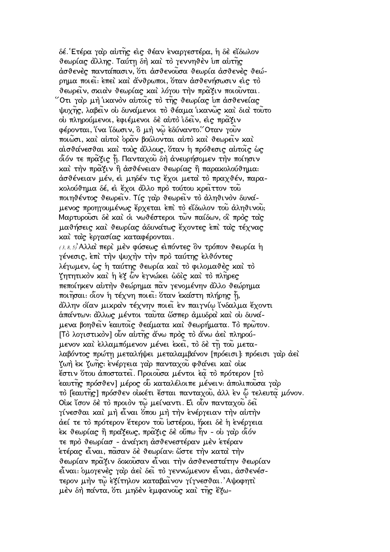δέ. Ετέρα γαρ αυτής εις θέαν εναργεστέρα, η δε είδωλον θεωρίας άλλης. Ταύτη δη και το γεννηθεν υπ αυτής άσθενές παντάπασιν, ότι άσθενούσα θεωρία άσθενές θεώρημα ποιει: επει και άνθρωποι, όταν ασθενήσωσιν εις το θεωρείν, σκιαν θεωρίας και λόγου την πραζιν ποιούνται. Ότι γαρ μη ικανον αυτοίς το της θεωρίας υπ ασθενείας ψυχης, λαβείν ου δυναμενοι το θέαμα ικανώς και δια τουτο ου πληρούμενοι, εφιέμενοι δε αυτό ιδείν, εις πραξιν φέρονται, ίνα ίδωσιν, δ μή νω εδύναντο. Όταν γουν ποιώσι, και αύτοι δράν βούλονται αύτο και θεωρείν και αισθανεσθαι και τους άλλους, όταν η πρόθεσις αυτοις ως οιδύν τε πραζις η Πανταχού δη άνευρήσομεν την ποίησιν και την πράξιν ή ασθένειαν θεωρίας ή παρακολούθημα: άσθένειαν μέν, εί μηδέν τις έχοι μετα το πραχθέν, παρακολούθημα δέ, ει έχοι άλλο πρό τούτου κρείττον του ποιηθέντος θεωρείν. Τίς γαρ θεωρείν το άληθινον δυναμενος προηγουμένως έρχεται επι το είδωλον του άληθινου; Μαρτυρούσι δε και οι νωθέστεροι των παίδων, οι προς τας μαθήσεις και θεωρίας άδυνατως έχοντες επι τας τέχνας και τας εργασίας καταφέρονται. (3, 8, 5) Αλλα περί μέν φύσεως ειπόντες δν τρόπον θεωρία ή γένεσις, επι την ψυχην την προ ταύτης ελθόντες λέγωμεν, ως η ταύτης θεωρία και το φιλομαθες και το "Υπτητικόν και η έξ ὧν εγνώκει ώδις και το πλήρες πεποίηκεν αυτήν θεώρημα παν γενομένην άλλο θεώρημα ποιησαι: δίον η τέχνη ποιει: όταν εκαστη πλήρης η, άλλην οΐαν μικραν τέχνην ποιεί εν παιγνίω ζνδαλμα έχοντι άπάντων: άλλως μέντοι ταυτα ώσπερ άμυδρα και ου δυνάμενα βοηθείν εαυτοίς θεάματα και θεωρήματα. Το πρώτον. [Τὸ λογιστικὸν] ο<br αὐτης άνω προς το άνω άει πληρούμενον και ελλαμπόμενον μένει εκει, το δε τη του μεταλαβόντος πρώτη μεταλήψει μεταλαμβάνον [πρόεισι]: πρόεισι γαρ άει ζωή έκ ζωής: ενέργεια γαρ πανταχού φθάνει και ούκ έστιν ότου άποστατει. Προιουσα μέντοι 'εα το πρότερον [το ] έαυτης πρόσθεν] μέρος ού καταλέλοιπε μένειν: άπολιπούσα γαρ το [εαυτης] πρόσθεν ουκέτι έσται πανταχου, άλλ εν ω τελευτα μόνον. Ούκ ίσον δε το προιον τω μείναντι. Ει ούν πανταχού δεί γίνεσθαι και μη είναι όπου μη την ενέργειαν την αυτην άεί τε τὸ πρότερον έτερον τοῦ ὑστέρου, ἥκει δὲ ἡ ἐνέργεια έκ θεωρίας ἢ πραξεως, πραξις δὲ οὔπω ἦν - οὐ γαρ οἶόν τε πρὸ θεωρίασ - ἀνάγκη ἀσθενεστέραν μεν ετέραν ετέρας είναι, πάσαν δε θεωρίαν: ώστε την κατα την θεωρίαν πραζιν δοκούσαν είναι την ασθενεστάτην θεωρίαν είναι: δμογενές γαρ άει δει το γεννώμενον είναι, άσθενέστερον μην τω εξίτηλον καταβαίνον γίγνεσθαι. Αψοφητι μεν δη παντα, ότι μηδεν εμφανούς και της έξω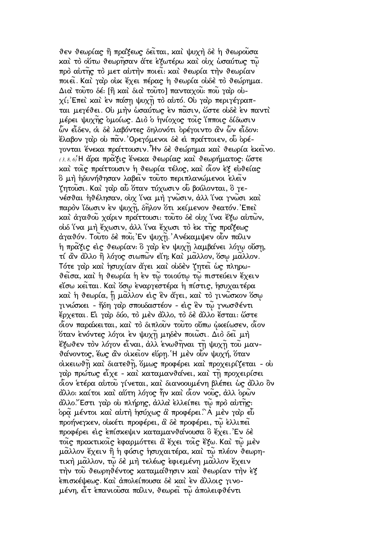θεν θεωρίας ή πραξεως δειται, και ψυχη δε η θεωρουσα και το ούτω θεωρήσαν άτε εξωτέρω και ουχ ωσαύτως τω πρὸ αυτης τὸ μετ αυτην ποιει: και θεωρία την θεωρίαν ποιεί. Και γαρ ούκ έχει πέρας η θεωρία ουδε το θεώρημα. Δια τουτο δέ: [ή και δια τουτο] πανταχου: που γαρ ουχί; Επεί και έν πάση ψυχη το αυτό. Ου γαρ περιγέγραπται μεγέθει. Ου μην ώσαύτως εν πασιν, ώστε ουδε εν παντι μέρει ψυχης δμοίως. Διὸ δ ηνίοχος τοις Υπποις δίδωσιν ὧν εἶδεν, οἱ δὲ λαβόντες δηλονότι ὀρέγοιντο ἀν ὧν εἶδον: έλαβον γαρ ου παν. Ορεγόμενοι δε ει πραττοιεν, ού ορέγονται ένεκα πράττουσιν. Ήν δε θεώρημα και θεωρία εκείνο.  $(3,8,6)$ Η άρα πραξις ένεκα θεωρίας και θεωρήματος: ώστε και τοις πράττουσιν η θεωρία τέλος, και οίον εξ ευθείας δ μή ηδυνήθησαν λαβείν τουτο περιπλανώμενοι ελείν ζητουσι. Και γαρ αύ όταν τύχωσιν ου βούλονται, δ γενέσθαι ηθέλησαν, ούχ ίνα μη γνώσιν, άλλ ίνα γνώσι και παρον ἴδωσιν 'εν ψυχη, δηλον ὅτι κείμενον θεατόν. Έπει` και άγαθου χαριν πραττουσι: τουτο δε ουχ ίνα έξω αυτών, ούδ ίνα μη έχωσιν, άλλ ίνα έχωσι το έκ της πράξεως άγαθόν. Τούτο δε που; Εν ψυχη. Ανέκαμψεν ούν παλιν η πραξις εις θεωρίαν: δ γαρ εν ψυχη λαμβανει λόγω ούση, τί ἀν ἄλλο ἢ λόγος σιωπῶν είη; Καὶ μᾶλλον, ὅσῳ μᾶλλον. Τότε γαρ και ησυχίαν άγει και ουδεν ζητει ώς πληρωθείσα, και η θεωρία η εν τω τοιούτω τω πιστεύειν έχειν είσω κειται. Και δσω εναργεστέρα η πίστις, ησυχαιτέρα και η θεωρία, η μάλλον εις εν άγει, και το γινώσκον όσω γινώσκει - ήδη γαρ σπουδαστέον - εις εν τω γνωσθέντι έρχεται. Ει γαρ δύο, το μεν άλλο, το δε άλλο έσται: ὥστε οίον παράκειται, και το διπλούν τούτο ούπω ώκείωσεν, οίον δταν ενόντες λόγοι εν ψυχη μηδεν ποιωσι. Διο δεί μη έξωθεν τον λόγον εἶναι, άλλ ενωθῆναι τῇ ψυχῇ τοῦ μανθανοντος, έως άν οικείον εύρη. Η μεν ούν ψυχή, όταν σικειωθη και διατεθη, όμως προφέρει και προχειρίζεται - ου γαρ πρώτως είχε - και καταμανθάνει, και τη προχειρίσει δίον ετέρα αύτου γίνεται, και διανοουμένη βλέπει ώς άλλο όν άλλο: καίτοι καὶ αύτη λόγος ἦν καὶ οἶον νοῦς, ἀλλ ὁρῶν άλλο. Έστι γαρ ου πλήρης, άλλα ελλείπει τω προ αυτής: δρα μέντοι και αυτή ησύχως α προφέρει. Α μεν γαρ εύ προήνεγκεν, ουκέτι προφέρει, & δε προφέρει, τω ελλιπει προφέρει εις επίσκεψιν καταμανθάνουσα δ έχει. Εν δε τοις πρακτικοις εφαρμόττει δ' έχει τοις έξω. Και τω μεν μαλλον έχειν ή η φύσις ησυχαιτέρα, και τω πλέον θεωρητική μαλλον, τῷ δὲ μὴ τελέως ἐφιεμένη μαλλον ἔχειν την του θεωρηθέντος καταμάθησιν και θεωρίαν την εξ 'επισκέψεως. Καὶ ἀπολείπουσα δὲ καὶ 'εν ἄλλοις γινομένη, είτ επανιουσα παλιν, θεωρει τω απολειφθέντι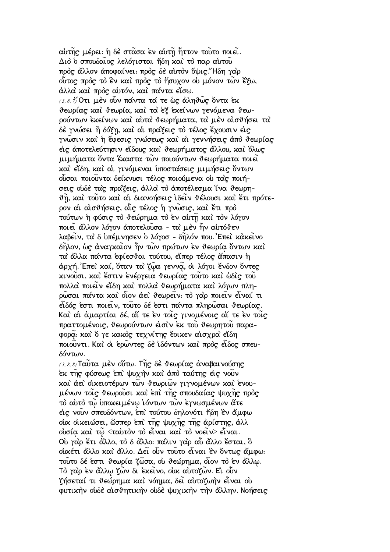αύτης μέρει: η δε στάσα εν αύτη ήττον τούτο ποιεί. Διὸ ο σπουδαίος λελόγισται ήδη και το παρ αυτου πρός άλλον άποφαίνει: πρός δε αυτόν όψις. Ήδη γαρ ούτος πρὸς τὸ ềν και πρὸς τὸ ἥσυχον ου μόνον των ἔξω, άλλα και πρός αυτόν, και πάντα είσω.  $(3, 8, 7)$  Οτι μέν ούν πάντα τά τε ως άληθως όντα εκ θεωρίας και θεωρία, και τα εξ εκείνων γενόμενα θεωρούντων εκείνων και αυτα θεωρήματα, τα μεν αισθήσει τα δε γνώσει ή δόξη, και αι πράξεις το τέλος έχουσιν εις γνώσιν καὶ ἡ ἔφεσις γνώσεως καὶ αἱ γεννήσεις ἀπὸ θεωρίας εις αποτελεύτησιν είδους και θεωρήματος άλλου, και δλως μιμήματα όντα έκαστα των ποιούντων θεωρήματα ποιεί και είδη, και αί γινόμεναι υποστάσεις μιμήσεις όντων ούσαι ποιούντα δείκνυσι τέλος ποιούμενα ου τας ποιήσεις ούδε τας πραξεις, άλλα το αποτέλεσμα ίνα θεωρηθη, και τούτο και αι διανοήσεις ιδείν θέλουσι και έτι πρότερον αι αισθήσεις, αίς τέλος η γνωσις, και έτι προ τούτων η φύσις το θεώρημα το έν αυτή και τον λόγον ποιει άλλον λόγον αποτελούσα - τα μεν ήν αυτόθεν λαβείν, τα δ υπέμνησεν ο λόγοσ - δηλόν που. Επει κάκεινο δηλον, ως αναγκαίον ήν των πρώτων εν θεωρία όντων και τα άλλα πάντα έφίεσθαι τούτου, είπερ τέλος άπασιν η άρχή. Επει καί, όταν τα ζώα γεννα, οι λόγοι ένδον όντες κινούσι, και έστιν ενέργεια θεωρίας τούτο και ώδις του πολλα ποιείν είδη και πολλα θεωρήματα και λόγων πληρώσαι πάντα και δίον άει θεωρείν: το γαρ ποιείν είναι τι είδός έστι ποιείν, τουτο δέ έστι παντα πληρωσαι θεωρίας. Καὶ αι αμαρτίαι δέ, αί τε εν τοις γινομένοις αί τε εν τοις πραττομένοις, θεωρούντων εισιν εκ του θεωρητου παραφορα: και δ γε κακός τεχνίτης έοικεν αισχρα είδη ποιούντι. Και οι ερώντες δε ιδόντων και προς είδος σπευδόντων.

(3, 8, 8) Ταύτα μεν ούτω. Της δε θεωρίας αναβαινούσης έκ της φύσεως επι ψυχην και άπο ταύτης εις νουν και άει οικειοτέρων των θεωριών γιγνομένων και ενουμένων τοις θεωρούσι και επι της σπουδαίας ψυχης προς τὸ αὐτὸ τῳ ὑποκειμένῳ ἰόντων των ἐγνωσμένων ἅτε εις νούν σπευδόντων, επι τούτου δηλονότι ήδη εν άμφω ούκ οικειώσει, ώσπερ επι της ψυχης της αρίστης, άλλ ουσία και τω <ταυτον το είναι και το νοείν> είναι. Ου γαρ έτι άλλο, το δ άλλο: πάλιν γαρ αύ άλλο έσται, δ ουκέτι άλλο και άλλο. Δει ούν τουτο είναι εν όντως άμφω: τουτο δέ εστι θεωρία ζωσα, ου θεώρημα, οίον το εν άλλω. Τὸ γαρ εν άλλω ζών δι εκείνο, ουκ αυτοζών. Ει ούν ζήσεταί τι θεώρημα και νόημα, δει αυτοζωην είναι ου φυτικήν ουδέ αισθητικήν ουδέ ψυχικήν την άλλην. Νοήσεις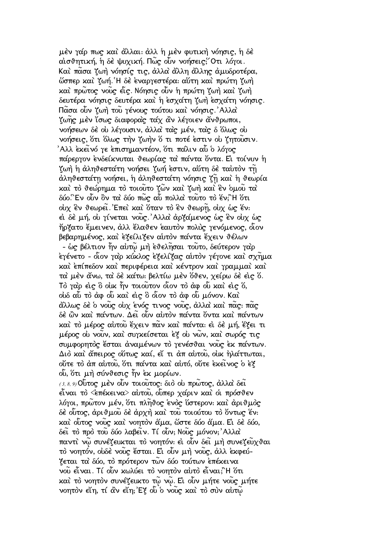μέν γάρ πως και άλλαι: άλλ ή μέν φυτική νόησις, ή δέ αισθητική, η δε ψυχική. Πώς ούν νοήσεις; Ότι λόγοι. Και πάσα ζωή νόησίς τις, άλλα άλλη άλλης αμυδροτέρα, ώσπερ και ζωή. Η δε εναργεστέρα: αύτη και πρώτη ζωη και πρώτος νους είς. Νόησις ούν η πρώτη ζωη και ζωη δευτέρα νόησις δευτέρα και η εσχάτη ζωη εσχάτη νόησις. Πάσα ούν ζωή του γένους τούτου και νόησις. Αλλα ζωης μεν ίσως διαφορας τάχ άν λέγοιεν άνθρωποι, νοήσεων δέ ου λέγουσιν, άλλα τας μέν, τας δ όλως ου νοήσεις, ότι όλως την ζωην ό τι ποτέ έστιν ου ζητουσιν. 'Αλλ ἐκεῖνό γε ἐπισημαντέον, ὅτι παλιν αὖ ὁ λόγος πάρεργον ενδείκνυται θεωρίας τα πάντα όντα. Ει τοίνυν ή ζωή η άληθεστάτη νοήσει ζωή έστιν, αύτη δε ταυτόν τη άληθεστάτη νοήσει, η άληθεστάτη νόησις ζη και η θεωρία και το θεώρημα το τοιούτο ζών και ζωή και εν όμου τα δύο. Εν οὖν ὂν τα δύο πὦς αὖ πολλα τοὖτο τὸ ἕν, Η ὅτι ούχ εν θεωρεί. Επεί και όταν το εν θεωρη, ουχ ως έν: ει δε μή, ου γίνεται νους. Αλλα αρξαμενος ως εν ουχ ως ήρ τατο έμεινεν, άλλ έλαθεν εαυτον πολύς γενόμενος, οίον βεβαρημένος, και εξείλιξεν αυτον πάντα έχειν θέλων - ώς βέλτιον ἦν αὐτῷ μὴ ἐθελῆσαι τοῦτο, δεύτερον γαρ έγένετο - δίον γαρ κύκλος εξελίξας αυτον γέγονε και σχημα και επίπεδον και περιφέρεια και κέντρον και γραμμαι και τα μέν άνω, τα δέ κατω: βελτίω μέν όθεν, χείρω δέ είς δ. Τὸ γαρ εις ὃ ουκ ἦν τοιούτον οίον τὸ ἀφ ού και εις ὅ, ουδ αὖ τὸ ἀφ οὗ καὶ ἐις ὃ οἶον τὸ ἀφ οὗ μόνον. Καὶ άλλως δέ ο νους ουχ ενός τινος νους, άλλα και πάς: πάς δέ ὢν και πάντων. Δει οὦν αὐτον πάντα ὄντα και πάντων και το μέρος αυτου έχειν παν και παντα: ει δε μή, έξει τι μέρος ου νουν, και συγκείσεται εξ ου νων, και σωρός τις συμφορητός έσται άναμένων το γενέσθαι νους εκ πάντων. Διὸ και άπειρος ούτως καί, εί τι άπ αυτου, ουκ ηλαττωται, ούτε το άπ αυτου, ότι παντα και αυτό, ούτε εκείνος ο εε ού, ότι μή σύνθεσις ήν έκ μορίων.

 $(3, 8, 9)$  Ο ύτος μέν ούν τοιούτος: διό ου πρώτος, άλλα δεϊ εἶναι τὸ <επέκεινα> αὐτοῦ, οὗπερ χαριν και οί πρόσθεν λόγοι, πρώτον μέν, ότι πλήθος ενός ύστερον: και άριθμός δε ούτος, άριθμού δε άρχη και του τοιούτου το όντως έν: και ούτος νους και νοητον άμα, ώστε δύο άμα. Ει δε δύο, δει τὸ πρὸ του δύο λαβείν. Τί οὖν; Νους μόνον; Αλλα παντι νω συνέζευκται το νοητόν: ει ούν δει μη συνεζευχθαι τὸ νοητόν, ουδέ νους ἔσται. Ει ούν μή νους, άλλ εκφεύξεται τα δύο, το πρότερον των δύο τούτων επέκεινα νου είναι. Τί ούν κωλύει το νοητον αυτο είναι; Η ότι και το νοητον συνέζευκτο τω νω. Ει ούν μήτε νους μήτε νοητον είη, τί άν είη; Εξ ού ο νους και το συν αυτώ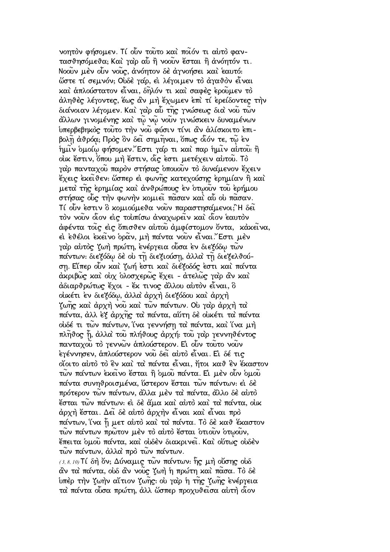νοητον φήσομεν. Τί ούν τουτο και ποιόν τι αυτό φαντασθησόμεθα; Και γαρ αύ ή νοούν έσται ή ανόητόν τι. Νοούν μέν ούν νους, άνόητον δέ άγνοήσει και εαυτό: ώστε τί σεμνόν; Ουδέ γάρ, ει λέγοιμεν το άγαθον είναι και άπλούστατον είναι, δηλόν τι και σαφές ερούμεν το άληθές λέγοντες, έως άν μη έχωμεν επι τί ερείδοντες την διάνοιαν λέγομεν. Και γαρ αύ της γνώσεως δια νου των άλλων γινομένης και τῷ νῷ νοῦν γινώσκειν δυναμένων υπερβεβηκός τουτο την νου φύσιν τίνι άν άλίσκοιτο έπιβολη άθρόα; Πρὸς δν δει σημηναι, όπως οιδν τε, τω έν ημίν δμοίω φήσομεν. Έστι γαρ τι και παρ ημίν αυτου: ή ούκ έστιν, όπου μη έστιν, οις έστι μετέχειν αυτου. Το γαρ πανταχού παρόν στήσας δπουούν το δυναμενον έχειν έχεις εκείθεν: ώσπερ ει φωνής κατεχούσης ερημίαν ή και μετα της ερημίας και ανθρώπους εν οτωούν του ερήμου στήσας ούς την φωνήν κομιεί πάσαν και αύ ου πάσαν. Τί ούν εστιν δ κομιούμεθα νουν παραστησάμενοι; Η δει τον νουν οίον είς τουπίσω αναχωρείν και οίον εαυτον άφέντα τοις είς όπισθεν αυτου άμφίστομον όντα, κάκεινα, ει εθέλοι εκείνο δράν, μη παντα νουν είναι. Έστι μεν γαρ αυτός ζωή πρώτη, ενέργεια ούσα εν διεξόδω των πάντων: διεξόδω δε ου τη διεξιούση, άλλα τη διεξελθούση. Είπερ ούν και ζωή εστι και διέξοδός εστι και πάντα άκριβώς καὶ οὐχ ὁλοσχερῶς ἔχει - ἀτελῶς γαρ ἀν καὶ άδιαρθρώτως έχοι - έκ τινος άλλου αυτόν είναι, δ ουκέτι εν διεξόδω, άλλα άρχη διεξόδου και άρχη ζωης και άρχη νου και των παντων. Ου γαρ άρχη τα πάντα, άλλ 'εξ άρχης τα πάντα, αύτη δε ουκέτι τα πάντα ούδέ τι των παντων, ίνα γεννήση τα παντα, και ίνα μή πληθος η, άλλα του πλήθους άρχή: του γαρ γεννηθέντος πανταχού το γεννών άπλούστερον. Ει ούν τούτο νούν 'εγέννησεν, άπλούστερον νου δει αυτό είναι. Ει δέ τις σίοιτο αύτο το έν και τα πάντα είναι, ήτοι καθ εν έκαστον των παντων εκείνο έσται ή δμού παντα. Ει μεν ούν δμού πάντα συνηθροισμένα, ύστερον έσται των πάντων: εί δέ πρότερον των πάντων, άλλα μέν τα πάντα, άλλο δέ αυτό έσται τῶν πάντων: εί δε άμα και αυτο και τα πάντα, ουκ άρχη έσται. Δεί δε αύτο άρχην είναι και είναι προ πάντων, ίνα ή μετ αύτο και τα πάντα. Το δέ καθ έκαστον των παντων πρώτον μεν το αύτο έσται οτιούν οτωούν, έπειτα δμού πάντα, και ουδεν διακρινει. Και ούτως ουδεν τών πάντων, άλλα πρό των πάντων.

 $(3, 8, 10)$  Τί δη ὄν; Δύναμις των πάντων: ης μη ούσης ουδ άν τα πάντα, ουδ άν νους ζωή ή πρώτη και πάσα. Το δέ υπέρ την ζωήν αίτιον ζωής: ού γαρ η της ζωής ενέργεια τα πάντα ούσα πρώτη, άλλ ώσπερ προχυθείσα αυτή οίον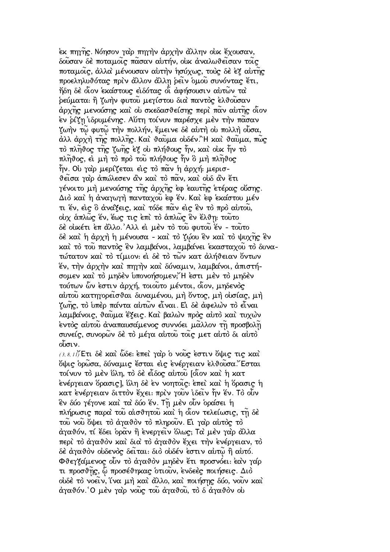εκ πηγής. Νόησον γαρ πηγήν άρχην άλλην ουκ έχουσαν, δουσαν δε ποταμοίς πάσαν αυτήν, ουκ άναλωθείσαν τοις ποταμοίς, άλλα μένουσαν αύτην ησύχως, τους δε έξ αύτης προεληλυθότας πριν άλλον άλλη ρειν δμου συνόντας έτι, ήδη δε οίον εκαστους ειδότας οι αφήσουσιν αυτών τα ρεύματα: ή ζωην φυτου μεγίστου δια παντός ελθουσαν άρχης μενούσης και ου σκεδασθείσης περι παν αυτής οίον ζεν ρίζη ίδρυμένης. Αύτη τοίνυν παρέσχε μεν την πασαν ζωήν τῷ φυτῷ τὴν πολλήν, ἔμεινε δὲ αὐτὴ οὐ πολλὴ οὖσα, άλλ άρχη της πολλής. Και θαύμα ουδέν. Η και θαύμα, πώς τὸ πλῆθος τῆς ζωῆς ἐξ οὐ πλήθους ἦν, καὶ οὐκ ἦν τὸ πληθος, ει μή το προ του πλήθους ήν δ μή πληθος ήν. Ου γαρ μερίζεται είς το παν η άρχη: μερισθείσα γαρ άπώλεσεν άν και το πάν, και ουδ άν έτι γένοιτο μή μενούσης της άρχης έφ εαυτης ετέρας ούσης. Διό και ή άναγωγή πανταχού έφ έν. Και έφ εκάστου μέν τι έν, εις δ αναξεις, και τόδε παν εις εν το προ αυτου, ούχ άπλως έν, έως τις επι το άπλως εν έλθη: τουτο δε ουκέτι επ άλλο. Αλλ ει μεν το του φυτου εν - τουτο δε και η άρχη η μένουσα - και το ζώου εν και το ψυχης εν και το του παντός εν λαμβανοι, λαμβανει εκασταχού το δυνατώτατον και το τίμιον: εί δε το των κατ άλήθειαν όντων έν, την άρχην και πηγήν και δύναμιν, λαμβάνοι, άπιστήσομεν και το μηδεν υπονοήσομεν; Η έστι μεν το μηδεν τούτων ὧν 'εστιν άρχή, τοιούτο μέντοι, οίον, μηδενός αύτου κατηγορείσθαι δυναμένου, μη όντος, μη ουσίας, μη ζωης, το υπέρ παντα αυτών είναι. Ει δε άφελων το είναι λαμβάνοις, θαύμα έξεις. Και βαλων πρός αυτό και τυχων έντος αυτου αναπαυσαμενος συννόει μαλλον τη προσβολη συνείς, συνορών δε το μέγα αύτου τοις μετ αύτο δι αύτο  $\delta$ <sub>υ</sub>σιν.

(3, 8, 11) Ετι δέ και ὧδε: επει γαρ ο νους εστιν όψις τις και όψις ορώσα, δύναμις έσται εις ενέργειαν ελθούσα."Εσται τοίνυν τὸ μèν ὕλη, τὸ δè ἐἶδος αὐτοῦ [οἶον καὶ ἡ κατ ένέργειαν δρασις], ύλη δε εν νοητοις: επει και η δρασις η κατ ενέργειαν διττον έχει: πριν γουν ιδείν ήν έν. Το ούν εν δύο γέγονε και τα δύο εν. Τη μεν ούν δράσει η πλήρωσις παρα του αισθητου και η οίον τελείωσις, τη δε του νου όψει το άγαθον το πληρούν. Ει γαρ αυτος το άγαθόν, τί έδει δραν ή ενεργειν δλως; Τα μεν γαρ άλλα περί το άγαθον και δια το άγαθον έχει την ενέργειαν, το δε άγαθον ουδενός δείται: διο ουδέν εστιν αυτώ ή αυτό. Φθεγζάμενος ούν το άγαθον μηδεν έτι προσνόει: εαν γάρ τι προσθης, ώ προσέθηκας οτιούν, ενδεές ποιήσεις. Διό ούδε το νοείν, ίνα μή και άλλο, και ποιήσης δύο, νουν και άγαθόν. Ο μεν γαρ νους του άγαθου, το δ άγαθον ου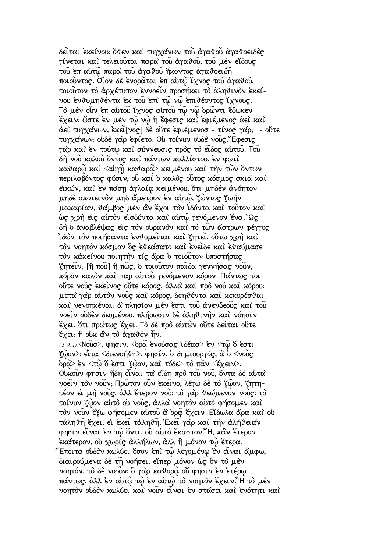δείται εκείνου: όθεν και τυγχανων του αγαθού αγαθοειδές γίνεται και τελειούται παρα του άγαθου, του μεν είδους του επ αυτώ παρα του άγαθου ήκοντος άγαθοειδη ποιούντος. Οίον δε ενοράται επ αυτώ ίχνος του άγαθου, τοιούτον το άρχέτυπον εννοείν προσήκει το άληθινον εκείνου ενθυμηθέντα εκ του επι τω νω επιθέοντος ίχνους. Τὸ μεν οἶν επ αυτοῦ ἴχνος αυτοῦ τῷ νῷ δρῶντι ἔδωκεν έχειν: ὥστε 'εν μεν τω νω η 'έφεσις και' 'εφιέμενος άει' και' άει τυγχανων, εκεί[νος] δε ούτε εφιέμενοσ - τίνος γαρ; - ούτε τυγχανων: ουδέ γαρ εφίετο. Ου τοίνυν ουδέ νους. Έφεσις γαρ και εν τούτω και σύννευσις προς το είδος αυτου. Του δη νου καλού όντος και πάντων καλλίστου, εν φωτι καθαρώ και <αυγή καθαρά> κειμένου και την τών όντων περιλαβόντος φύσιν, ού και ο καλός ούτος κόσμος σκια και εικών, και έν πάση άγλαία κειμένου, ότι μηδεν ανόητον μηδέ σκοτεινόν μηδ άμετρον έν αυτώ, ζώντος ζωήν μακαρίαν, θάμβος μεν άν έχοι τον ιδόντα και τουτον και ώς χρή εις αυτόν εισδύντα και αυτώ γενόμενον ένα. Ώς δη ο αναβλέψας είς τον ουρανον και το των άστρων φέγγος ιδων τον ποιήσαντα ενθυμειται και ζητει, ούτω χρη και τον νοητον κόσμον δς εθεάσατο και ενείδε και εθαύμασε τον κάκείνου ποιητην τίς άρα ο τοιούτον υποστήσας ζητείν, [ή που] ή πως, ο τοιούτον παιδα γεννήσας νουν, κόρον καλόν και παρ αύτου γενόμενον κόρον. Πάντως τοι ούτε νους εκείνος ούτε κόρος, άλλα και πρό νου και κόρου: μετα γαρ αυτόν νους και κόρος, δεηθέντα και κεκορέσθαι και νενοηκέναι: α πλησίον μέν εστι του άνενδεους και του νοείν ουδέν δεομένου, πλήρωσιν δε άληθινην και νόησιν έχει, ότι πρώτως έχει. Το δε προ αυτών ούτε δείται ούτε έχει: ή ουκ άν το άγαθον ήν. (3, 9, 1) < Νούσ>, φησιν, < ορα ενούσας ιδέασ> εν < τω δ εστι  $\langle \tilde{\psi}$ ον>: εἶτα <διενοήθη>, φησίν, ὁ δημιουργός, ἀ ὁ <νους δρά> έν <τῷ δ έστι ζῷον, και τόδε> το παν <έχειν>. Ούκουν φησιν ήδη είναι τα είδη πρό του νου, όντα δε αύτα

νοείν τον νούν; Πρώτον ούν εκείνο, λέγω δε το ζώον, ζητητέον ει μή νους, άλλ έτερον νου: το γαρ θεώμενον νους: το τοίνυν ζώον αυτό ου νους, άλλα νοητόν αυτό φήσομεν και τον νούν έξω φήσομεν αύτου α' δρα έχειν. Είδωλα άρα και ου τάληθη έχει, ει εκει τάληθη. Εκει γαρ και την αλήθειαν φησιν είναι εν τω όντι, ου αυτό έκαστον. Ή, κάν έτερον εκάτερον, ου χωρις άλλήλων, άλλ ή μόνον τω έτερα. "Επειτα οὐδὲν κωλύει ὅσον ἐπὶ τῷ λεγομένῳ ἓν εἶναι ἄμφω, διαιρούμενα δε τη νοήσει, είπερ μόνον ως όν το μεν νοητόν, τὸ δε νοουν: δ γαρ καθορα ού φησιν εν ετέρω πάντως, άλλ έν αυτώ τώ εν αυτώ το νοητον έχειν. Η το μεν νοητον ουδέν κωλύει και νουν είναι εν στάσει και ενότητι και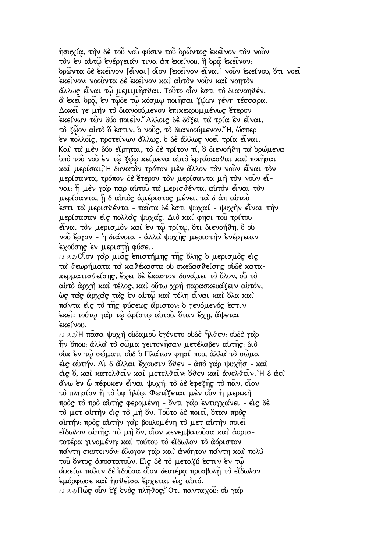ησυχία, την δε του νου φύσιν του δρώντος εκείνον τον νουν τον εν αυτώ ενέργειαν τινα απ εκείνου, ή ορα εκείνον: δρώντα δε εκείνον [είναι] δίον Γεκείνον είναι] νουν εκείνου, ότι νοει εκείνον: νοούντα δε εκείνον και αύτον νούν και νοητον άλλως είναι τω μεμιμήσθαι. Τούτο ούν έστι το διανοηθέν, α εκει δρα, εν τώδε τω κόσμω ποιήσαι ζώων γένη τέσσαρα. Δοκεί γε μήν τὸ διανοούμενον επικεκρυμμένως έτερον εκείνων τῶν δύο ποιεἶν."Αλλοις δὲ δόξει τα τρία ἓν εἶναι, τὸ ζὦον αὐτὸ ὅ ἐστιν, ὁ νους, τὸ διανοούμενον. Ή, ὥσπερ έν πολλοΐς, προτείνων άλλως, ο δε άλλως νοει τρία εἶναι. Καὶ τα μεν δύο είρηται, τὸ δε τρίτον τί, ὃ διενοήθη τα δρώμενα υπό του νου έν τω ζώω κείμενα αυτό εργασασθαι και ποιήσαι και μερίσαι; Η δυνατον τρόπον μεν άλλον τον νουν είναι τον μερίσαντα, τρόπον δε έτερον τον μερίσαντα μή τον νουν είναι: ή μεν γαρ παρ αύτου τα μερισθέντα, αυτον είναι τον μερίσαντα, η δ αύτος αμέριστος μένει, τα δ απ αύτου 'έστι τα μερισθέντα - ταυτα δέ 'εστι ψυχαί - ψυχην εἶναι την μερίσασαν εις πολλας ψυχας. Διὸ καί φησι του τρίτου εἶναι τον μερισμον και εν τῷ τρίτω, ὅτι διενοήθη, ὃ ου νου έργον - η διανοια - άλλα ψυχης μεριστην ενέργειαν εχούσης έν μεριστη φύσει.

(3, 9, 2) Οίον γαρ μιάς επιστήμης της όλης ο μερισμός είς τα θεωρήματα τα καθέκαστα ου σκεδασθείσης ουδε κατακερματισθείσης, έχει δε έκαστον δυνάμει το όλον, ού το αύτο άρχη και τέλος, και ούτω χρη παρασκευάζειν αυτόν, ώς τας άρχας τας έν αυτώ και τέλη είναι και δλα και πάντα είς το της φύσεως άριστον: ο γενόμενός εστιν ζεκει: τούτω γαρ τῷ ἀρίστω αὐτοῦ, ὅταν ἔχη, ἄψεται εκείνου.

(3, 9, 3) Η πασα ψυχή ουδαμού εγένετο ουδε ήλθεν: ουδε γαρ ήν όπου: άλλα το σώμα γειτονήσαν μετέλαβεν αυτής: διο ούκ εν τω σώματι ουδ ο Πλατων φησί που, άλλα το σώμα εις αυτήν. Αι δ άλλαι έχουσιν όθεν - άπό γαρ ψυχησ - και εις δ, και κατελθείν και μετελθείν: δθεν και άνελθείν. Η δ άει άνω έν ὧ πέφυκεν εἶναι ψυχή: τὸ δὲ ἐφεξης τὸ παν, οἶον τὸ πλησίον ἢ τὸ ὑφ ἡλίῳ. Φωτίζεται μεν οὖν ἡ μερική πρὸς τὸ πρὸ αὐτης φερομένη - ὄντι γαρ εντυγχανει - είς δε τὸ μετ αυτήν εις τὸ μή ὄν. Τουτο δε ποιει, ὅταν πρὸς αυτήν: πρός αυτήν γαρ βουλομένη το μετ αυτήν ποιεί είδωλον αυτής, το μη όν, οίον κενεμβατούσα και άοριστοτέρα γινομένη: και τούτου το είδωλον το άόριστον πάντη σκοτεινόν: άλογον γαρ και ανόητον πάντη και πολύ του όντος άποστατουν. Εις δε το μεταξύ έστιν έν τω οικείω, παλιν δε ιδουσα οίον δευτέρα προσβολη το είδωλον εμόρφωσε και ησθείσα έρχεται είς αυτό. (3, 9, 4) Πώς οὖν 'εξ ενός πληθος; Ότι πανταχου: ου γάρ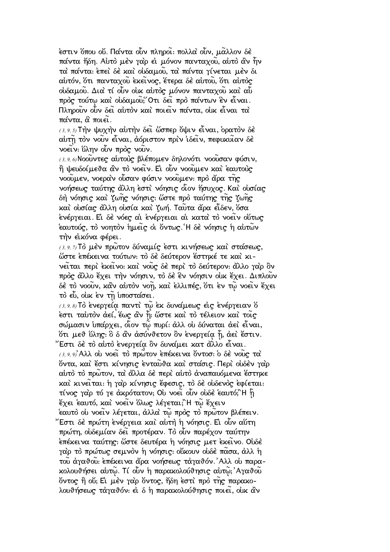'εστιν ὅπου οὔ. Παντα ούν πληροι: πολλα ούν, μαλλον δε πάντα ήδη. Αυτό μέν γαρ ει μόνον πανταχού, αυτό άν ήν τα πάντα: έπει δέ και ουδαμού, τα πάντα γίνεται μέν δι αύτόν, ότι πανταχού εκείνος, έτερα δε αύτου, ότι αύτος ουδαμού. Δια τί ούν ουκ αυτός μόνον πανταχού και αύ πρὸς τούτω και ουδαμους Οτι δει προ παντων εν είναι. Πληρούν ούν δει αυτόν και ποιείν παντα, ουκ είναι τα πάντα, α ποιεί.

(3, 9, 5) Την ψυχην αύτην δει ώσπερ όψιν είναι, δρατον δε αύτη τον νούν είναι, άόριστον πριν ιδείν, πεφυκυίαν δε νοείν: ύλην ούν πρός νουν.

(3, 9, 6) Νοούντες αυτούς βλέπομεν δηλονότι νοούσαν φύσιν, ή ψευδοίμεθα άν το νοείν. Ει ούν νοούμεν και εαυτούς νοούμεν, νοεραν ούσαν φύσιν νοούμεν: πρὸ ἄρα της νοήσεως ταύτης άλλη εστι νόησις οίον ήσυχος. Και ουσίας δη νόησις και ζωής νόησις: ώστε προ ταύτης της ζωής και ουσίας άλλη ουσία και ζωή. Ταυτα άρα είδεν, όσα ένέργειαι. Ει δε νόες αι ενέργειαι αι κατα το νοείν ούτως εαυτούς, τὸ νοητὸν ἡμεις οι ὄντως. Η δε νόησις ἡ αυτών την εικόνα φέρει.

(3, 9, 7) Το μεν πρώτον δύναμίς εστι κινήσεως και στάσεως, ώστε επέκεινα τούτων: τὸ δε δεύτερον έστηκέ τε και κινειται περι εκείνο: και νους δε περι το δεύτερον: άλλο γαρ όν πρὸς ἄλλο ἔχει την νόησιν, τὸ δε εν νόησιν ουκ ἔχει. Διπλουν δέ το νοούν, κάν αύτον νοη, και ελλιπές, ότι εν τω νοείν έχει τὸ εὖ, ουκ εν τη υποστασει.

(3, 9, 8) Το ενεργεία παντι τω εκ δυναμεως εις ενέργειαν δ 'εστι ταύτον άεί, έως άν ή: ώστε και το τέλειον και τοις σώμασιν υπάρχει, δίον τῷ πυρί: άλλ οὐ δύναται ἀεὶ εἶναι, ότι μεθ ύλης: ὃ δ ἀν ἀσύνθετον ὂν ἐνεργεία ἦ, ἀεὶ ἔστιν.

- "Εστι δὲ τὸ αὐτὸ ἐνεργεία ὂν δυναμει κατ ἄλλο εἶναι.  $(3, 9, 9)$  Αλλ ου νοεί το πρώτον επέκεινα όντοσ: ο δε νους τα όντα, και έστι κίνησις ενταυθα και στάσις. Περι ουδεν γαρ αύτο το πρώτον, τα άλλα δε περι αύτο αναπαυόμενα έστηκε και κινείται: η γαρ κίνησις έφεσις, το δε ουδενός εφίεται: τίνος γαρ τό γε άκρότατον; Ου νοεί ούν ουδέ εαυτό; Η ή έχει εαυτό, και νοείν δλως λέγεται; Η τῷ ἔχειν
- εαυτό ου νοείν λέγεται, άλλα τω πρός το πρώτον βλέπειν. ″Εστι δὲ πρώτη ἐνέργεια καὶ αὐτὴ ἡ νόησις. Ει οὖν αὕτη πρώτη, ουδεμίαν δει προτέραν. Τὸ ουν παρέχον ταύτην επέκεινα ταύτης: ὥστε δευτέρα ή νόησις μετ εκείνο. Ουδε γαρ το πρώτως σεμνον η νόησις: ούκουν ουδε πασα, άλλ η του άγαθου: επέκεινα άρα νοήσεως τάγαθόν. Αλλ ου παρακολουθήσει αυτώ. Τί ούν η παρακολούθησις αυτώ; Αγαθού όντος ή ού; Ει μεν γαρ όντος, ήδη εστι προ της παρακολουθήσεως τάγαθόν: εί δ η παρακολούθησις ποιεί, ούκ άν